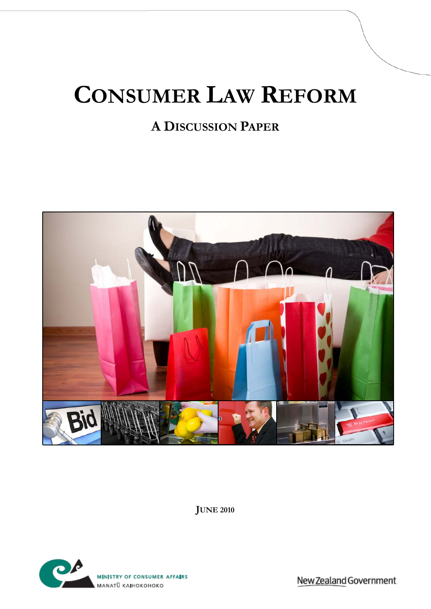# **CONSUMER LAW REFORM**

# **A DISCUSSION PAPER**



**JUNE 2010**



New Zealand Government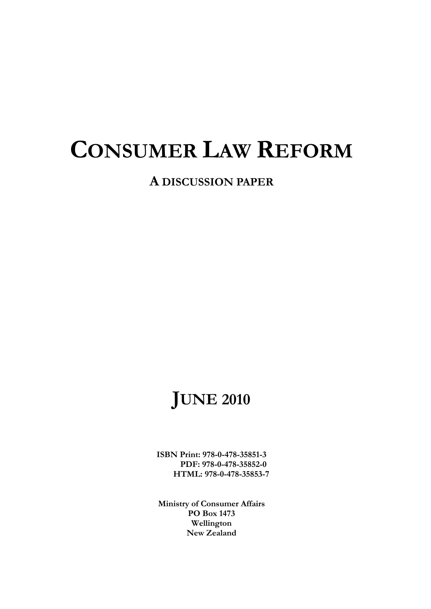# **CONSUMER LAW REFORM**

**A DISCUSSION PAPER**

# **JUNE 2010**

**ISBN Print: 978-0-478-35851-3 PDF: 978-0-478-35852-0 HTML: 978-0-478-35853-7** 

**Ministry of Consumer Affairs PO Box 1473 Wellington New Zealand**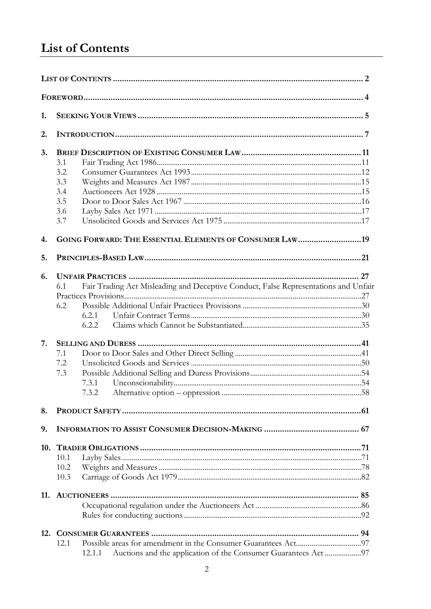# <span id="page-2-0"></span>**List of Contents**

| 1.  |                                                                                                                     |  |  |  |  |  |  |  |
|-----|---------------------------------------------------------------------------------------------------------------------|--|--|--|--|--|--|--|
| 2.  |                                                                                                                     |  |  |  |  |  |  |  |
| 3.  | 3.1<br>3.2<br>3.3<br>3.4<br>3.5                                                                                     |  |  |  |  |  |  |  |
| 4.  | 3.6<br>3.7<br>GOING FORWARD: THE ESSENTIAL ELEMENTS OF CONSUMER LAW 19                                              |  |  |  |  |  |  |  |
| 5.  |                                                                                                                     |  |  |  |  |  |  |  |
| 6.  | Fair Trading Act Misleading and Deceptive Conduct, False Representations and Unfair<br>6.1<br>6.2<br>6.2.1<br>6.2.2 |  |  |  |  |  |  |  |
| 7.  | 7.1<br>7.2<br>7.3<br>7.3.1<br>7.3.2                                                                                 |  |  |  |  |  |  |  |
| 8.  |                                                                                                                     |  |  |  |  |  |  |  |
| 9.  |                                                                                                                     |  |  |  |  |  |  |  |
| 10. | 10.1<br>10.2<br>10.3                                                                                                |  |  |  |  |  |  |  |
|     |                                                                                                                     |  |  |  |  |  |  |  |
| 12. | 12.1<br>Auctions and the application of the Consumer Guarantees Act 97<br>12.1.1                                    |  |  |  |  |  |  |  |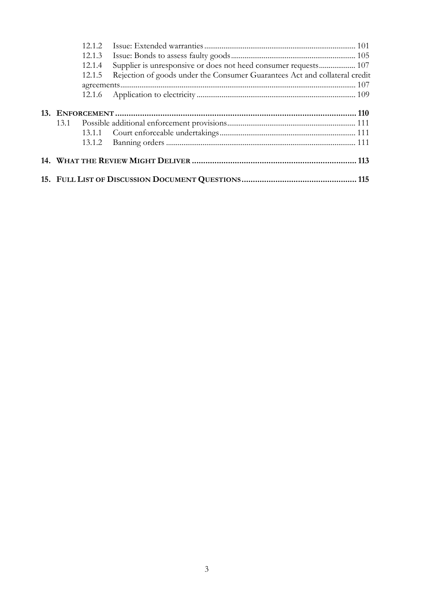|  | 12.1.2 |                                                                            |  |
|--|--------|----------------------------------------------------------------------------|--|
|  | 12.1.3 |                                                                            |  |
|  | 12.1.4 | Supplier is unresponsive or does not heed consumer requests 107            |  |
|  | 12.1.5 | Rejection of goods under the Consumer Guarantees Act and collateral credit |  |
|  |        |                                                                            |  |
|  |        |                                                                            |  |
|  |        |                                                                            |  |
|  |        |                                                                            |  |
|  |        |                                                                            |  |
|  |        |                                                                            |  |
|  |        |                                                                            |  |
|  |        |                                                                            |  |
|  |        |                                                                            |  |
|  |        |                                                                            |  |
|  |        |                                                                            |  |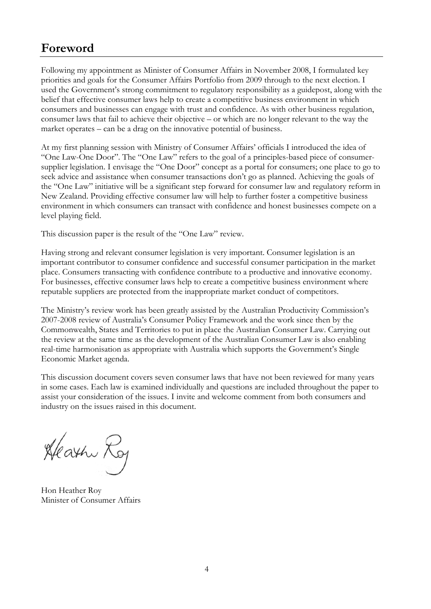# <span id="page-4-0"></span>**Foreword**

Following my appointment as Minister of Consumer Affairs in November 2008, I formulated key priorities and goals for the Consumer Affairs Portfolio from 2009 through to the next election. I used the Government's strong commitment to regulatory responsibility as a guidepost, along with the belief that effective consumer laws help to create a competitive business environment in which consumers and businesses can engage with trust and confidence. As with other business regulation, consumer laws that fail to achieve their objective – or which are no longer relevant to the way the market operates – can be a drag on the innovative potential of business.

At my first planning session with Ministry of Consumer Affairs' officials I introduced the idea of "One Law-One Door". The "One Law" refers to the goal of a principles-based piece of consumersupplier legislation. I envisage the "One Door" concept as a portal for consumers; one place to go to seek advice and assistance when consumer transactions don't go as planned. Achieving the goals of the "One Law" initiative will be a significant step forward for consumer law and regulatory reform in New Zealand. Providing effective consumer law will help to further foster a competitive business environment in which consumers can transact with confidence and honest businesses compete on a level playing field.

This discussion paper is the result of the "One Law" review.

Having strong and relevant consumer legislation is very important. Consumer legislation is an important contributor to consumer confidence and successful consumer participation in the market place. Consumers transacting with confidence contribute to a productive and innovative economy. For businesses, effective consumer laws help to create a competitive business environment where reputable suppliers are protected from the inappropriate market conduct of competitors.

The Ministry's review work has been greatly assisted by the Australian Productivity Commission's 2007-2008 review of Australia's Consumer Policy Framework and the work since then by the Commonwealth, States and Territories to put in place the Australian Consumer Law. Carrying out the review at the same time as the development of the Australian Consumer Law is also enabling real-time harmonisation as appropriate with Australia which supports the Government's Single Economic Market agenda.

This discussion document covers seven consumer laws that have not been reviewed for many years in some cases. Each law is examined individually and questions are included throughout the paper to assist your consideration of the issues. I invite and welcome comment from both consumers and industry on the issues raised in this document.

Heath Roy

Hon Heather Roy Minister of Consumer Affairs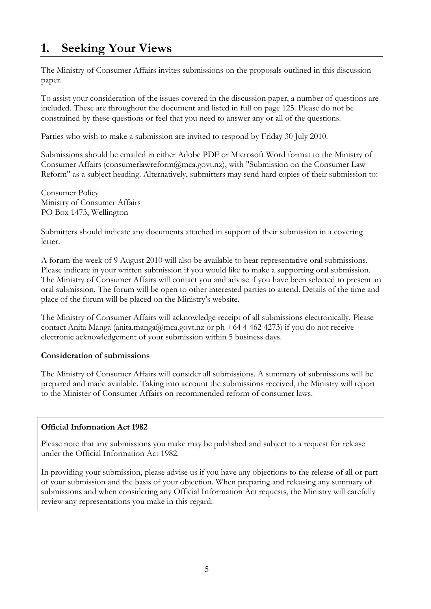# <span id="page-5-0"></span>**1. Seeking Your Views**

The Ministry of Consumer Affairs invites submissions on the proposals outlined in this discussion paper.

To assist your consideration of the issues covered in the discussion paper, a number of questions are included. These are throughout the document and listed in full on page 125. Please do not be constrained by these questions or feel that you need to answer any or all of the questions.

Parties who wish to make a submission are invited to respond by Friday 30 July 2010.

Submissions should be emailed in either Adobe PDF or Microsoft Word format to the Ministry of Consumer Affairs (consumerlawreform@mca.govt.nz), with "Submission on the Consumer Law Reform" as a subject heading. Alternatively, submitters may send hard copies of their submission to:

Consumer Policy Ministry of Consumer Affairs PO Box 1473, Wellington

Submitters should indicate any documents attached in support of their submission in a covering letter.

A forum the week of 9 August 2010 will also be available to hear representative oral submissions. Please indicate in your written submission if you would like to make a supporting oral submission. The Ministry of Consumer Affairs will contact you and advise if you have been selected to present an oral submission. The forum will be open to other interested parties to attend. Details of the time and place of the forum will be placed on the Ministry's website.

The Ministry of Consumer Affairs will acknowledge receipt of all submissions electronically. Please contact Anita Manga (anita.manga@mca.govt.nz or ph +64 4 462 4273) if you do not receive electronic acknowledgement of your submission within 5 business days.

## **Consideration of submissions**

The Ministry of Consumer Affairs will consider all submissions. A summary of submissions will be prepared and made available. Taking into account the submissions received, the Ministry will report to the Minister of Consumer Affairs on recommended reform of consumer laws.

## **Official Information Act 1982**

Please note that any submissions you make may be published and subject to a request for release under the Official Information Act 1982.

In providing your submission, please advise us if you have any objections to the release of all or part of your submission and the basis of your objection. When preparing and releasing any summary of submissions and when considering any Official Information Act requests, the Ministry will carefully review any representations you make in this regard.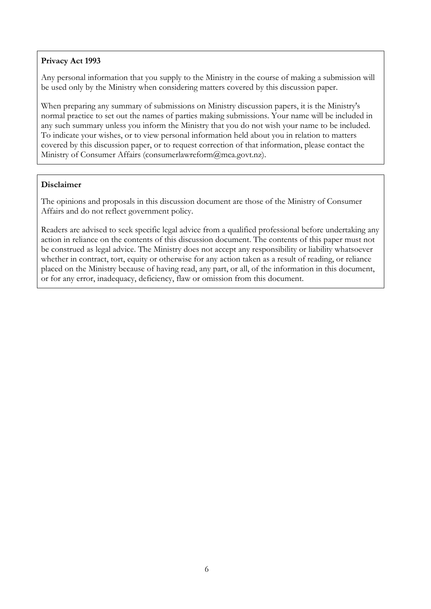## **Privacy Act 1993**

Any personal information that you supply to the Ministry in the course of making a submission will be used only by the Ministry when considering matters covered by this discussion paper.

When preparing any summary of submissions on Ministry discussion papers, it is the Ministry's normal practice to set out the names of parties making submissions. Your name will be included in any such summary unless you inform the Ministry that you do not wish your name to be included. To indicate your wishes, or to view personal information held about you in relation to matters covered by this discussion paper, or to request correction of that information, please contact the Ministry of Consumer Affairs (consumerlawreform@mca.govt.nz).

#### **Disclaimer**

The opinions and proposals in this discussion document are those of the Ministry of Consumer Affairs and do not reflect government policy.

Readers are advised to seek specific legal advice from a qualified professional before undertaking any action in reliance on the contents of this discussion document. The contents of this paper must not be construed as legal advice. The Ministry does not accept any responsibility or liability whatsoever whether in contract, tort, equity or otherwise for any action taken as a result of reading, or reliance placed on the Ministry because of having read, any part, or all, of the information in this document, or for any error, inadequacy, deficiency, flaw or omission from this document.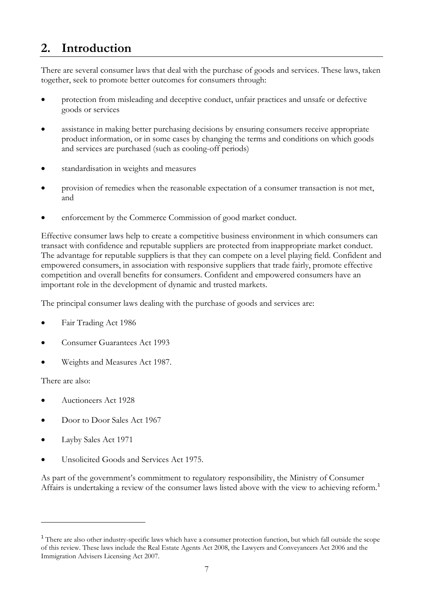# <span id="page-7-0"></span>**2. Introduction**

There are several consumer laws that deal with the purchase of goods and services. These laws, taken together, seek to promote better outcomes for consumers through:

- protection from misleading and deceptive conduct, unfair practices and unsafe or defective goods or services
- assistance in making better purchasing decisions by ensuring consumers receive appropriate product information, or in some cases by changing the terms and conditions on which goods and services are purchased (such as cooling-off periods)
- standardisation in weights and measures
- provision of remedies when the reasonable expectation of a consumer transaction is not met, and
- enforcement by the Commerce Commission of good market conduct.

Effective consumer laws help to create a competitive business environment in which consumers can transact with confidence and reputable suppliers are protected from inappropriate market conduct. The advantage for reputable suppliers is that they can compete on a level playing field. Confident and empowered consumers, in association with responsive suppliers that trade fairly, promote effective competition and overall benefits for consumers. Confident and empowered consumers have an important role in the development of dynamic and trusted markets.

The principal consumer laws dealing with the purchase of goods and services are:

- Fair Trading Act 1986
- Consumer Guarantees Act 1993
- Weights and Measures Act 1987.

There are also:

 $\overline{a}$ 

- Auctioneers Act 1928
- Door to Door Sales Act 1967
- Layby Sales Act 1971
- Unsolicited Goods and Services Act 1975.

As part of the government's commitment to regulatory responsibility, the Ministry of Consumer Affairs is undertaking a review of the consumer laws listed above with the view to achieving reform.[1](#page-7-0)

<sup>&</sup>lt;sup>1</sup> There are also other industry-specific laws which have a consumer protection function, but which fall outside the scope of this review. These laws include the Real Estate Agents Act 2008, the Lawyers and Conveyancers Act 2006 and the Immigration Advisers Licensing Act 2007.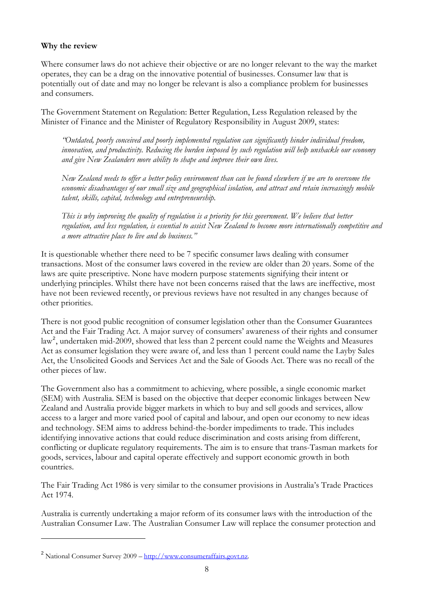#### <span id="page-8-0"></span>**Why the review**

Where consumer laws do not achieve their objective or are no longer relevant to the way the market operates, they can be a drag on the innovative potential of businesses. Consumer law that is potentially out of date and may no longer be relevant is also a compliance problem for businesses and consumers.

The Government Statement on Regulation: Better Regulation, Less Regulation released by the Minister of Finance and the Minister of Regulatory Responsibility in August 2009, states:

*"Outdated, poorly conceived and poorly implemented regulation can significantly hinder individual freedom, innovation, and productivity. Reducing the burden imposed by such regulation will help unshackle our economy and give New Zealanders more ability to shape and improve their own lives.* 

*New Zealand needs to offer a better policy environment than can be found elsewhere if we are to overcome the economic disadvantages of our small size and geographical isolation, and attract and retain increasingly mobile talent, skills, capital, technology and entrepreneurship.* 

*This is why improving the quality of regulation is a priority for this government. We believe that better regulation, and less regulation, is essential to assist New Zealand to become more internationally competitive and a more attractive place to live and do business."* 

It is questionable whether there need to be 7 specific consumer laws dealing with consumer transactions. Most of the consumer laws covered in the review are older than 20 years. Some of the laws are quite prescriptive. None have modern purpose statements signifying their intent or underlying principles. Whilst there have not been concerns raised that the laws are ineffective, most have not been reviewed recently, or previous reviews have not resulted in any changes because of other priorities.

There is not good public recognition of consumer legislation other than the Consumer Guarantees Act and the Fair Trading Act. A major survey of consumers' awareness of their rights and consumer law<sup>[2](#page-8-0)</sup>, undertaken mid-2009, showed that less than 2 percent could name the Weights and Measures Act as consumer legislation they were aware of, and less than 1 percent could name the Layby Sales Act, the Unsolicited Goods and Services Act and the Sale of Goods Act. There was no recall of the other pieces of law.

The Government also has a commitment to achieving, where possible, a single economic market (SEM) with Australia. SEM is based on the objective that deeper economic linkages between New Zealand and Australia provide bigger markets in which to buy and sell goods and services, allow access to a larger and more varied pool of capital and labour, and open our economy to new ideas and technology. SEM aims to address behind-the-border impediments to trade. This includes identifying innovative actions that could reduce discrimination and costs arising from different, conflicting or duplicate regulatory requirements. The aim is to ensure that trans-Tasman markets for goods, services, labour and capital operate effectively and support economic growth in both countries.

The Fair Trading Act 1986 is very similar to the consumer provisions in Australia's Trade Practices Act 1974.

Australia is currently undertaking a major reform of its consumer laws with the introduction of the Australian Consumer Law. The Australian Consumer Law will replace the consumer protection and

 $\overline{a}$ 

<sup>&</sup>lt;sup>2</sup> National Consumer Survey 2009 – [http://www.consumeraffairs.govt.nz](http://www.consumeraffairs.govt.nz/).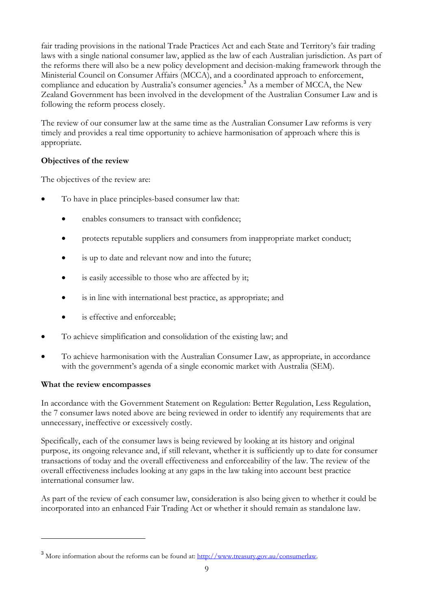<span id="page-9-0"></span>fair trading provisions in the national Trade Practices Act and each State and Territory's fair trading laws with a single national consumer law, applied as the law of each Australian jurisdiction. As part of the reforms there will also be a new policy development and decision-making framework through the Ministerial Council on Consumer Affairs (MCCA), and a coordinated approach to enforcement, compliance and education by Australia's consumer agencies.<sup>[3](#page-9-0)</sup> As a member of MCCA, the New Zealand Government has been involved in the development of the Australian Consumer Law and is following the reform process closely.

The review of our consumer law at the same time as the Australian Consumer Law reforms is very timely and provides a real time opportunity to achieve harmonisation of approach where this is appropriate.

# **Objectives of the review**

The objectives of the review are:

- To have in place principles-based consumer law that:
	- enables consumers to transact with confidence;
	- protects reputable suppliers and consumers from inappropriate market conduct;
	- is up to date and relevant now and into the future;
	- is easily accessible to those who are affected by it;
	- is in line with international best practice, as appropriate; and
	- is effective and enforceable;
- To achieve simplification and consolidation of the existing law; and
- To achieve harmonisation with the Australian Consumer Law, as appropriate, in accordance with the government's agenda of a single economic market with Australia (SEM).

## **What the review encompasses**

 $\overline{a}$ 

In accordance with the Government Statement on Regulation: Better Regulation, Less Regulation, the 7 consumer laws noted above are being reviewed in order to identify any requirements that are unnecessary, ineffective or excessively costly.

Specifically, each of the consumer laws is being reviewed by looking at its history and original purpose, its ongoing relevance and, if still relevant, whether it is sufficiently up to date for consumer transactions of today and the overall effectiveness and enforceability of the law. The review of the overall effectiveness includes looking at any gaps in the law taking into account best practice international consumer law.

As part of the review of each consumer law, consideration is also being given to whether it could be incorporated into an enhanced Fair Trading Act or whether it should remain as standalone law.

<sup>&</sup>lt;sup>3</sup> More information about the reforms can be found at:<http://www.treasury.gov.au/consumerlaw>.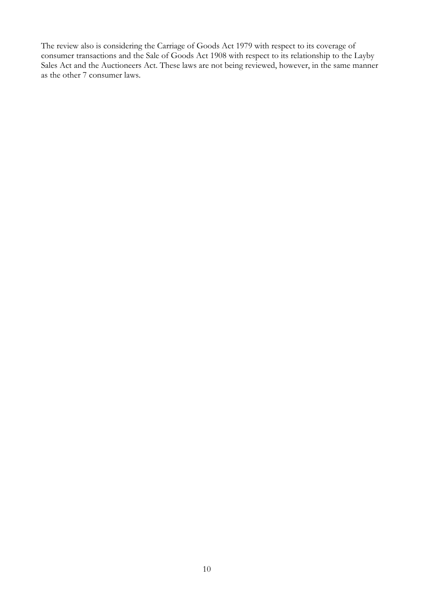The review also is considering the Carriage of Goods Act 1979 with respect to its coverage of consumer transactions and the Sale of Goods Act 1908 with respect to its relationship to the Layby Sales Act and the Auctioneers Act. These laws are not being reviewed, however, in the same manner as the other 7 consumer laws.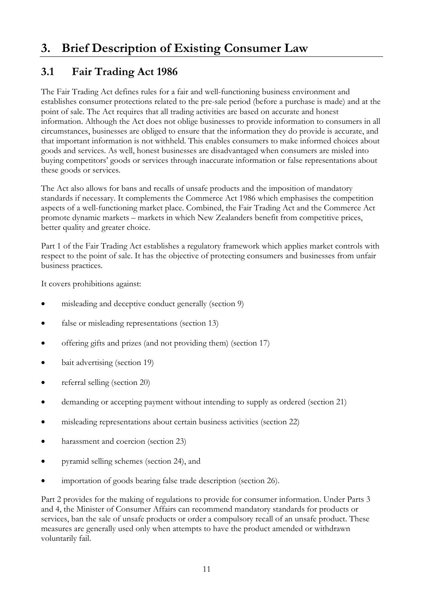# <span id="page-11-0"></span>**3. Brief Description of Existing Consumer Law**

# **3.1 Fair Trading Act 1986**

The Fair Trading Act defines rules for a fair and well-functioning business environment and establishes consumer protections related to the pre-sale period (before a purchase is made) and at the point of sale. The Act requires that all trading activities are based on accurate and honest information. Although the Act does not oblige businesses to provide information to consumers in all circumstances, businesses are obliged to ensure that the information they do provide is accurate, and that important information is not withheld. This enables consumers to make informed choices about goods and services. As well, honest businesses are disadvantaged when consumers are misled into buying competitors' goods or services through inaccurate information or false representations about these goods or services.

The Act also allows for bans and recalls of unsafe products and the imposition of mandatory standards if necessary. It complements the Commerce Act 1986 which emphasises the competition aspects of a well-functioning market place. Combined, the Fair Trading Act and the Commerce Act promote dynamic markets – markets in which New Zealanders benefit from competitive prices, better quality and greater choice.

Part 1 of the Fair Trading Act establishes a regulatory framework which applies market controls with respect to the point of sale. It has the objective of protecting consumers and businesses from unfair business practices.

It covers prohibitions against:

- misleading and deceptive conduct generally (section 9)
- false or misleading representations (section 13)
- offering gifts and prizes (and not providing them) (section 17)
- bait advertising (section 19)
- referral selling (section 20)
- demanding or accepting payment without intending to supply as ordered (section 21)
- misleading representations about certain business activities (section 22)
- harassment and coercion (section 23)
- pyramid selling schemes (section 24), and
- importation of goods bearing false trade description (section 26).

Part 2 provides for the making of regulations to provide for consumer information. Under Parts 3 and 4, the Minister of Consumer Affairs can recommend mandatory standards for products or services, ban the sale of unsafe products or order a compulsory recall of an unsafe product. These measures are generally used only when attempts to have the product amended or withdrawn voluntarily fail.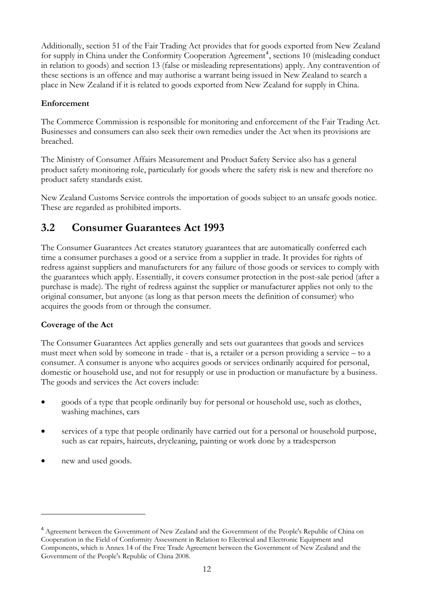<span id="page-12-0"></span>Additionally, section 51 of the Fair Trading Act provides that for goods exported from New Zealand for supply in China under the Conformity Cooperation Agreement<sup>[4](#page-12-0)</sup>, sections 10 (misleading conduct in relation to goods) and section 13 (false or misleading representations) apply. Any contravention of these sections is an offence and may authorise a warrant being issued in New Zealand to search a place in New Zealand if it is related to goods exported from New Zealand for supply in China.

## **Enforcement**

The Commerce Commission is responsible for monitoring and enforcement of the Fair Trading Act. Businesses and consumers can also seek their own remedies under the Act when its provisions are breached.

The Ministry of Consumer Affairs Measurement and Product Safety Service also has a general product safety monitoring role, particularly for goods where the safety risk is new and therefore no product safety standards exist.

New Zealand Customs Service controls the importation of goods subject to an unsafe goods notice. These are regarded as prohibited imports.

# **3.2 Consumer Guarantees Act 1993**

The Consumer Guarantees Act creates statutory guarantees that are automatically conferred each time a consumer purchases a good or a service from a supplier in trade. It provides for rights of redress against suppliers and manufacturers for any failure of those goods or services to comply with the guarantees which apply. Essentially, it covers consumer protection in the post-sale period (after a purchase is made). The right of redress against the supplier or manufacturer applies not only to the original consumer, but anyone (as long as that person meets the definition of consumer) who acquires the goods from or through the consumer.

# **Coverage of the Act**

The Consumer Guarantees Act applies generally and sets out guarantees that goods and services must meet when sold by someone in trade - that is, a retailer or a person providing a service – to a consumer. A consumer is anyone who acquires goods or services ordinarily acquired for personal, domestic or household use, and not for resupply or use in production or manufacture by a business. The goods and services the Act covers include:

- goods of a type that people ordinarily buy for personal or household use, such as clothes, washing machines, cars
- services of a type that people ordinarily have carried out for a personal or household purpose, such as car repairs, haircuts, drycleaning, painting or work done by a tradesperson
- new and used goods.

 $\overline{a}$ 

<sup>&</sup>lt;sup>4</sup> Agreement between the Government of New Zealand and the Government of the People's Republic of China on Cooperation in the Field of Conformity Assessment in Relation to Electrical and Electronic Equipment and Components, which is Annex 14 of the Free Trade Agreement between the Government of New Zealand and the Government of the People's Republic of China 2008.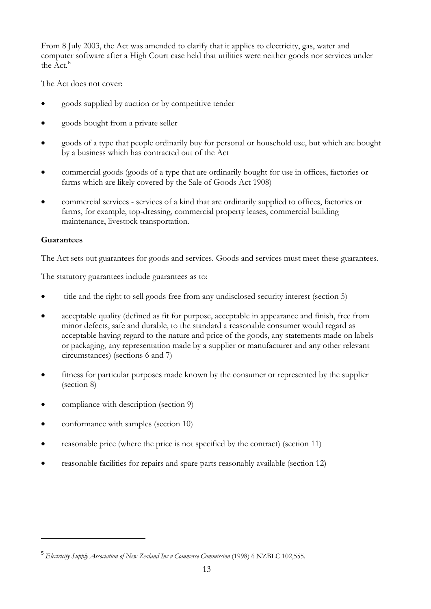<span id="page-13-0"></span>From 8 July 2003, the Act was amended to clarify that it applies to electricity, gas, water and computer software after a High Court case held that utilities were neither goods nor services under the Act.<sup>[5](#page-13-0)</sup>

The Act does not cover:

- goods supplied by auction or by competitive tender
- goods bought from a private seller
- goods of a type that people ordinarily buy for personal or household use, but which are bought by a business which has contracted out of the Act
- commercial goods (goods of a type that are ordinarily bought for use in offices, factories or farms which are likely covered by the Sale of Goods Act 1908)
- commercial services services of a kind that are ordinarily supplied to offices, factories or farms, for example, top-dressing, commercial property leases, commercial building maintenance, livestock transportation.

## **Guarantees**

 $\overline{a}$ 

The Act sets out guarantees for goods and services. Goods and services must meet these guarantees.

The statutory guarantees include guarantees as to:

- title and the right to sell goods free from any undisclosed security interest (section 5)
- acceptable quality (defined as fit for purpose, acceptable in appearance and finish, free from minor defects, safe and durable, to the standard a reasonable consumer would regard as acceptable having regard to the nature and price of the goods, any statements made on labels or packaging, any representation made by a supplier or manufacturer and any other relevant circumstances) (sections 6 and 7)
- fitness for particular purposes made known by the consumer or represented by the supplier (section 8)
- compliance with description (section 9)
- conformance with samples (section 10)
- reasonable price (where the price is not specified by the contract) (section 11)
- reasonable facilities for repairs and spare parts reasonably available (section 12)

<sup>5</sup> *Electricity Supply Association of New Zealand Inc v Commerce Commission* (1998) 6 NZBLC 102,555.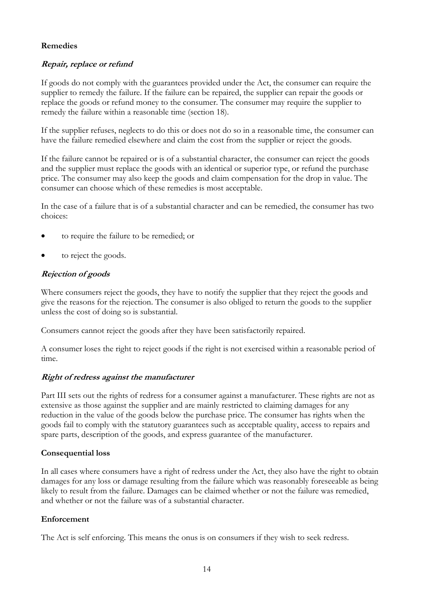## **Remedies**

## **Repair, replace or refund**

If goods do not comply with the guarantees provided under the Act, the consumer can require the supplier to remedy the failure. If the failure can be repaired, the supplier can repair the goods or replace the goods or refund money to the consumer. The consumer may require the supplier to remedy the failure within a reasonable time (section 18).

If the supplier refuses, neglects to do this or does not do so in a reasonable time, the consumer can have the failure remedied elsewhere and claim the cost from the supplier or reject the goods.

If the failure cannot be repaired or is of a substantial character, the consumer can reject the goods and the supplier must replace the goods with an identical or superior type, or refund the purchase price. The consumer may also keep the goods and claim compensation for the drop in value. The consumer can choose which of these remedies is most acceptable.

In the case of a failure that is of a substantial character and can be remedied, the consumer has two choices:

- to require the failure to be remedied; or
- to reject the goods.

## **Rejection of goods**

Where consumers reject the goods, they have to notify the supplier that they reject the goods and give the reasons for the rejection. The consumer is also obliged to return the goods to the supplier unless the cost of doing so is substantial.

Consumers cannot reject the goods after they have been satisfactorily repaired.

A consumer loses the right to reject goods if the right is not exercised within a reasonable period of time.

#### **Right of redress against the manufacturer**

Part III sets out the rights of redress for a consumer against a manufacturer. These rights are not as extensive as those against the supplier and are mainly restricted to claiming damages for any reduction in the value of the goods below the purchase price. The consumer has rights when the goods fail to comply with the statutory guarantees such as acceptable quality, access to repairs and spare parts, description of the goods, and express guarantee of the manufacturer.

#### **Consequential loss**

In all cases where consumers have a right of redress under the Act, they also have the right to obtain damages for any loss or damage resulting from the failure which was reasonably foreseeable as being likely to result from the failure. Damages can be claimed whether or not the failure was remedied, and whether or not the failure was of a substantial character.

#### **Enforcement**

The Act is self enforcing. This means the onus is on consumers if they wish to seek redress.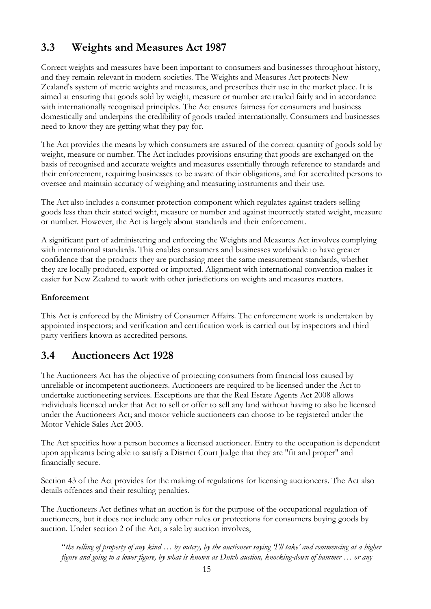# <span id="page-15-0"></span>**3.3 Weights and Measures Act 1987**

Correct weights and measures have been important to consumers and businesses throughout history, and they remain relevant in modern societies. The Weights and Measures Act protects New Zealand's system of metric weights and measures, and prescribes their use in the market place. It is aimed at ensuring that goods sold by weight, measure or number are traded fairly and in accordance with internationally recognised principles. The Act ensures fairness for consumers and business domestically and underpins the credibility of goods traded internationally. Consumers and businesses need to know they are getting what they pay for.

The Act provides the means by which consumers are assured of the correct quantity of goods sold by weight, measure or number. The Act includes provisions ensuring that goods are exchanged on the basis of recognised and accurate weights and measures essentially through reference to standards and their enforcement, requiring businesses to be aware of their obligations, and for accredited persons to oversee and maintain accuracy of weighing and measuring instruments and their use.

The Act also includes a consumer protection component which regulates against traders selling goods less than their stated weight, measure or number and against incorrectly stated weight, measure or number. However, the Act is largely about standards and their enforcement.

A significant part of administering and enforcing the Weights and Measures Act involves complying with international standards. This enables consumers and businesses worldwide to have greater confidence that the products they are purchasing meet the same measurement standards, whether they are locally produced, exported or imported. Alignment with international convention makes it easier for New Zealand to work with other jurisdictions on weights and measures matters.

# **Enforcement**

This Act is enforced by the Ministry of Consumer Affairs. The enforcement work is undertaken by appointed inspectors; and verification and certification work is carried out by inspectors and third party verifiers known as accredited persons.

# **3.4 Auctioneers Act 1928**

The Auctioneers Act has the objective of protecting consumers from financial loss caused by unreliable or incompetent auctioneers. Auctioneers are required to be licensed under the Act to undertake auctioneering services. Exceptions are that the Real Estate Agents Act 2008 allows individuals licensed under that Act to sell or offer to sell any land without having to also be licensed under the Auctioneers Act; and motor vehicle auctioneers can choose to be registered under the Motor Vehicle Sales Act 2003.

The Act specifies how a person becomes a licensed auctioneer. Entry to the occupation is dependent upon applicants being able to satisfy a District Court Judge that they are "fit and proper" and financially secure.

Section 43 of the Act provides for the making of regulations for licensing auctioneers. The Act also details offences and their resulting penalties.

The Auctioneers Act defines what an auction is for the purpose of the occupational regulation of auctioneers, but it does not include any other rules or protections for consumers buying goods by auction. Under section 2 of the Act, a sale by auction involves,

"*the selling of property of any kind … by outcry, by the auctioneer saying 'I'll take' and commencing at a higher figure and going to a lower figure, by what is known as Dutch auction, knocking-down of hammer … or any*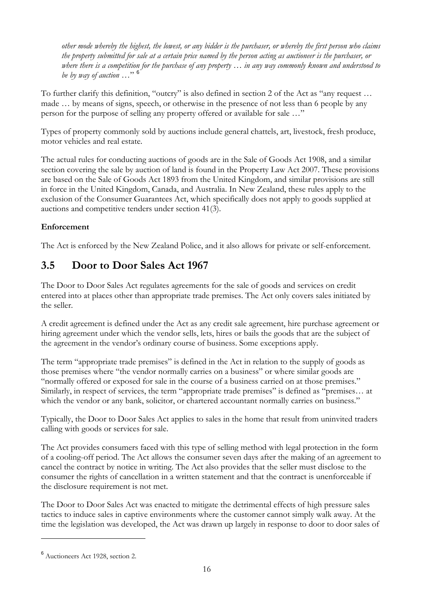<span id="page-16-0"></span>*other mode whereby the highest, the lowest, or any bidder is the purchaser, or whereby the first person who claims the property submitted for sale at a certain price named by the person acting as auctioneer is the purchaser, or where there is a competition for the purchase of any property … in any way commonly known and understood to be by way of auction …*" [6](#page-16-0)

To further clarify this definition, "outcry" is also defined in section 2 of the Act as "any request … made … by means of signs, speech, or otherwise in the presence of not less than 6 people by any person for the purpose of selling any property offered or available for sale …"

Types of property commonly sold by auctions include general chattels, art, livestock, fresh produce, motor vehicles and real estate.

The actual rules for conducting auctions of goods are in the Sale of Goods Act 1908, and a similar section covering the sale by auction of land is found in the Property Law Act 2007. These provisions are based on the Sale of Goods Act 1893 from the United Kingdom, and similar provisions are still in force in the United Kingdom, Canada, and Australia. In New Zealand, these rules apply to the exclusion of the Consumer Guarantees Act, which specifically does not apply to goods supplied at auctions and competitive tenders under section 41(3).

# **Enforcement**

The Act is enforced by the New Zealand Police, and it also allows for private or self-enforcement.

# **3.5 Door to Door Sales Act 1967**

The Door to Door Sales Act regulates agreements for the sale of goods and services on credit entered into at places other than appropriate trade premises. The Act only covers sales initiated by the seller.

A credit agreement is defined under the Act as any credit sale agreement, hire purchase agreement or hiring agreement under which the vendor sells, lets, hires or bails the goods that are the subject of the agreement in the vendor's ordinary course of business. Some exceptions apply.

The term "appropriate trade premises" is defined in the Act in relation to the supply of goods as those premises where "the vendor normally carries on a business" or where similar goods are "normally offered or exposed for sale in the course of a business carried on at those premises." Similarly, in respect of services, the term "appropriate trade premises" is defined as "premises... at which the vendor or any bank, solicitor, or chartered accountant normally carries on business."

Typically, the Door to Door Sales Act applies to sales in the home that result from uninvited traders calling with goods or services for sale.

The Act provides consumers faced with this type of selling method with legal protection in the form of a cooling-off period. The Act allows the consumer seven days after the making of an agreement to cancel the contract by notice in writing. The Act also provides that the seller must disclose to the consumer the rights of cancellation in a written statement and that the contract is unenforceable if the disclosure requirement is not met.

The Door to Door Sales Act was enacted to mitigate the detrimental effects of high pressure sales tactics to induce sales in captive environments where the customer cannot simply walk away. At the time the legislation was developed, the Act was drawn up largely in response to door to door sales of

 $\overline{a}$ 

<sup>6</sup> Auctioneers Act 1928, section 2.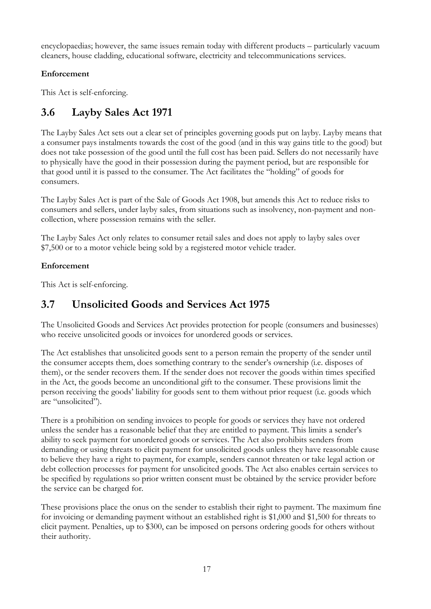<span id="page-17-0"></span>encyclopaedias; however, the same issues remain today with different products – particularly vacuum cleaners, house cladding, educational software, electricity and telecommunications services.

# **Enforcement**

This Act is self-enforcing.

# **3.6 Layby Sales Act 1971**

The Layby Sales Act sets out a clear set of principles governing goods put on layby. Layby means that a consumer pays instalments towards the cost of the good (and in this way gains title to the good) but does not take possession of the good until the full cost has been paid. Sellers do not necessarily have to physically have the good in their possession during the payment period, but are responsible for that good until it is passed to the consumer. The Act facilitates the "holding" of goods for consumers.

The Layby Sales Act is part of the Sale of Goods Act 1908, but amends this Act to reduce risks to consumers and sellers, under layby sales, from situations such as insolvency, non-payment and noncollection, where possession remains with the seller.

The Layby Sales Act only relates to consumer retail sales and does not apply to layby sales over \$7,500 or to a motor vehicle being sold by a registered motor vehicle trader.

# **Enforcement**

This Act is self-enforcing.

# **3.7 Unsolicited Goods and Services Act 1975**

The Unsolicited Goods and Services Act provides protection for people (consumers and businesses) who receive unsolicited goods or invoices for unordered goods or services.

The Act establishes that unsolicited goods sent to a person remain the property of the sender until the consumer accepts them, does something contrary to the sender's ownership (i.e. disposes of them), or the sender recovers them. If the sender does not recover the goods within times specified in the Act, the goods become an unconditional gift to the consumer. These provisions limit the person receiving the goods' liability for goods sent to them without prior request (i.e. goods which are "unsolicited").

There is a prohibition on sending invoices to people for goods or services they have not ordered unless the sender has a reasonable belief that they are entitled to payment. This limits a sender's ability to seek payment for unordered goods or services. The Act also prohibits senders from demanding or using threats to elicit payment for unsolicited goods unless they have reasonable cause to believe they have a right to payment, for example, senders cannot threaten or take legal action or debt collection processes for payment for unsolicited goods. The Act also enables certain services to be specified by regulations so prior written consent must be obtained by the service provider before the service can be charged for.

These provisions place the onus on the sender to establish their right to payment. The maximum fine for invoicing or demanding payment without an established right is \$1,000 and \$1,500 for threats to elicit payment. Penalties, up to \$300, can be imposed on persons ordering goods for others without their authority.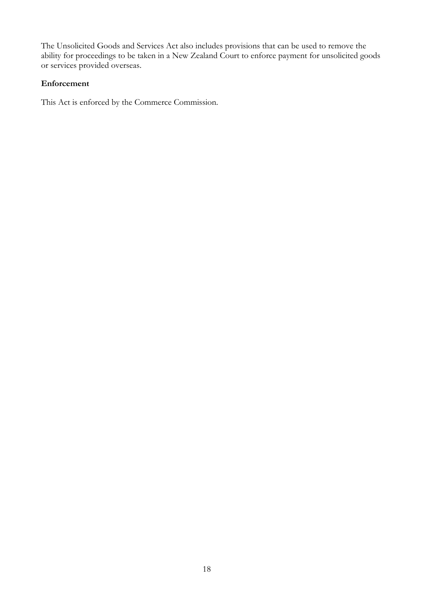The Unsolicited Goods and Services Act also includes provisions that can be used to remove the ability for proceedings to be taken in a New Zealand Court to enforce payment for unsolicited goods or services provided overseas.

## **Enforcement**

This Act is enforced by the Commerce Commission.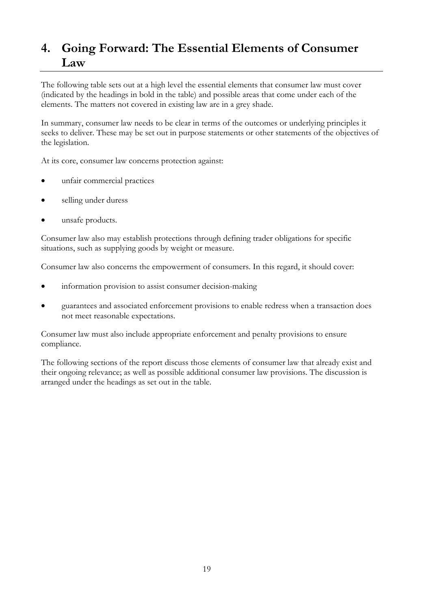# <span id="page-19-0"></span>**4. Going Forward: The Essential Elements of Consumer Law**

The following table sets out at a high level the essential elements that consumer law must cover (indicated by the headings in bold in the table) and possible areas that come under each of the elements. The matters not covered in existing law are in a grey shade.

In summary, consumer law needs to be clear in terms of the outcomes or underlying principles it seeks to deliver. These may be set out in purpose statements or other statements of the objectives of the legislation.

At its core, consumer law concerns protection against:

- unfair commercial practices
- selling under duress
- unsafe products.

Consumer law also may establish protections through defining trader obligations for specific situations, such as supplying goods by weight or measure.

Consumer law also concerns the empowerment of consumers. In this regard, it should cover:

- information provision to assist consumer decision-making
- guarantees and associated enforcement provisions to enable redress when a transaction does not meet reasonable expectations.

Consumer law must also include appropriate enforcement and penalty provisions to ensure compliance.

The following sections of the report discuss those elements of consumer law that already exist and their ongoing relevance; as well as possible additional consumer law provisions. The discussion is arranged under the headings as set out in the table.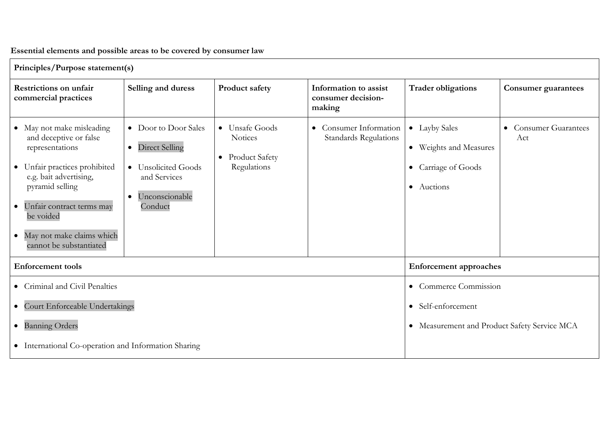# **Essential elements and possible areas to be covered by consumer law**

| Principles/Purpose statement(s)                                                                                                                                                                                                                                                  |                                                                                                                                |                                                                                       |                                                        |                                                                              |                              |  |  |  |  |  |
|----------------------------------------------------------------------------------------------------------------------------------------------------------------------------------------------------------------------------------------------------------------------------------|--------------------------------------------------------------------------------------------------------------------------------|---------------------------------------------------------------------------------------|--------------------------------------------------------|------------------------------------------------------------------------------|------------------------------|--|--|--|--|--|
| <b>Restrictions on unfair</b><br>commercial practices                                                                                                                                                                                                                            | Selling and duress                                                                                                             | Product safety                                                                        | Information to assist<br>consumer decision-<br>making  | <b>Trader obligations</b>                                                    | <b>Consumer guarantees</b>   |  |  |  |  |  |
| • May not make misleading<br>and deceptive or false<br>representations<br>• Unfair practices prohibited<br>e.g. bait advertising,<br>pyramid selling<br>Unfair contract terms may<br>$\bullet$<br>be voided<br>May not make claims which<br>$\bullet$<br>cannot be substantiated | • Door to Door Sales<br><b>Direct Selling</b><br>$\bullet$<br>• Unsolicited Goods<br>and Services<br>Unconscionable<br>Conduct | • Unsafe Goods<br><b>Notices</b><br><b>Product Safety</b><br>$\bullet$<br>Regulations | • Consumer Information<br><b>Standards Regulations</b> | • Layby Sales<br>• Weights and Measures<br>• Carriage of Goods<br>• Auctions | • Consumer Guarantees<br>Act |  |  |  |  |  |
| <b>Enforcement</b> tools                                                                                                                                                                                                                                                         |                                                                                                                                | <b>Enforcement approaches</b>                                                         |                                                        |                                                                              |                              |  |  |  |  |  |
| • Criminal and Civil Penalties                                                                                                                                                                                                                                                   |                                                                                                                                | • Commerce Commission                                                                 |                                                        |                                                                              |                              |  |  |  |  |  |
| • Court Enforceable Undertakings                                                                                                                                                                                                                                                 |                                                                                                                                | • Self-enforcement                                                                    |                                                        |                                                                              |                              |  |  |  |  |  |
| · Banning Orders                                                                                                                                                                                                                                                                 |                                                                                                                                | • Measurement and Product Safety Service MCA                                          |                                                        |                                                                              |                              |  |  |  |  |  |
| • International Co-operation and Information Sharing                                                                                                                                                                                                                             |                                                                                                                                |                                                                                       |                                                        |                                                                              |                              |  |  |  |  |  |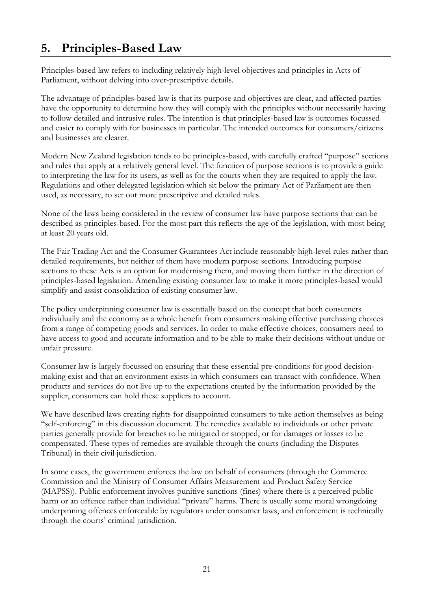# <span id="page-21-0"></span>**5. Principles-Based Law**

Principles-based law refers to including relatively high-level objectives and principles in Acts of Parliament, without delving into over-prescriptive details.

The advantage of principles-based law is that its purpose and objectives are clear, and affected parties have the opportunity to determine how they will comply with the principles without necessarily having to follow detailed and intrusive rules. The intention is that principles-based law is outcomes focussed and easier to comply with for businesses in particular. The intended outcomes for consumers/citizens and businesses are clearer.

Modern New Zealand legislation tends to be principles-based, with carefully crafted "purpose" sections and rules that apply at a relatively general level. The function of purpose sections is to provide a guide to interpreting the law for its users, as well as for the courts when they are required to apply the law. Regulations and other delegated legislation which sit below the primary Act of Parliament are then used, as necessary, to set out more prescriptive and detailed rules.

None of the laws being considered in the review of consumer law have purpose sections that can be described as principles-based. For the most part this reflects the age of the legislation, with most being at least 20 years old.

The Fair Trading Act and the Consumer Guarantees Act include reasonably high-level rules rather than detailed requirements, but neither of them have modern purpose sections. Introducing purpose sections to these Acts is an option for modernising them, and moving them further in the direction of principles-based legislation. Amending existing consumer law to make it more principles-based would simplify and assist consolidation of existing consumer law.

The policy underpinning consumer law is essentially based on the concept that both consumers individually and the economy as a whole benefit from consumers making effective purchasing choices from a range of competing goods and services. In order to make effective choices, consumers need to have access to good and accurate information and to be able to make their decisions without undue or unfair pressure.

Consumer law is largely focussed on ensuring that these essential pre-conditions for good decisionmaking exist and that an environment exists in which consumers can transact with confidence. When products and services do not live up to the expectations created by the information provided by the supplier, consumers can hold these suppliers to account.

We have described laws creating rights for disappointed consumers to take action themselves as being "self-enforcing" in this discussion document. The remedies available to individuals or other private parties generally provide for breaches to be mitigated or stopped, or for damages or losses to be compensated. These types of remedies are available through the courts (including the Disputes Tribunal) in their civil jurisdiction.

In some cases, the government enforces the law on behalf of consumers (through the Commerce Commission and the Ministry of Consumer Affairs Measurement and Product Safety Service (MAPSS)). Public enforcement involves punitive sanctions (fines) where there is a perceived public harm or an offence rather than individual "private" harms. There is usually some moral wrongdoing underpinning offences enforceable by regulators under consumer laws, and enforcement is technically through the courts' criminal jurisdiction.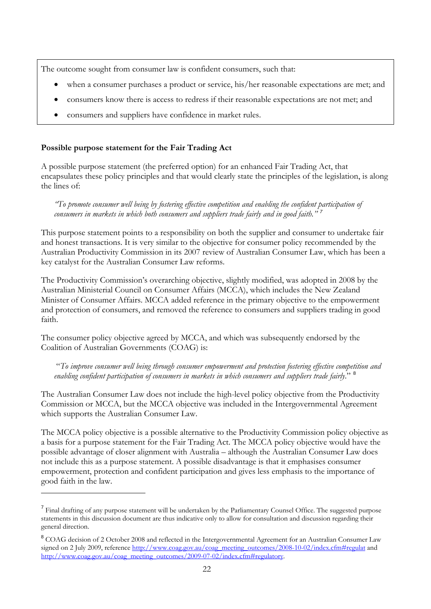<span id="page-22-0"></span>The outcome sought from consumer law is confident consumers, such that:

- when a consumer purchases a product or service, his/her reasonable expectations are met; and
- consumers know there is access to redress if their reasonable expectations are not met; and
- consumers and suppliers have confidence in market rules.

## **Possible purpose statement for the Fair Trading Act**

 $\overline{a}$ 

A possible purpose statement (the preferred option) for an enhanced Fair Trading Act, that encapsulates these policy principles and that would clearly state the principles of the legislation, is along the lines of:

*"To promote consumer well being by fostering effective competition and enabling the confident participation of consumers in markets in which both consumers and suppliers trade fairly and in good faith." [7](#page-22-0)*

This purpose statement points to a responsibility on both the supplier and consumer to undertake fair and honest transactions. It is very similar to the objective for consumer policy recommended by the Australian Productivity Commission in its 2007 review of Australian Consumer Law, which has been a key catalyst for the Australian Consumer Law reforms.

The Productivity Commission's overarching objective, slightly modified, was adopted in 2008 by the Australian Ministerial Council on Consumer Affairs (MCCA), which includes the New Zealand Minister of Consumer Affairs. MCCA added reference in the primary objective to the empowerment and protection of consumers, and removed the reference to consumers and suppliers trading in good faith.

The consumer policy objective agreed by MCCA, and which was subsequently endorsed by the Coalition of Australian Governments (COAG) is:

 "*To improve consumer well being through consumer empowerment and protection fostering effective competition and enabling confident participation of consumers in markets in which consumers and suppliers trade fairly*." [8](#page-22-0)

The Australian Consumer Law does not include the high-level policy objective from the Productivity Commission or MCCA, but the MCCA objective was included in the Intergovernmental Agreement which supports the Australian Consumer Law.

The MCCA policy objective is a possible alternative to the Productivity Commission policy objective as a basis for a purpose statement for the Fair Trading Act. The MCCA policy objective would have the possible advantage of closer alignment with Australia – although the Australian Consumer Law does not include this as a purpose statement. A possible disadvantage is that it emphasises consumer empowerment, protection and confident participation and gives less emphasis to the importance of good faith in the law.

<sup>&</sup>lt;sup>7</sup> Final drafting of any purpose statement will be undertaken by the Parliamentary Counsel Office. The suggested purpose statements in this discussion document are thus indicative only to allow for consultation and discussion regarding their general direction.

<sup>&</sup>lt;sup>8</sup> COAG decision of 2 October 2008 and reflected in the Intergovernmental Agreement for an Australian Consumer Law signed on 2 July 2009, reference [http://www.coag.gov.au/coag\\_meeting\\_outcomes/2008-10-02/index.cfm#regulat](http://www.coag.gov.au/coag_meeting_outcomes/2008-10-02/index.cfm#regulat) and [http://www.coag.gov.au/coag\\_meeting\\_outcomes/2009-07-02/index.cfm#regulatory.](http://www.coag.gov.au/coag_meeting_outcomes/2009-07-02/index.cfm#regulatory)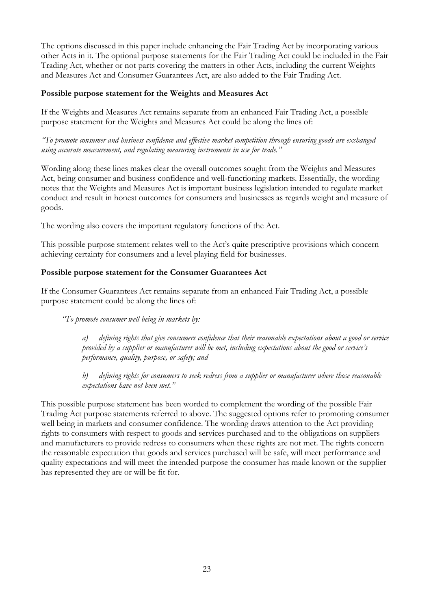The options discussed in this paper include enhancing the Fair Trading Act by incorporating various other Acts in it. The optional purpose statements for the Fair Trading Act could be included in the Fair Trading Act, whether or not parts covering the matters in other Acts, including the current Weights and Measures Act and Consumer Guarantees Act, are also added to the Fair Trading Act.

## **Possible purpose statement for the Weights and Measures Act**

If the Weights and Measures Act remains separate from an enhanced Fair Trading Act, a possible purpose statement for the Weights and Measures Act could be along the lines of:

*"To promote consumer and business confidence and effective market competition through ensuring goods are exchanged using accurate measurement, and regulating measuring instruments in use for trade."* 

Wording along these lines makes clear the overall outcomes sought from the Weights and Measures Act, being consumer and business confidence and well-functioning markets. Essentially, the wording notes that the Weights and Measures Act is important business legislation intended to regulate market conduct and result in honest outcomes for consumers and businesses as regards weight and measure of goods.

The wording also covers the important regulatory functions of the Act.

This possible purpose statement relates well to the Act's quite prescriptive provisions which concern achieving certainty for consumers and a level playing field for businesses.

## **Possible purpose statement for the Consumer Guarantees Act**

If the Consumer Guarantees Act remains separate from an enhanced Fair Trading Act, a possible purpose statement could be along the lines of:

*"To promote consumer well being in markets by:* 

*a) defining rights that give consumers confidence that their reasonable expectations about a good or service provided by a supplier or manufacturer will be met, including expectations about the good or service's performance, quality, purpose, or safety; and* 

*b) defining rights for consumers to seek redress from a supplier or manufacturer where those reasonable expectations have not been met."* 

This possible purpose statement has been worded to complement the wording of the possible Fair Trading Act purpose statements referred to above. The suggested options refer to promoting consumer well being in markets and consumer confidence. The wording draws attention to the Act providing rights to consumers with respect to goods and services purchased and to the obligations on suppliers and manufacturers to provide redress to consumers when these rights are not met. The rights concern the reasonable expectation that goods and services purchased will be safe, will meet performance and quality expectations and will meet the intended purpose the consumer has made known or the supplier has represented they are or will be fit for.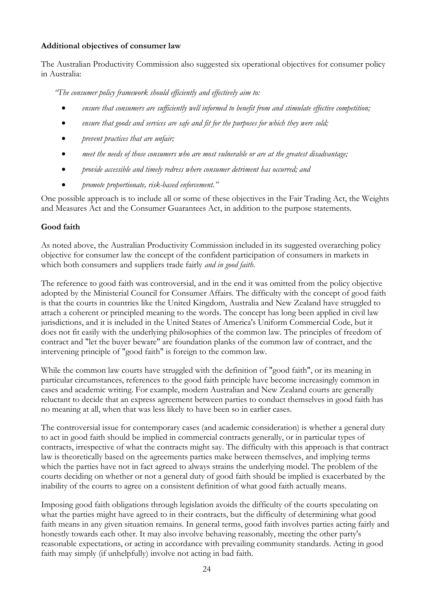## **Additional objectives of consumer law**

The Australian Productivity Commission also suggested six operational objectives for consumer policy in Australia:

*"The consumer policy framework should efficiently and effectively aim to:* 

- *ensure that consumers are sufficiently well informed to benefit from and stimulate effective competition;*
- *ensure that goods and services are safe and fit for the purposes for which they were sold;*
- *prevent practices that are unfair;*
- *meet the needs of those consumers who are most vulnerable or are at the greatest disadvantage;*
- *provide accessible and timely redress where consumer detriment has occurred; and*
- *promote proportionate, risk-based enforcement."*

One possible approach is to include all or some of these objectives in the Fair Trading Act, the Weights and Measures Act and the Consumer Guarantees Act, in addition to the purpose statements.

## **Good faith**

As noted above, the Australian Productivity Commission included in its suggested overarching policy objective for consumer law the concept of the confident participation of consumers in markets in which both consumers and suppliers trade fairly *and in good faith*.

The reference to good faith was controversial, and in the end it was omitted from the policy objective adopted by the Ministerial Council for Consumer Affairs. The difficulty with the concept of good faith is that the courts in countries like the United Kingdom, Australia and New Zealand have struggled to attach a coherent or principled meaning to the words. The concept has long been applied in civil law jurisdictions, and it is included in the United States of America's Uniform Commercial Code, but it does not fit easily with the underlying philosophies of the common law. The principles of freedom of contract and "let the buyer beware" are foundation planks of the common law of contract, and the intervening principle of "good faith" is foreign to the common law.

While the common law courts have struggled with the definition of "good faith", or its meaning in particular circumstances, references to the good faith principle have become increasingly common in cases and academic writing. For example, modern Australian and New Zealand courts are generally reluctant to decide that an express agreement between parties to conduct themselves in good faith has no meaning at all, when that was less likely to have been so in earlier cases.

The controversial issue for contemporary cases (and academic consideration) is whether a general duty to act in good faith should be implied in commercial contracts generally, or in particular types of contracts, irrespective of what the contracts might say. The difficulty with this approach is that contract law is theoretically based on the agreements parties make between themselves, and implying terms which the parties have not in fact agreed to always strains the underlying model. The problem of the courts deciding on whether or not a general duty of good faith should be implied is exacerbated by the inability of the courts to agree on a consistent definition of what good faith actually means.

Imposing good faith obligations through legislation avoids the difficulty of the courts speculating on what the parties might have agreed to in their contracts, but the difficulty of determining what good faith means in any given situation remains. In general terms, good faith involves parties acting fairly and honestly towards each other. It may also involve behaving reasonably, meeting the other party's reasonable expectations, or acting in accordance with prevailing community standards. Acting in good faith may simply (if unhelpfully) involve not acting in bad faith.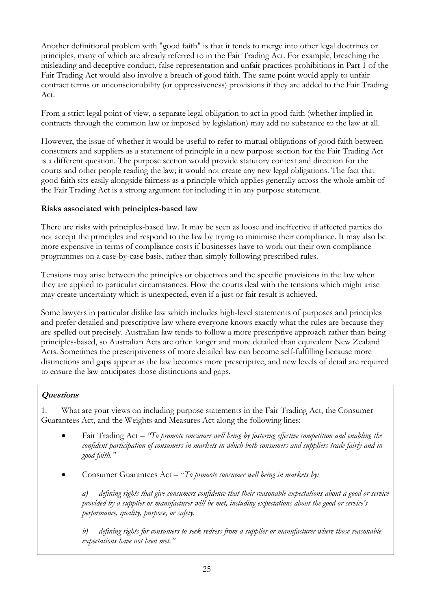Another definitional problem with "good faith" is that it tends to merge into other legal doctrines or principles, many of which are already referred to in the Fair Trading Act. For example, breaching the misleading and deceptive conduct, false representation and unfair practices prohibitions in Part 1 of the Fair Trading Act would also involve a breach of good faith. The same point would apply to unfair contract terms or unconscionability (or oppressiveness) provisions if they are added to the Fair Trading Act.

From a strict legal point of view, a separate legal obligation to act in good faith (whether implied in contracts through the common law or imposed by legislation) may add no substance to the law at all.

However, the issue of whether it would be useful to refer to mutual obligations of good faith between consumers and suppliers as a statement of principle in a new purpose section for the Fair Trading Act is a different question. The purpose section would provide statutory context and direction for the courts and other people reading the law; it would not create any new legal obligations. The fact that good faith sits easily alongside fairness as a principle which applies generally across the whole ambit of the Fair Trading Act is a strong argument for including it in any purpose statement.

## **Risks associated with principles-based law**

There are risks with principles-based law. It may be seen as loose and ineffective if affected parties do not accept the principles and respond to the law by trying to minimise their compliance. It may also be more expensive in terms of compliance costs if businesses have to work out their own compliance programmes on a case-by-case basis, rather than simply following prescribed rules.

Tensions may arise between the principles or objectives and the specific provisions in the law when they are applied to particular circumstances. How the courts deal with the tensions which might arise may create uncertainty which is unexpected, even if a just or fair result is achieved.

Some lawyers in particular dislike law which includes high-level statements of purposes and principles and prefer detailed and prescriptive law where everyone knows exactly what the rules are because they are spelled out precisely. Australian law tends to follow a more prescriptive approach rather than being principles-based, so Australian Acts are often longer and more detailed than equivalent New Zealand Acts. Sometimes the prescriptiveness of more detailed law can become self-fulfilling because more distinctions and gaps appear as the law becomes more prescriptive, and new levels of detail are required to ensure the law anticipates those distinctions and gaps.

# **Questions**

1. What are your views on including purpose statements in the Fair Trading Act, the Consumer Guarantees Act, and the Weights and Measures Act along the following lines:

- Fair Trading Act *"To promote consumer well being by fostering effective competition and enabling the confident participation of consumers in markets in which both consumers and suppliers trade fairly and in good faith."*
- Consumer Guarantees Act "*To promote consumer well being in markets by:*

*a) defining rights that give consumers confidence that their reasonable expectations about a good or service provided by a supplier or manufacturer will be met, including expectations about the good or service's performance, quality, purpose, or safety.* 

*b) defining rights for consumers to seek redress from a supplier or manufacturer where those reasonable expectations have not been met."*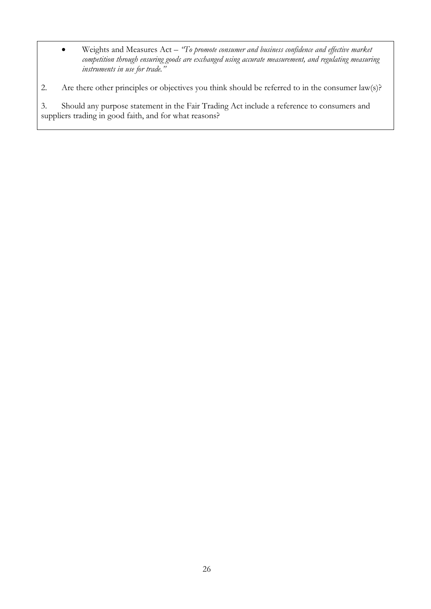• Weights and Measures Act – *"To promote consumer and business confidence and effective market competition through ensuring goods are exchanged using accurate measurement, and regulating measuring instruments in use for trade."* 

2. Are there other principles or objectives you think should be referred to in the consumer law(s)?

3. Should any purpose statement in the Fair Trading Act include a reference to consumers and suppliers trading in good faith, and for what reasons?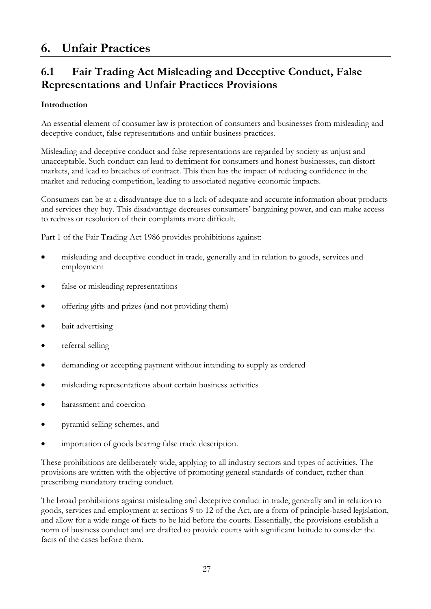# <span id="page-27-0"></span>**6. Unfair Practices**

# **6.1 Fair Trading Act Misleading and Deceptive Conduct, False Representations and Unfair Practices Provisions**

## **Introduction**

An essential element of consumer law is protection of consumers and businesses from misleading and deceptive conduct, false representations and unfair business practices.

Misleading and deceptive conduct and false representations are regarded by society as unjust and unacceptable. Such conduct can lead to detriment for consumers and honest businesses, can distort markets, and lead to breaches of contract. This then has the impact of reducing confidence in the market and reducing competition, leading to associated negative economic impacts.

Consumers can be at a disadvantage due to a lack of adequate and accurate information about products and services they buy. This disadvantage decreases consumers' bargaining power, and can make access to redress or resolution of their complaints more difficult.

Part 1 of the Fair Trading Act 1986 provides prohibitions against:

- misleading and deceptive conduct in trade, generally and in relation to goods, services and employment
- false or misleading representations
- offering gifts and prizes (and not providing them)
- bait advertising
- referral selling
- demanding or accepting payment without intending to supply as ordered
- misleading representations about certain business activities
- harassment and coercion
- pyramid selling schemes, and
- importation of goods bearing false trade description.

These prohibitions are deliberately wide, applying to all industry sectors and types of activities. The provisions are written with the objective of promoting general standards of conduct, rather than prescribing mandatory trading conduct.

The broad prohibitions against misleading and deceptive conduct in trade, generally and in relation to goods, services and employment at sections 9 to 12 of the Act, are a form of principle-based legislation, and allow for a wide range of facts to be laid before the courts. Essentially, the provisions establish a norm of business conduct and are drafted to provide courts with significant latitude to consider the facts of the cases before them.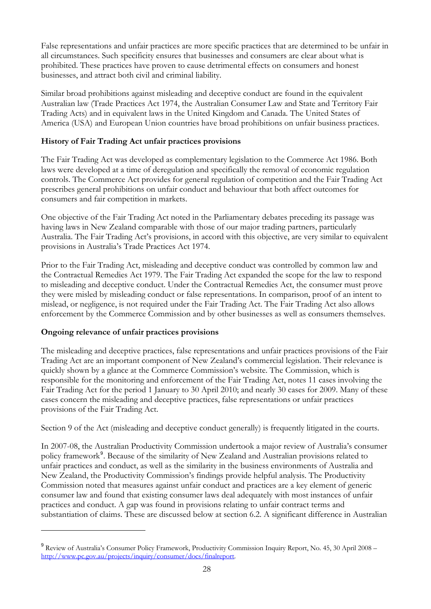<span id="page-28-0"></span>False representations and unfair practices are more specific practices that are determined to be unfair in all circumstances. Such specificity ensures that businesses and consumers are clear about what is prohibited. These practices have proven to cause detrimental effects on consumers and honest businesses, and attract both civil and criminal liability.

Similar broad prohibitions against misleading and deceptive conduct are found in the equivalent Australian law (Trade Practices Act 1974, the Australian Consumer Law and State and Territory Fair Trading Acts) and in equivalent laws in the United Kingdom and Canada. The United States of America (USA) and European Union countries have broad prohibitions on unfair business practices.

# **History of Fair Trading Act unfair practices provisions**

The Fair Trading Act was developed as complementary legislation to the Commerce Act 1986. Both laws were developed at a time of deregulation and specifically the removal of economic regulation controls. The Commerce Act provides for general regulation of competition and the Fair Trading Act prescribes general prohibitions on unfair conduct and behaviour that both affect outcomes for consumers and fair competition in markets.

One objective of the Fair Trading Act noted in the Parliamentary debates preceding its passage was having laws in New Zealand comparable with those of our major trading partners, particularly Australia. The Fair Trading Act's provisions, in accord with this objective, are very similar to equivalent provisions in Australia's Trade Practices Act 1974.

Prior to the Fair Trading Act, misleading and deceptive conduct was controlled by common law and the Contractual Remedies Act 1979. The Fair Trading Act expanded the scope for the law to respond to misleading and deceptive conduct. Under the Contractual Remedies Act, the consumer must prove they were misled by misleading conduct or false representations. In comparison, proof of an intent to mislead, or negligence, is not required under the Fair Trading Act. The Fair Trading Act also allows enforcement by the Commerce Commission and by other businesses as well as consumers themselves.

## **Ongoing relevance of unfair practices provisions**

 $\overline{a}$ 

The misleading and deceptive practices, false representations and unfair practices provisions of the Fair Trading Act are an important component of New Zealand's commercial legislation. Their relevance is quickly shown by a glance at the Commerce Commission's website. The Commission, which is responsible for the monitoring and enforcement of the Fair Trading Act, notes 11 cases involving the Fair Trading Act for the period 1 January to 30 April 2010; and nearly 30 cases for 2009. Many of these cases concern the misleading and deceptive practices, false representations or unfair practices provisions of the Fair Trading Act.

Section 9 of the Act (misleading and deceptive conduct generally) is frequently litigated in the courts.

New Zealand, the Productivity Commission's findings provide helpful analysis. The Productivity In 2007-08, the Australian Productivity Commission undertook a major review of Australia's consumer policy framework<sup>[9](#page-28-0)</sup>. Because of the similarity of New Zealand and Australian provisions related to unfair practices and conduct, as well as the similarity in the business environments of Australia and Commission noted that measures against unfair conduct and practices are a key element of generic consumer law and found that existing consumer laws deal adequately with most instances of unfair practices and conduct. A gap was found in provisions relating to unfair contract terms and substantiation of claims. These are discussed below at section 6.2. A significant difference in Australian

<sup>&</sup>lt;sup>9</sup> Review of Australia's Consumer Policy Framework, Productivity Commission Inquiry Report, No. 45, 30 April 2008 [http://www.pc.gov.au/projects/inquiry/consumer/docs/finalreport.](http://www.pc.gov.au/projects/inquiry/consumer/docs/finalreport)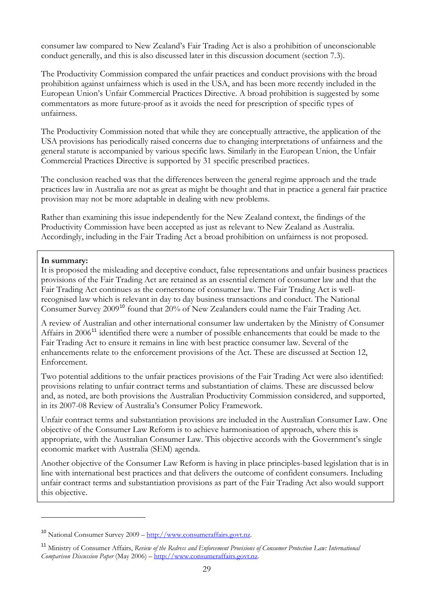<span id="page-29-0"></span>consumer law compared to New Zealand's Fair Trading Act is also a prohibition of unconscionable conduct generally, and this is also discussed later in this discussion document (section 7.3).

The Productivity Commission compared the unfair practices and conduct provisions with the broad prohibition against unfairness which is used in the USA, and has been more recently included in the European Union's Unfair Commercial Practices Directive. A broad prohibition is suggested by some commentators as more future-proof as it avoids the need for prescription of specific types of unfairness.

The Productivity Commission noted that while they are conceptually attractive, the application of the USA provisions has periodically raised concerns due to changing interpretations of unfairness and the general statute is accompanied by various specific laws. Similarly in the European Union, the Unfair Commercial Practices Directive is supported by 31 specific prescribed practices.

The conclusion reached was that the differences between the general regime approach and the trade practices law in Australia are not as great as might be thought and that in practice a general fair practice provision may not be more adaptable in dealing with new problems.

Rather than examining this issue independently for the New Zealand context, the findings of the Productivity Commission have been accepted as just as relevant to New Zealand as Australia. Accordingly, including in the Fair Trading Act a broad prohibition on unfairness is not proposed.

#### **In summary:**

 $\overline{a}$ 

It is proposed the misleading and deceptive conduct, false representations and unfair business practices provisions of the Fair Trading Act are retained as an essential element of consumer law and that the Fair Trading Act continues as the cornerstone of consumer law. The Fair Trading Act is wellrecognised law which is relevant in day to day business transactions and conduct. The National Consumer Survey 2009<sup>[10](#page-29-0)</sup> found that 20% of New Zealanders could name the Fair Trading Act.

A review of Australian and other international consumer law undertaken by the Ministry of Consumer Affairs in 2006<sup>[11](#page-29-0)</sup> identified there were a number of possible enhancements that could be made to the Fair Trading Act to ensure it remains in line with best practice consumer law. Several of the enhancements relate to the enforcement provisions of the Act. These are discussed at Section 12, Enforcement.

Two potential additions to the unfair practices provisions of the Fair Trading Act were also identified: provisions relating to unfair contract terms and substantiation of claims. These are discussed below and, as noted, are both provisions the Australian Productivity Commission considered, and supported, in its 2007-08 Review of Australia's Consumer Policy Framework.

Unfair contract terms and substantiation provisions are included in the Australian Consumer Law. One objective of the Consumer Law Reform is to achieve harmonisation of approach, where this is appropriate, with the Australian Consumer Law. This objective accords with the Government's single economic market with Australia (SEM) agenda.

Another objective of the Consumer Law Reform is having in place principles-based legislation that is in line with international best practices and that delivers the outcome of confident consumers. Including unfair contract terms and substantiation provisions as part of the Fair Trading Act also would support this objective.

<sup>10</sup> National Consumer Survey 2009 – [http://www.consumeraffairs.govt.nz.](http://www.consumeraffairs.govt.nz/)

<sup>11</sup> Ministry of Consumer Affairs, *Review of the Redress and Enforcement Provisions of Consumer Protection Law: International Comparison Discussion Paper* (May 2006) – [http://www.consumeraffairs.govt.nz](http://www.consumeraffairs.govt.nz/).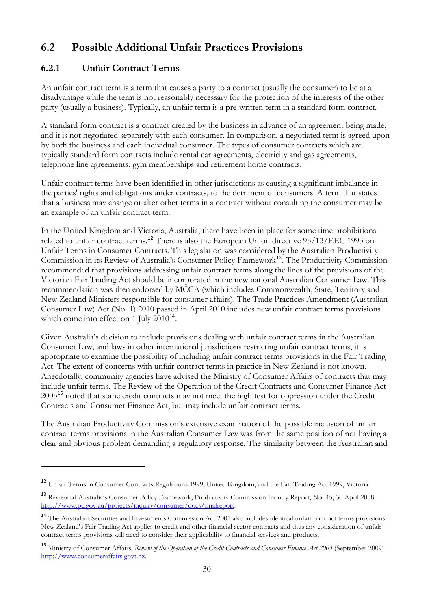# <span id="page-30-0"></span>**6.2 Possible Additional Unfair Practices Provisions**

# **6.2.1 Unfair Contract Terms**

 $\overline{a}$ 

An unfair contract term is a term that causes a party to a contract (usually the consumer) to be at a disadvantage while the term is not reasonably necessary for the protection of the interests of the other party (usually a business). Typically, an unfair term is a pre-written term in a standard form contract.

A standard form contract is a contract created by the business in advance of an agreement being made, and it is not negotiated separately with each consumer. In comparison, a negotiated term is agreed upon by both the business and each individual consumer. The types of consumer contracts which are typically standard form contracts include rental car agreements, electricity and gas agreements, telephone line agreements, gym memberships and retirement home contracts.

Unfair contract terms have been identified in other jurisdictions as causing a significant imbalance in the parties' rights and obligations under contracts, to the detriment of consumers. A term that states that a business may change or alter other terms in a contract without consulting the consumer may be an example of an unfair contract term.

In the United Kingdom and Victoria, Australia, there have been in place for some time prohibitions related to unfair contract terms.<sup>[12](#page-30-0)</sup> There is also the European Union directive 93/13/EEC 1993 on Unfair Terms in Consumer Contracts. This legislation was considered by the Australian Productivity Commission in its Review of Australia's Consumer Policy Framework<sup>[13](#page-30-0)</sup>. The Productivity Commission recommended that provisions addressing unfair contract terms along the lines of the provisions of the Victorian Fair Trading Act should be incorporated in the new national Australian Consumer Law. This recommendation was then endorsed by MCCA (which includes Commonwealth, State, Territory and New Zealand Ministers responsible for consumer affairs). The Trade Practices Amendment (Australian Consumer Law) Act (No. 1) 2010 passed in April 2010 includes new unfair contract terms provisions which come into effect on 1 July  $2010^{14}$  $2010^{14}$  $2010^{14}$ .

Given Australia's decision to include provisions dealing with unfair contract terms in the Australian Consumer Law, and laws in other international jurisdictions restricting unfair contract terms, it is appropriate to examine the possibility of including unfair contract terms provisions in the Fair Trading Act. The extent of concerns with unfair contract terms in practice in New Zealand is not known. Anecdotally, community agencies have advised the Ministry of Consumer Affairs of contracts that may include unfair terms. The Review of the Operation of the Credit Contracts and Consumer Finance Act 2003[15](#page-30-0) noted that some credit contracts may not meet the high test for oppression under the Credit Contracts and Consumer Finance Act, but may include unfair contract terms.

The Australian Productivity Commission's extensive examination of the possible inclusion of unfair contract terms provisions in the Australian Consumer Law was from the same position of not having a clear and obvious problem demanding a regulatory response. The similarity between the Australian and

<sup>&</sup>lt;sup>12</sup> Unfair Terms in Consumer Contracts Regulations 1999, United Kingdom, and the Fair Trading Act 1999, Victoria.

<sup>13</sup> Review of Australia's Consumer Policy Framework, Productivity Commission Inquiry Report, No. 45, 30 April 2008 – [http://www.pc.gov.au/projects/inquiry/consumer/docs/finalreport.](http://www.pc.gov.au/projects/inquiry/consumer/docs/finalreport)

<sup>&</sup>lt;sup>14</sup> The Australian Securities and Investments Commission Act 2001 also includes identical unfair contract terms provisions. New Zealand's Fair Trading Act applies to credit and other financial sector contracts and thus any consideration of unfair contract terms provisions will need to consider their applicability to financial services and products.

<sup>15</sup> Ministry of Consumer Affairs, *Review of the Operation of the Credit Contracts and Consumer Finance Act 2003* (September 2009) – [http://www.consumeraffairs.govt.nz](http://www.consumeraffairs.govt.nz/).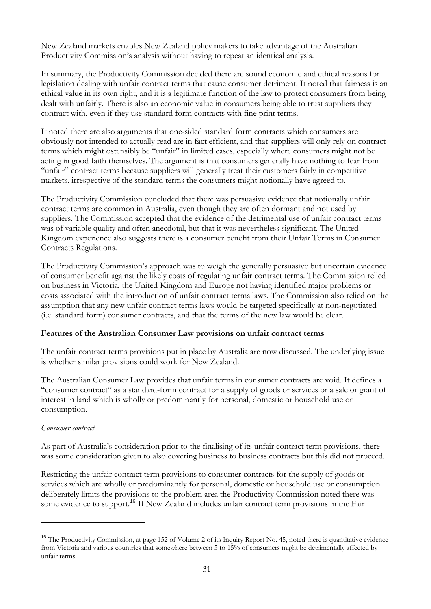<span id="page-31-0"></span>New Zealand markets enables New Zealand policy makers to take advantage of the Australian Productivity Commission's analysis without having to repeat an identical analysis.

In summary, the Productivity Commission decided there are sound economic and ethical reasons for legislation dealing with unfair contract terms that cause consumer detriment. It noted that fairness is an ethical value in its own right, and it is a legitimate function of the law to protect consumers from being dealt with unfairly. There is also an economic value in consumers being able to trust suppliers they contract with, even if they use standard form contracts with fine print terms.

It noted there are also arguments that one-sided standard form contracts which consumers are obviously not intended to actually read are in fact efficient, and that suppliers will only rely on contract terms which might ostensibly be "unfair" in limited cases, especially where consumers might not be acting in good faith themselves. The argument is that consumers generally have nothing to fear from "unfair" contract terms because suppliers will generally treat their customers fairly in competitive markets, irrespective of the standard terms the consumers might notionally have agreed to.

The Productivity Commission concluded that there was persuasive evidence that notionally unfair contract terms are common in Australia, even though they are often dormant and not used by suppliers. The Commission accepted that the evidence of the detrimental use of unfair contract terms was of variable quality and often anecdotal, but that it was nevertheless significant. The United Kingdom experience also suggests there is a consumer benefit from their Unfair Terms in Consumer Contracts Regulations.

The Productivity Commission's approach was to weigh the generally persuasive but uncertain evidence of consumer benefit against the likely costs of regulating unfair contract terms. The Commission relied on business in Victoria, the United Kingdom and Europe not having identified major problems or costs associated with the introduction of unfair contract terms laws. The Commission also relied on the assumption that any new unfair contract terms laws would be targeted specifically at non-negotiated (i.e. standard form) consumer contracts, and that the terms of the new law would be clear.

#### **Features of the Australian Consumer Law provisions on unfair contract terms**

The unfair contract terms provisions put in place by Australia are now discussed. The underlying issue is whether similar provisions could work for New Zealand.

The Australian Consumer Law provides that unfair terms in consumer contracts are void. It defines a "consumer contract" as a standard-form contract for a supply of goods or services or a sale or grant of interest in land which is wholly or predominantly for personal, domestic or household use or consumption.

#### *Consumer contract*

 $\overline{a}$ 

As part of Australia's consideration prior to the finalising of its unfair contract term provisions, there was some consideration given to also covering business to business contracts but this did not proceed.

Restricting the unfair contract term provisions to consumer contracts for the supply of goods or services which are wholly or predominantly for personal, domestic or household use or consumption deliberately limits the provisions to the problem area the Productivity Commission noted there was some evidence to support.<sup>[16](#page-31-0)</sup> If New Zealand includes unfair contract term provisions in the Fair

<sup>&</sup>lt;sup>16</sup> The Productivity Commission, at page 152 of Volume 2 of its Inquiry Report No. 45, noted there is quantitative evidence from Victoria and various countries that somewhere between 5 to 15% of consumers might be detrimentally affected by unfair terms.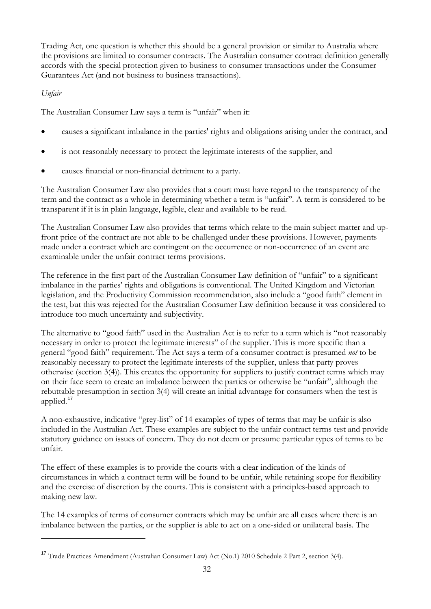<span id="page-32-0"></span>Trading Act, one question is whether this should be a general provision or similar to Australia where the provisions are limited to consumer contracts. The Australian consumer contract definition generally accords with the special protection given to business to consumer transactions under the Consumer Guarantees Act (and not business to business transactions).

## *Unfair*

 $\overline{a}$ 

The Australian Consumer Law says a term is "unfair" when it:

- causes a significant imbalance in the parties' rights and obligations arising under the contract, and
- is not reasonably necessary to protect the legitimate interests of the supplier, and
- causes financial or non-financial detriment to a party.

The Australian Consumer Law also provides that a court must have regard to the transparency of the term and the contract as a whole in determining whether a term is "unfair". A term is considered to be transparent if it is in plain language, legible, clear and available to be read.

The Australian Consumer Law also provides that terms which relate to the main subject matter and upfront price of the contract are not able to be challenged under these provisions. However, payments made under a contract which are contingent on the occurrence or non-occurrence of an event are examinable under the unfair contract terms provisions.

The reference in the first part of the Australian Consumer Law definition of "unfair" to a significant imbalance in the parties' rights and obligations is conventional. The United Kingdom and Victorian legislation, and the Productivity Commission recommendation, also include a "good faith" element in the test, but this was rejected for the Australian Consumer Law definition because it was considered to introduce too much uncertainty and subjectivity.

The alternative to "good faith" used in the Australian Act is to refer to a term which is "not reasonably necessary in order to protect the legitimate interests" of the supplier. This is more specific than a general "good faith" requirement. The Act says a term of a consumer contract is presumed *not* to be reasonably necessary to protect the legitimate interests of the supplier, unless that party proves otherwise (section 3(4)). This creates the opportunity for suppliers to justify contract terms which may on their face seem to create an imbalance between the parties or otherwise be "unfair", although the rebuttable presumption in section 3(4) will create an initial advantage for consumers when the test is applied.<sup>[17](#page-32-0)</sup>

A non-exhaustive, indicative "grey-list" of 14 examples of types of terms that may be unfair is also included in the Australian Act. These examples are subject to the unfair contract terms test and provide statutory guidance on issues of concern. They do not deem or presume particular types of terms to be unfair.

The effect of these examples is to provide the courts with a clear indication of the kinds of circumstances in which a contract term will be found to be unfair, while retaining scope for flexibility and the exercise of discretion by the courts. This is consistent with a principles-based approach to making new law.

The 14 examples of terms of consumer contracts which may be unfair are all cases where there is an imbalance between the parties, or the supplier is able to act on a one-sided or unilateral basis. The

<sup>17</sup> Trade Practices Amendment (Australian Consumer Law) Act (No.1) 2010 Schedule 2 Part 2, section 3(4).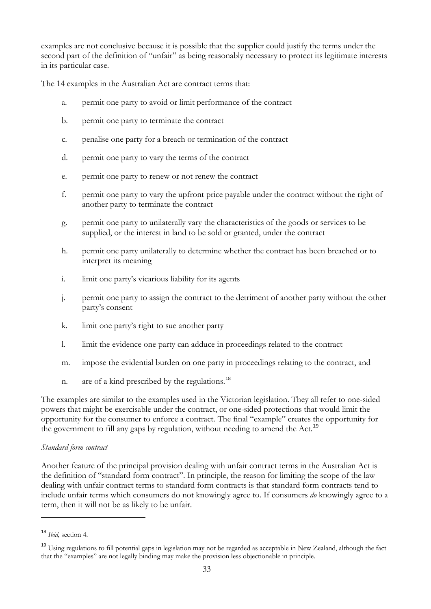<span id="page-33-0"></span>examples are not conclusive because it is possible that the supplier could justify the terms under the second part of the definition of "unfair" as being reasonably necessary to protect its legitimate interests in its particular case.

The 14 examples in the Australian Act are contract terms that:

- a. permit one party to avoid or limit performance of the contract
- b. permit one party to terminate the contract
- c. penalise one party for a breach or termination of the contract
- d. permit one party to vary the terms of the contract
- e. permit one party to renew or not renew the contract
- f. permit one party to vary the upfront price payable under the contract without the right of another party to terminate the contract
- g. permit one party to unilaterally vary the characteristics of the goods or services to be supplied, or the interest in land to be sold or granted, under the contract
- h. permit one party unilaterally to determine whether the contract has been breached or to interpret its meaning
- i. limit one party's vicarious liability for its agents
- j. permit one party to assign the contract to the detriment of another party without the other party's consent
- k. limit one party's right to sue another party
- l. limit the evidence one party can adduce in proceedings related to the contract
- m. impose the evidential burden on one party in proceedings relating to the contract, and
- n. are of a kind prescribed by the regulations.<sup>[18](#page-33-0)</sup>

The examples are similar to the examples used in the Victorian legislation. They all refer to one-sided powers that might be exercisable under the contract, or one-sided protections that would limit the opportunity for the consumer to enforce a contract. The final "example" creates the opportunity for the government to fill any gaps by regulation, without needing to amend the Act.<sup>[19](#page-33-0)</sup>

#### *Standard form contract*

Another feature of the principal provision dealing with unfair contract terms in the Australian Act is the definition of "standard form contract". In principle, the reason for limiting the scope of the law dealing with unfair contract terms to standard form contracts is that standard form contracts tend to include unfair terms which consumers do not knowingly agree to. If consumers *do* knowingly agree to a term, then it will not be as likely to be unfair.

 $\overline{a}$ 

<sup>18</sup> *Ibid*, section 4.

<sup>&</sup>lt;sup>19</sup> Using regulations to fill potential gaps in legislation may not be regarded as acceptable in New Zealand, although the fact that the "examples" are not legally binding may make the provision less objectionable in principle.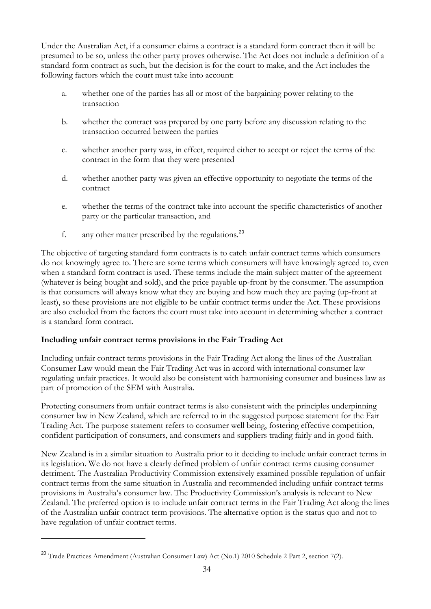<span id="page-34-0"></span>Under the Australian Act, if a consumer claims a contract is a standard form contract then it will be presumed to be so, unless the other party proves otherwise. The Act does not include a definition of a standard form contract as such, but the decision is for the court to make, and the Act includes the following factors which the court must take into account:

- a. whether one of the parties has all or most of the bargaining power relating to the transaction
- b. whether the contract was prepared by one party before any discussion relating to the transaction occurred between the parties
- c. whether another party was, in effect, required either to accept or reject the terms of the contract in the form that they were presented
- d. whether another party was given an effective opportunity to negotiate the terms of the contract
- e. whether the terms of the contract take into account the specific characteristics of another party or the particular transaction, and
- f. any other matter prescribed by the regulations.<sup>[20](#page-34-0)</sup>

The objective of targeting standard form contracts is to catch unfair contract terms which consumers do not knowingly agree to. There are some terms which consumers will have knowingly agreed to, even when a standard form contract is used. These terms include the main subject matter of the agreement (whatever is being bought and sold), and the price payable up-front by the consumer. The assumption is that consumers will always know what they are buying and how much they are paying (up-front at least), so these provisions are not eligible to be unfair contract terms under the Act. These provisions are also excluded from the factors the court must take into account in determining whether a contract is a standard form contract.

## **Including unfair contract terms provisions in the Fair Trading Act**

Including unfair contract terms provisions in the Fair Trading Act along the lines of the Australian Consumer Law would mean the Fair Trading Act was in accord with international consumer law regulating unfair practices. It would also be consistent with harmonising consumer and business law as part of promotion of the SEM with Australia.

Protecting consumers from unfair contract terms is also consistent with the principles underpinning consumer law in New Zealand, which are referred to in the suggested purpose statement for the Fair Trading Act. The purpose statement refers to consumer well being, fostering effective competition, confident participation of consumers, and consumers and suppliers trading fairly and in good faith.

New Zealand is in a similar situation to Australia prior to it deciding to include unfair contract terms in its legislation. We do not have a clearly defined problem of unfair contract terms causing consumer detriment. The Australian Productivity Commission extensively examined possible regulation of unfair contract terms from the same situation in Australia and recommended including unfair contract terms provisions in Australia's consumer law. The Productivity Commission's analysis is relevant to New Zealand. The preferred option is to include unfair contract terms in the Fair Trading Act along the lines of the Australian unfair contract term provisions. The alternative option is the status quo and not to have regulation of unfair contract terms.

 $\overline{a}$ 

<sup>&</sup>lt;sup>20</sup> Trade Practices Amendment (Australian Consumer Law) Act (No.1) 2010 Schedule 2 Part 2, section 7(2).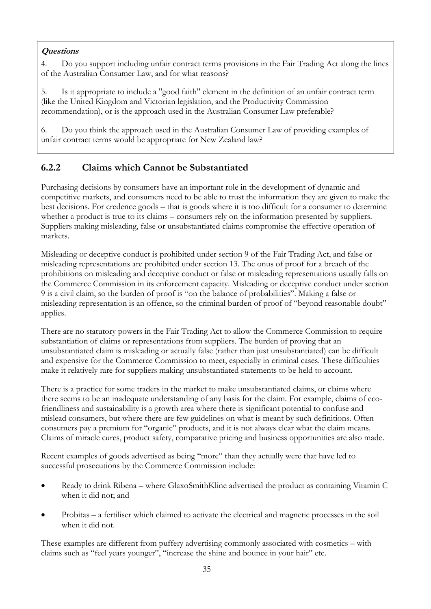# <span id="page-35-0"></span>**Questions**

4. Do you support including unfair contract terms provisions in the Fair Trading Act along the lines of the Australian Consumer Law, and for what reasons?

5. Is it appropriate to include a "good faith" element in the definition of an unfair contract term (like the United Kingdom and Victorian legislation, and the Productivity Commission recommendation), or is the approach used in the Australian Consumer Law preferable?

6. Do you think the approach used in the Australian Consumer Law of providing examples of unfair contract terms would be appropriate for New Zealand law?

# **6.2.2 Claims which Cannot be Substantiated**

Purchasing decisions by consumers have an important role in the development of dynamic and competitive markets, and consumers need to be able to trust the information they are given to make the best decisions. For credence goods – that is goods where it is too difficult for a consumer to determine whether a product is true to its claims – consumers rely on the information presented by suppliers. Suppliers making misleading, false or unsubstantiated claims compromise the effective operation of markets.

Misleading or deceptive conduct is prohibited under section 9 of the Fair Trading Act, and false or misleading representations are prohibited under section 13. The onus of proof for a breach of the prohibitions on misleading and deceptive conduct or false or misleading representations usually falls on the Commerce Commission in its enforcement capacity. Misleading or deceptive conduct under section 9 is a civil claim, so the burden of proof is "on the balance of probabilities". Making a false or misleading representation is an offence, so the criminal burden of proof of "beyond reasonable doubt" applies.

There are no statutory powers in the Fair Trading Act to allow the Commerce Commission to require substantiation of claims or representations from suppliers. The burden of proving that an unsubstantiated claim is misleading or actually false (rather than just unsubstantiated) can be difficult and expensive for the Commerce Commission to meet, especially in criminal cases. These difficulties make it relatively rare for suppliers making unsubstantiated statements to be held to account.

There is a practice for some traders in the market to make unsubstantiated claims, or claims where there seems to be an inadequate understanding of any basis for the claim. For example, claims of ecofriendliness and sustainability is a growth area where there is significant potential to confuse and mislead consumers, but where there are few guidelines on what is meant by such definitions. Often consumers pay a premium for "organic" products, and it is not always clear what the claim means. Claims of miracle cures, product safety, comparative pricing and business opportunities are also made.

Recent examples of goods advertised as being "more" than they actually were that have led to successful prosecutions by the Commerce Commission include:

- Ready to drink Ribena where GlaxoSmithKline advertised the product as containing Vitamin C when it did not; and
- Probitas a fertiliser which claimed to activate the electrical and magnetic processes in the soil when it did not.

These examples are different from puffery advertising commonly associated with cosmetics – with claims such as "feel years younger", "increase the shine and bounce in your hair" etc.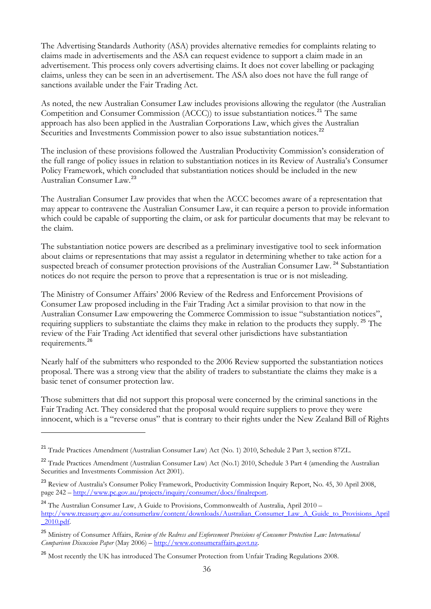<span id="page-36-0"></span>The Advertising Standards Authority (ASA) provides alternative remedies for complaints relating to claims made in advertisements and the ASA can request evidence to support a claim made in an advertisement. This process only covers advertising claims. It does not cover labelling or packaging claims, unless they can be seen in an advertisement. The ASA also does not have the full range of sanctions available under the Fair Trading Act.

As noted, the new Australian Consumer Law includes provisions allowing the regulator (the Australian Competition and Consumer Commission (ACCC)) to issue substantiation notices.<sup>[21](#page-36-0)</sup> The same approach has also been applied in the Australian Corporations Law, which gives the Australian Securities and Investments Commission power to also issue substantiation notices.<sup>[22](#page-36-0)</sup>

The inclusion of these provisions followed the Australian Productivity Commission's consideration of the full range of policy issues in relation to substantiation notices in its Review of Australia's Consumer Policy Framework, which concluded that substantiation notices should be included in the new Australian Consumer Law.[23](#page-36-0)

The Australian Consumer Law provides that when the ACCC becomes aware of a representation that may appear to contravene the Australian Consumer Law, it can require a person to provide information which could be capable of supporting the claim, or ask for particular documents that may be relevant to the claim.

The substantiation notice powers are described as a preliminary investigative tool to seek information about claims or representations that may assist a regulator in determining whether to take action for a suspected breach of consumer protection provisions of the Australian Consumer Law.<sup>[24](#page-36-0)</sup> Substantiation notices do not require the person to prove that a representation is true or is not misleading.

The Ministry of Consumer Affairs' 2006 Review of the Redress and Enforcement Provisions of Consumer Law proposed including in the Fair Trading Act a similar provision to that now in the Australian Consumer Law empowering the Commerce Commission to issue "substantiation notices", requiring suppliers to substantiate the claims they make in relation to the products they supply. [25](#page-36-0) The review of the Fair Trading Act identified that several other jurisdictions have substantiation requirements.[26](#page-36-0)

Nearly half of the submitters who responded to the 2006 Review supported the substantiation notices proposal. There was a strong view that the ability of traders to substantiate the claims they make is a basic tenet of consumer protection law.

Those submitters that did not support this proposal were concerned by the criminal sanctions in the Fair Trading Act. They considered that the proposal would require suppliers to prove they were innocent, which is a "reverse onus" that is contrary to their rights under the New Zealand Bill of Rights

<sup>21</sup> Trade Practices Amendment (Australian Consumer Law) Act (No. 1) 2010, Schedule 2 Part 3, section 87ZL.

<sup>&</sup>lt;sup>22</sup> Trade Practices Amendment (Australian Consumer Law) Act (No.1) 2010, Schedule 3 Part 4 (amending the Australian Securities and Investments Commission Act 2001).

<sup>&</sup>lt;sup>23</sup> Review of Australia's Consumer Policy Framework, Productivity Commission Inquiry Report, No. 45, 30 April 2008, page 242 –<http://www.pc.gov.au/projects/inquiry/consumer/docs/finalreport>.

<sup>&</sup>lt;sup>24</sup> The Australian Consumer Law, A Guide to Provisions, Commonwealth of Australia, April 2010 – [http://www.treasury.gov.au/consumerlaw/content/downloads/Australian\\_Consumer\\_Law\\_A\\_Guide\\_to\\_Provisions\\_April](http://www.treasury.gov.au/consumerlaw/content/downloads/Australian_Consumer_Law_A_Guide_to_Provisions_April_2010.pdf) [\\_2010.pdf.](http://www.treasury.gov.au/consumerlaw/content/downloads/Australian_Consumer_Law_A_Guide_to_Provisions_April_2010.pdf)

<sup>25</sup> Ministry of Consumer Affairs, *Review of the Redress and Enforcement Provisions of Consumer Protection Law: International Comparison Discussion Paper* (May 2006) – [http://www.consumeraffairs.govt.nz](http://www.consumeraffairs.govt.nz/).

<sup>&</sup>lt;sup>26</sup> Most recently the UK has introduced The Consumer Protection from Unfair Trading Regulations 2008.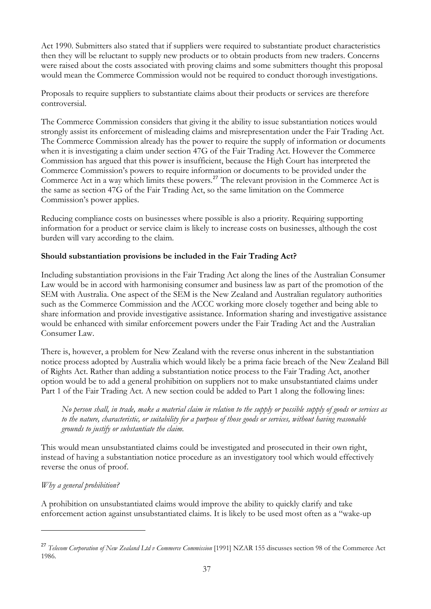<span id="page-37-0"></span>Act 1990. Submitters also stated that if suppliers were required to substantiate product characteristics then they will be reluctant to supply new products or to obtain products from new traders. Concerns were raised about the costs associated with proving claims and some submitters thought this proposal would mean the Commerce Commission would not be required to conduct thorough investigations.

Proposals to require suppliers to substantiate claims about their products or services are therefore controversial.

The Commerce Commission considers that giving it the ability to issue substantiation notices would strongly assist its enforcement of misleading claims and misrepresentation under the Fair Trading Act. The Commerce Commission already has the power to require the supply of information or documents when it is investigating a claim under section 47G of the Fair Trading Act. However the Commerce Commission has argued that this power is insufficient, because the High Court has interpreted the Commerce Commission's powers to require information or documents to be provided under the Commerce Act in a way which limits these powers.[27](#page-37-0) The relevant provision in the Commerce Act is the same as section 47G of the Fair Trading Act, so the same limitation on the Commerce Commission's power applies.

Reducing compliance costs on businesses where possible is also a priority. Requiring supporting information for a product or service claim is likely to increase costs on businesses, although the cost burden will vary according to the claim.

## **Should substantiation provisions be included in the Fair Trading Act?**

Including substantiation provisions in the Fair Trading Act along the lines of the Australian Consumer Law would be in accord with harmonising consumer and business law as part of the promotion of the SEM with Australia. One aspect of the SEM is the New Zealand and Australian regulatory authorities such as the Commerce Commission and the ACCC working more closely together and being able to share information and provide investigative assistance. Information sharing and investigative assistance would be enhanced with similar enforcement powers under the Fair Trading Act and the Australian Consumer Law.

There is, however, a problem for New Zealand with the reverse onus inherent in the substantiation notice process adopted by Australia which would likely be a prima facie breach of the New Zealand Bill of Rights Act. Rather than adding a substantiation notice process to the Fair Trading Act, another option would be to add a general prohibition on suppliers not to make unsubstantiated claims under Part 1 of the Fair Trading Act. A new section could be added to Part 1 along the following lines:

*No person shall, in trade, make a material claim in relation to the supply or possible supply of goods or services as to the nature, characteristic, or suitability for a purpose of those goods or services, without having reasonable grounds to justify or substantiate the claim.* 

This would mean unsubstantiated claims could be investigated and prosecuted in their own right, instead of having a substantiation notice procedure as an investigatory tool which would effectively reverse the onus of proof.

## *Why a general prohibition?*

 $\overline{a}$ 

A prohibition on unsubstantiated claims would improve the ability to quickly clarify and take enforcement action against unsubstantiated claims. It is likely to be used most often as a "wake-up

<sup>27</sup> *Telecom Corporation of New Zealand Ltd v Commerce Commission* [1991] NZAR 155 discusses section 98 of the Commerce Act 1986.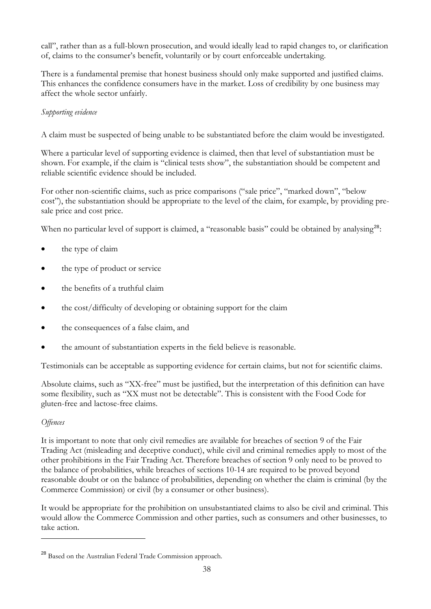<span id="page-38-0"></span>call", rather than as a full-blown prosecution, and would ideally lead to rapid changes to, or clarification of, claims to the consumer's benefit, voluntarily or by court enforceable undertaking.

There is a fundamental premise that honest business should only make supported and justified claims. This enhances the confidence consumers have in the market. Loss of credibility by one business may affect the whole sector unfairly.

## *Supporting evidence*

A claim must be suspected of being unable to be substantiated before the claim would be investigated.

Where a particular level of supporting evidence is claimed, then that level of substantiation must be shown. For example, if the claim is "clinical tests show", the substantiation should be competent and reliable scientific evidence should be included.

For other non-scientific claims, such as price comparisons ("sale price", "marked down", "below cost"), the substantiation should be appropriate to the level of the claim, for example, by providing presale price and cost price.

When no particular level of support is claimed, a "reasonable basis" could be obtained by analysing<sup>[28](#page-38-0)</sup>:

- the type of claim
- the type of product or service
- the benefits of a truthful claim
- the cost/difficulty of developing or obtaining support for the claim
- the consequences of a false claim, and
- the amount of substantiation experts in the field believe is reasonable.

Testimonials can be acceptable as supporting evidence for certain claims, but not for scientific claims.

Absolute claims, such as "XX-free" must be justified, but the interpretation of this definition can have some flexibility, such as "XX must not be detectable". This is consistent with the Food Code for gluten-free and lactose-free claims.

#### *Offences*

 $\overline{a}$ 

It is important to note that only civil remedies are available for breaches of section 9 of the Fair Trading Act (misleading and deceptive conduct), while civil and criminal remedies apply to most of the other prohibitions in the Fair Trading Act. Therefore breaches of section 9 only need to be proved to the balance of probabilities, while breaches of sections 10-14 are required to be proved beyond reasonable doubt or on the balance of probabilities, depending on whether the claim is criminal (by the Commerce Commission) or civil (by a consumer or other business).

It would be appropriate for the prohibition on unsubstantiated claims to also be civil and criminal. This would allow the Commerce Commission and other parties, such as consumers and other businesses, to take action.

<sup>28</sup> Based on the Australian Federal Trade Commission approach.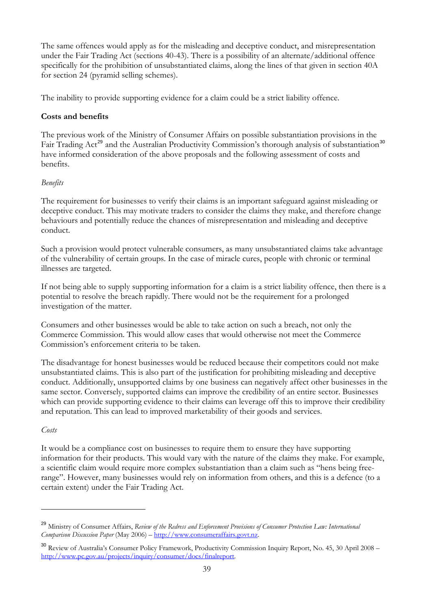<span id="page-39-0"></span>The same offences would apply as for the misleading and deceptive conduct, and misrepresentation under the Fair Trading Act (sections 40-43). There is a possibility of an alternate/additional offence specifically for the prohibition of unsubstantiated claims, along the lines of that given in section 40A for section 24 (pyramid selling schemes).

The inability to provide supporting evidence for a claim could be a strict liability offence.

## **Costs and benefits**

The previous work of the Ministry of Consumer Affairs on possible substantiation provisions in the Fair Trading Act<sup>[29](#page-39-0)</sup> and the Australian Productivity Commission's thorough analysis of substantiation<sup>[30](#page-39-0)</sup> have informed consideration of the above proposals and the following assessment of costs and benefits.

#### *Benefits*

The requirement for businesses to verify their claims is an important safeguard against misleading or deceptive conduct. This may motivate traders to consider the claims they make, and therefore change behaviours and potentially reduce the chances of misrepresentation and misleading and deceptive conduct.

Such a provision would protect vulnerable consumers, as many unsubstantiated claims take advantage of the vulnerability of certain groups. In the case of miracle cures, people with chronic or terminal illnesses are targeted.

If not being able to supply supporting information for a claim is a strict liability offence, then there is a potential to resolve the breach rapidly. There would not be the requirement for a prolonged investigation of the matter.

Consumers and other businesses would be able to take action on such a breach, not only the Commerce Commission. This would allow cases that would otherwise not meet the Commerce Commission's enforcement criteria to be taken.

The disadvantage for honest businesses would be reduced because their competitors could not make unsubstantiated claims. This is also part of the justification for prohibiting misleading and deceptive conduct. Additionally, unsupported claims by one business can negatively affect other businesses in the same sector. Conversely, supported claims can improve the credibility of an entire sector. Businesses which can provide supporting evidence to their claims can leverage off this to improve their credibility and reputation. This can lead to improved marketability of their goods and services.

#### *Costs*

 $\overline{a}$ 

It would be a compliance cost on businesses to require them to ensure they have supporting information for their products. This would vary with the nature of the claims they make. For example, a scientific claim would require more complex substantiation than a claim such as "hens being freerange". However, many businesses would rely on information from others, and this is a defence (to a certain extent) under the Fair Trading Act.

<sup>29</sup> Ministry of Consumer Affairs, *Review of the Redress and Enforcement Provisions of Consumer Protection Law: International Comparison Discussion Paper* (May 2006) – [http://www.consumeraffairs.govt.nz](http://www.consumeraffairs.govt.nz/).

<sup>&</sup>lt;sup>30</sup> Review of Australia's Consumer Policy Framework, Productivity Commission Inquiry Report, No. 45, 30 April 2008 – [http://www.pc.gov.au/projects/inquiry/consumer/docs/finalreport.](http://www.pc.gov.au/projects/inquiry/consumer/docs/finalreport)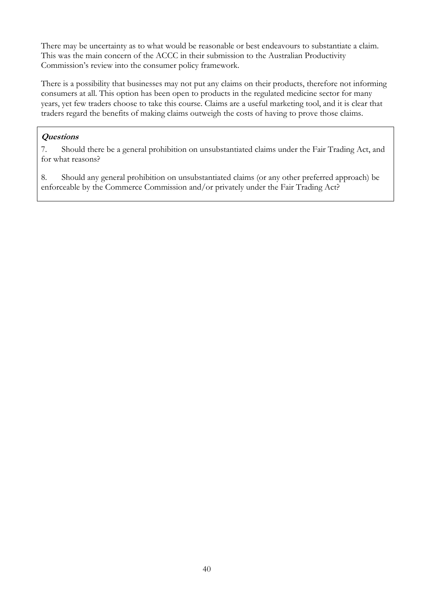There may be uncertainty as to what would be reasonable or best endeavours to substantiate a claim. This was the main concern of the ACCC in their submission to the Australian Productivity Commission's review into the consumer policy framework.

There is a possibility that businesses may not put any claims on their products, therefore not informing consumers at all. This option has been open to products in the regulated medicine sector for many years, yet few traders choose to take this course. Claims are a useful marketing tool, and it is clear that traders regard the benefits of making claims outweigh the costs of having to prove those claims.

## **Questions**

7. Should there be a general prohibition on unsubstantiated claims under the Fair Trading Act, and for what reasons?

8. Should any general prohibition on unsubstantiated claims (or any other preferred approach) be enforceable by the Commerce Commission and/or privately under the Fair Trading Act?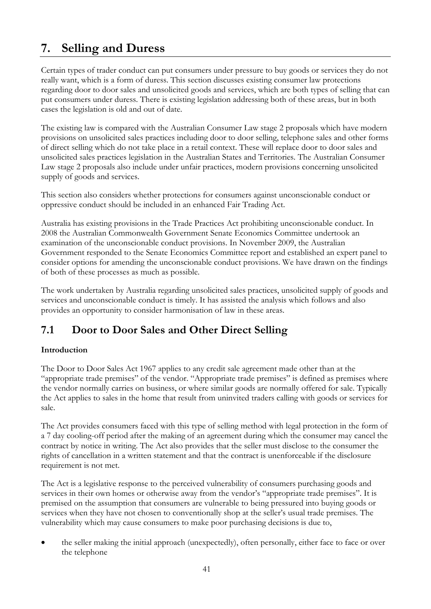# **7. Selling and Duress**

Certain types of trader conduct can put consumers under pressure to buy goods or services they do not really want, which is a form of duress. This section discusses existing consumer law protections regarding door to door sales and unsolicited goods and services, which are both types of selling that can put consumers under duress. There is existing legislation addressing both of these areas, but in both cases the legislation is old and out of date.

The existing law is compared with the Australian Consumer Law stage 2 proposals which have modern provisions on unsolicited sales practices including door to door selling, telephone sales and other forms of direct selling which do not take place in a retail context. These will replace door to door sales and unsolicited sales practices legislation in the Australian States and Territories. The Australian Consumer Law stage 2 proposals also include under unfair practices, modern provisions concerning unsolicited supply of goods and services.

This section also considers whether protections for consumers against unconscionable conduct or oppressive conduct should be included in an enhanced Fair Trading Act.

Australia has existing provisions in the Trade Practices Act prohibiting unconscionable conduct. In 2008 the Australian Commonwealth Government Senate Economics Committee undertook an examination of the unconscionable conduct provisions. In November 2009, the Australian Government responded to the Senate Economics Committee report and established an expert panel to consider options for amending the unconscionable conduct provisions. We have drawn on the findings of both of these processes as much as possible.

The work undertaken by Australia regarding unsolicited sales practices, unsolicited supply of goods and services and unconscionable conduct is timely. It has assisted the analysis which follows and also provides an opportunity to consider harmonisation of law in these areas.

## **7.1 Door to Door Sales and Other Direct Selling**

## **Introduction**

The Door to Door Sales Act 1967 applies to any credit sale agreement made other than at the "appropriate trade premises" of the vendor. "Appropriate trade premises" is defined as premises where the vendor normally carries on business, or where similar goods are normally offered for sale. Typically the Act applies to sales in the home that result from uninvited traders calling with goods or services for sale.

The Act provides consumers faced with this type of selling method with legal protection in the form of a 7 day cooling-off period after the making of an agreement during which the consumer may cancel the contract by notice in writing. The Act also provides that the seller must disclose to the consumer the rights of cancellation in a written statement and that the contract is unenforceable if the disclosure requirement is not met.

The Act is a legislative response to the perceived vulnerability of consumers purchasing goods and services in their own homes or otherwise away from the vendor's "appropriate trade premises". It is premised on the assumption that consumers are vulnerable to being pressured into buying goods or services when they have not chosen to conventionally shop at the seller's usual trade premises. The vulnerability which may cause consumers to make poor purchasing decisions is due to,

• the seller making the initial approach (unexpectedly), often personally, either face to face or over the telephone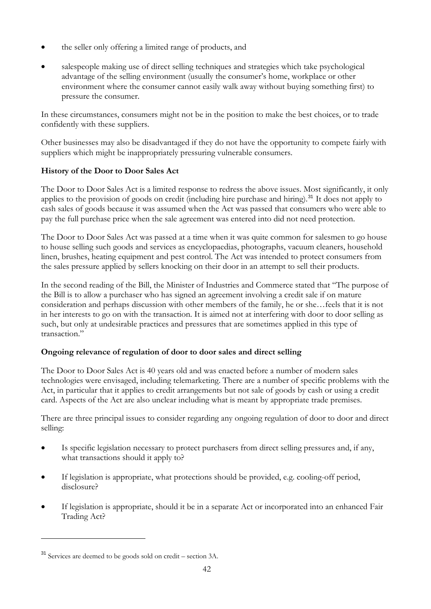- <span id="page-42-0"></span>• the seller only offering a limited range of products, and
- salespeople making use of direct selling techniques and strategies which take psychological advantage of the selling environment (usually the consumer's home, workplace or other environment where the consumer cannot easily walk away without buying something first) to pressure the consumer.

In these circumstances, consumers might not be in the position to make the best choices, or to trade confidently with these suppliers.

Other businesses may also be disadvantaged if they do not have the opportunity to compete fairly with suppliers which might be inappropriately pressuring vulnerable consumers.

## **History of the Door to Door Sales Act**

The Door to Door Sales Act is a limited response to redress the above issues. Most significantly, it only applies to the provision of goods on credit (including hire purchase and hiring).<sup>[31](#page-42-0)</sup> It does not apply to cash sales of goods because it was assumed when the Act was passed that consumers who were able to pay the full purchase price when the sale agreement was entered into did not need protection.

The Door to Door Sales Act was passed at a time when it was quite common for salesmen to go house to house selling such goods and services as encyclopaedias, photographs, vacuum cleaners, household linen, brushes, heating equipment and pest control. The Act was intended to protect consumers from the sales pressure applied by sellers knocking on their door in an attempt to sell their products.

In the second reading of the Bill, the Minister of Industries and Commerce stated that "The purpose of the Bill is to allow a purchaser who has signed an agreement involving a credit sale if on mature consideration and perhaps discussion with other members of the family, he or she…feels that it is not in her interests to go on with the transaction. It is aimed not at interfering with door to door selling as such, but only at undesirable practices and pressures that are sometimes applied in this type of transaction."

## **Ongoing relevance of regulation of door to door sales and direct selling**

The Door to Door Sales Act is 40 years old and was enacted before a number of modern sales technologies were envisaged, including telemarketing. There are a number of specific problems with the Act, in particular that it applies to credit arrangements but not sale of goods by cash or using a credit card. Aspects of the Act are also unclear including what is meant by appropriate trade premises.

There are three principal issues to consider regarding any ongoing regulation of door to door and direct selling:

- Is specific legislation necessary to protect purchasers from direct selling pressures and, if any, what transactions should it apply to?
- If legislation is appropriate, what protections should be provided, e.g. cooling-off period, disclosure?
- If legislation is appropriate, should it be in a separate Act or incorporated into an enhanced Fair Trading Act?

<sup>31</sup> Services are deemed to be goods sold on credit – section 3A.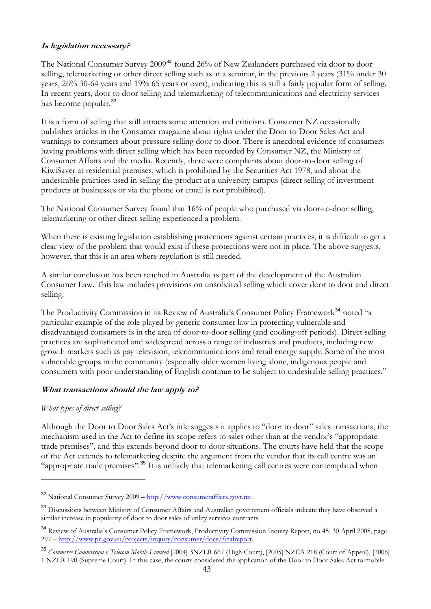## <span id="page-43-0"></span>**Is legislation necessary?**

The National Consumer Survey 2009<sup>[32](#page-43-0)</sup> found 26% of New Zealanders purchased via door to door selling, telemarketing or other direct selling such as at a seminar, in the previous 2 years (31% under 30 years, 26% 30-64 years and 19% 65 years or over), indicating this is still a fairly popular form of selling. In recent years, door to door selling and telemarketing of telecommunications and electricity services has become popular.<sup>[33](#page-43-0)</sup>

It is a form of selling that still attracts some attention and criticism. Consumer NZ occasionally publishes articles in the Consumer magazine about rights under the Door to Door Sales Act and warnings to consumers about pressure selling door to door. There is anecdotal evidence of consumers having problems with direct selling which has been recorded by Consumer NZ, the Ministry of Consumer Affairs and the media. Recently, there were complaints about door-to-door selling of KiwiSaver at residential premises, which is prohibited by the Securities Act 1978, and about the undesirable practices used in selling the product at a university campus (direct selling of investment products at businesses or via the phone or email is not prohibited).

The National Consumer Survey found that 16% of people who purchased via door-to-door selling, telemarketing or other direct selling experienced a problem.

When there is existing legislation establishing protections against certain practices, it is difficult to get a clear view of the problem that would exist if these protections were not in place. The above suggests, however, that this is an area where regulation is still needed.

A similar conclusion has been reached in Australia as part of the development of the Australian Consumer Law. This law includes provisions on unsolicited selling which cover door to door and direct selling.

The Productivity Commission in its Review of Australia's Consumer Policy Framework<sup>[34](#page-43-0)</sup> noted "a particular example of the role played by generic consumer law in protecting vulnerable and disadvantaged consumers is in the area of door-to-door selling (and cooling-off periods). Direct selling practices are sophisticated and widespread across a range of industries and products, including new growth markets such as pay television, telecommunications and retail energy supply. Some of the most vulnerable groups in the community (especially older women living alone, indigenous people and consumers with poor understanding of English continue to be subject to undesirable selling practices."

## **What transactions should the law apply to?**

#### *What types of direct selling?*

 $\overline{a}$ 

Although the Door to Door Sales Act's title suggests it applies to "door to door" sales transactions, the mechanism used in the Act to define its scope refers to sales other than at the vendor's "appropriate trade premises", and this extends beyond door to door situations. The courts have held that the scope of the Act extends to telemarketing despite the argument from the vendor that its call centre was an "appropriate trade premises".<sup>[35](#page-43-0)</sup> It is unlikely that telemarketing call centres were contemplated when

<sup>32</sup> National Consumer Survey 2009 – [http://www.consumeraffairs.govt.nz.](http://www.consumeraffairs.govt.nz/)

<sup>&</sup>lt;sup>33</sup> Discussions between Ministry of Consumer Affairs and Australian government officials indicate they have observed a similar increase in popularity of door to door sales of utility services contracts.

<sup>&</sup>lt;sup>34</sup> Review of Australia's Consumer Policy Framework, Productivity Commission Inquiry Report, no 45, 30 April 2008, page 297 – [http://www.pc.gov.au/projects/inquiry/consumer/docs/finalreport.](http://www.pc.gov.au/projects/inquiry/consumer/docs/finalreport)

<sup>35</sup> *Commerce Commission v Telecom Mobile Limited* [2004] 3NZLR 667 (High Court), [2005] NZCA 218 (Court of Appeal), [2006] 1 NZLR 190 (Supreme Court). In this case, the courts considered the application of the Door to Door Sales Act to mobile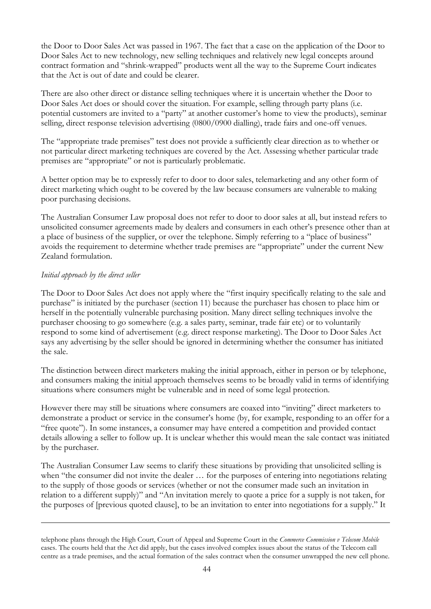the Door to Door Sales Act was passed in 1967. The fact that a case on the application of the Door to Door Sales Act to new technology, new selling techniques and relatively new legal concepts around contract formation and "shrink-wrapped" products went all the way to the Supreme Court indicates that the Act is out of date and could be clearer.

There are also other direct or distance selling techniques where it is uncertain whether the Door to Door Sales Act does or should cover the situation. For example, selling through party plans (i.e. potential customers are invited to a "party" at another customer's home to view the products), seminar selling, direct response television advertising (0800/0900 dialling), trade fairs and one-off venues.

The "appropriate trade premises" test does not provide a sufficiently clear direction as to whether or not particular direct marketing techniques are covered by the Act. Assessing whether particular trade premises are "appropriate" or not is particularly problematic.

A better option may be to expressly refer to door to door sales, telemarketing and any other form of direct marketing which ought to be covered by the law because consumers are vulnerable to making poor purchasing decisions.

The Australian Consumer Law proposal does not refer to door to door sales at all, but instead refers to unsolicited consumer agreements made by dealers and consumers in each other's presence other than at a place of business of the supplier, or over the telephone. Simply referring to a "place of business" avoids the requirement to determine whether trade premises are "appropriate" under the current New Zealand formulation.

## *Initial approach by the direct seller*

 $\overline{a}$ 

The Door to Door Sales Act does not apply where the "first inquiry specifically relating to the sale and purchase" is initiated by the purchaser (section 11) because the purchaser has chosen to place him or herself in the potentially vulnerable purchasing position. Many direct selling techniques involve the purchaser choosing to go somewhere (e.g. a sales party, seminar, trade fair etc) or to voluntarily respond to some kind of advertisement (e.g. direct response marketing). The Door to Door Sales Act says any advertising by the seller should be ignored in determining whether the consumer has initiated the sale.

The distinction between direct marketers making the initial approach, either in person or by telephone, and consumers making the initial approach themselves seems to be broadly valid in terms of identifying situations where consumers might be vulnerable and in need of some legal protection.

However there may still be situations where consumers are coaxed into "inviting" direct marketers to demonstrate a product or service in the consumer's home (by, for example, responding to an offer for a "free quote"). In some instances, a consumer may have entered a competition and provided contact details allowing a seller to follow up. It is unclear whether this would mean the sale contact was initiated by the purchaser.

The Australian Consumer Law seems to clarify these situations by providing that unsolicited selling is when "the consumer did not invite the dealer … for the purposes of entering into negotiations relating to the supply of those goods or services (whether or not the consumer made such an invitation in relation to a different supply)" and "An invitation merely to quote a price for a supply is not taken, for the purposes of [previous quoted clause], to be an invitation to enter into negotiations for a supply." It

telephone plans through the High Court, Court of Appeal and Supreme Court in the *Commerce Commission v Telecom Mobile* cases. The courts held that the Act did apply, but the cases involved complex issues about the status of the Telecom call centre as a trade premises, and the actual formation of the sales contract when the consumer unwrapped the new cell phone.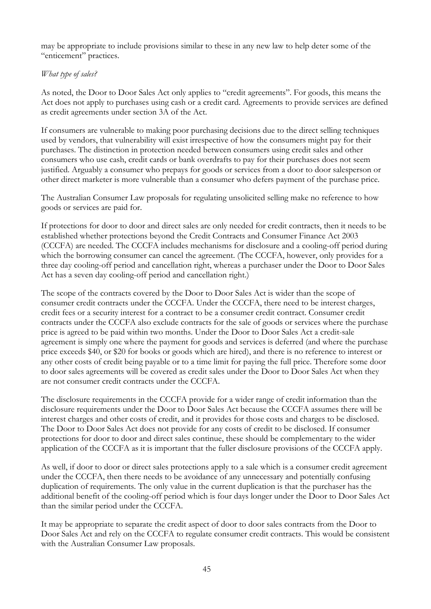may be appropriate to include provisions similar to these in any new law to help deter some of the "enticement" practices.

### *What type of sales?*

As noted, the Door to Door Sales Act only applies to "credit agreements". For goods, this means the Act does not apply to purchases using cash or a credit card. Agreements to provide services are defined as credit agreements under section 3A of the Act.

If consumers are vulnerable to making poor purchasing decisions due to the direct selling techniques used by vendors, that vulnerability will exist irrespective of how the consumers might pay for their purchases. The distinction in protection needed between consumers using credit sales and other consumers who use cash, credit cards or bank overdrafts to pay for their purchases does not seem justified. Arguably a consumer who prepays for goods or services from a door to door salesperson or other direct marketer is more vulnerable than a consumer who defers payment of the purchase price.

The Australian Consumer Law proposals for regulating unsolicited selling make no reference to how goods or services are paid for.

If protections for door to door and direct sales are only needed for credit contracts, then it needs to be established whether protections beyond the Credit Contracts and Consumer Finance Act 2003 (CCCFA) are needed. The CCCFA includes mechanisms for disclosure and a cooling-off period during which the borrowing consumer can cancel the agreement. (The CCCFA, however, only provides for a three day cooling-off period and cancellation right, whereas a purchaser under the Door to Door Sales Act has a seven day cooling-off period and cancellation right.)

The scope of the contracts covered by the Door to Door Sales Act is wider than the scope of consumer credit contracts under the CCCFA. Under the CCCFA, there need to be interest charges, credit fees or a security interest for a contract to be a consumer credit contract. Consumer credit contracts under the CCCFA also exclude contracts for the sale of goods or services where the purchase price is agreed to be paid within two months. Under the Door to Door Sales Act a credit-sale agreement is simply one where the payment for goods and services is deferred (and where the purchase price exceeds \$40, or \$20 for books or goods which are hired), and there is no reference to interest or any other costs of credit being payable or to a time limit for paying the full price. Therefore some door to door sales agreements will be covered as credit sales under the Door to Door Sales Act when they are not consumer credit contracts under the CCCFA.

The disclosure requirements in the CCCFA provide for a wider range of credit information than the disclosure requirements under the Door to Door Sales Act because the CCCFA assumes there will be interest charges and other costs of credit, and it provides for those costs and charges to be disclosed. The Door to Door Sales Act does not provide for any costs of credit to be disclosed. If consumer protections for door to door and direct sales continue, these should be complementary to the wider application of the CCCFA as it is important that the fuller disclosure provisions of the CCCFA apply.

As well, if door to door or direct sales protections apply to a sale which is a consumer credit agreement under the CCCFA, then there needs to be avoidance of any unnecessary and potentially confusing duplication of requirements. The only value in the current duplication is that the purchaser has the additional benefit of the cooling-off period which is four days longer under the Door to Door Sales Act than the similar period under the CCCFA.

It may be appropriate to separate the credit aspect of door to door sales contracts from the Door to Door Sales Act and rely on the CCCFA to regulate consumer credit contracts. This would be consistent with the Australian Consumer Law proposals.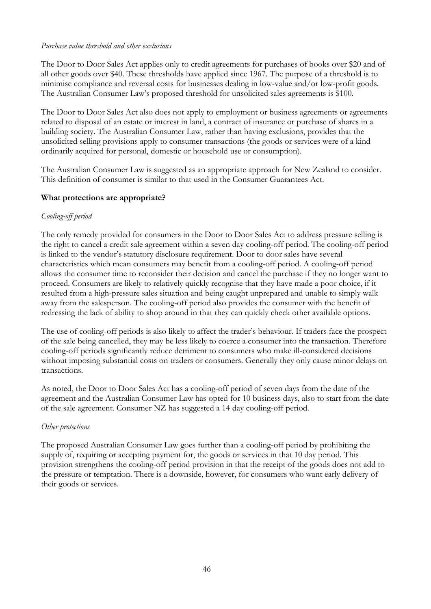#### *Purchase value threshold and other exclusions*

The Door to Door Sales Act applies only to credit agreements for purchases of books over \$20 and of all other goods over \$40. These thresholds have applied since 1967. The purpose of a threshold is to minimise compliance and reversal costs for businesses dealing in low-value and/or low-profit goods. The Australian Consumer Law's proposed threshold for unsolicited sales agreements is \$100.

The Door to Door Sales Act also does not apply to employment or business agreements or agreements related to disposal of an estate or interest in land, a contract of insurance or purchase of shares in a building society. The Australian Consumer Law, rather than having exclusions, provides that the unsolicited selling provisions apply to consumer transactions (the goods or services were of a kind ordinarily acquired for personal, domestic or household use or consumption).

The Australian Consumer Law is suggested as an appropriate approach for New Zealand to consider. This definition of consumer is similar to that used in the Consumer Guarantees Act.

#### **What protections are appropriate?**

#### *Cooling-off period*

The only remedy provided for consumers in the Door to Door Sales Act to address pressure selling is the right to cancel a credit sale agreement within a seven day cooling-off period. The cooling-off period is linked to the vendor's statutory disclosure requirement. Door to door sales have several characteristics which mean consumers may benefit from a cooling-off period. A cooling-off period allows the consumer time to reconsider their decision and cancel the purchase if they no longer want to proceed. Consumers are likely to relatively quickly recognise that they have made a poor choice, if it resulted from a high-pressure sales situation and being caught unprepared and unable to simply walk away from the salesperson. The cooling-off period also provides the consumer with the benefit of redressing the lack of ability to shop around in that they can quickly check other available options.

The use of cooling-off periods is also likely to affect the trader's behaviour. If traders face the prospect of the sale being cancelled, they may be less likely to coerce a consumer into the transaction. Therefore cooling-off periods significantly reduce detriment to consumers who make ill-considered decisions without imposing substantial costs on traders or consumers. Generally they only cause minor delays on transactions.

As noted, the Door to Door Sales Act has a cooling-off period of seven days from the date of the agreement and the Australian Consumer Law has opted for 10 business days, also to start from the date of the sale agreement. Consumer NZ has suggested a 14 day cooling-off period.

#### *Other protections*

The proposed Australian Consumer Law goes further than a cooling-off period by prohibiting the supply of, requiring or accepting payment for, the goods or services in that 10 day period. This provision strengthens the cooling-off period provision in that the receipt of the goods does not add to the pressure or temptation. There is a downside, however, for consumers who want early delivery of their goods or services.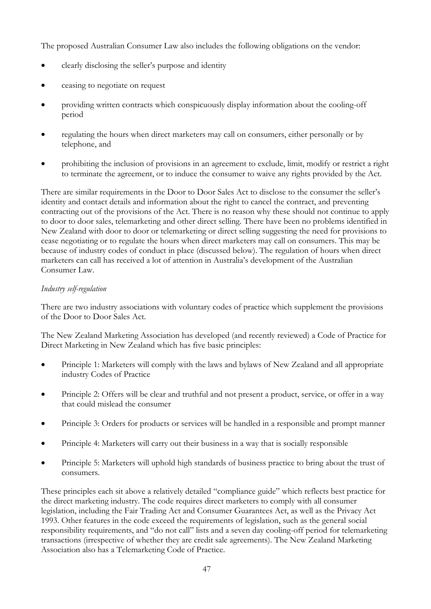The proposed Australian Consumer Law also includes the following obligations on the vendor:

- clearly disclosing the seller's purpose and identity
- ceasing to negotiate on request
- providing written contracts which conspicuously display information about the cooling-off period
- regulating the hours when direct marketers may call on consumers, either personally or by telephone, and
- prohibiting the inclusion of provisions in an agreement to exclude, limit, modify or restrict a right to terminate the agreement, or to induce the consumer to waive any rights provided by the Act.

There are similar requirements in the Door to Door Sales Act to disclose to the consumer the seller's identity and contact details and information about the right to cancel the contract, and preventing contracting out of the provisions of the Act. There is no reason why these should not continue to apply to door to door sales, telemarketing and other direct selling. There have been no problems identified in New Zealand with door to door or telemarketing or direct selling suggesting the need for provisions to cease negotiating or to regulate the hours when direct marketers may call on consumers. This may be because of industry codes of conduct in place (discussed below). The regulation of hours when direct marketers can call has received a lot of attention in Australia's development of the Australian Consumer Law.

#### *Industry self-regulation*

There are two industry associations with voluntary codes of practice which supplement the provisions of the Door to Door Sales Act.

The New Zealand Marketing Association has developed (and recently reviewed) a Code of Practice for Direct Marketing in New Zealand which has five basic principles:

- Principle 1: Marketers will comply with the laws and bylaws of New Zealand and all appropriate industry Codes of Practice
- Principle 2: Offers will be clear and truthful and not present a product, service, or offer in a way that could mislead the consumer
- Principle 3: Orders for products or services will be handled in a responsible and prompt manner
- Principle 4: Marketers will carry out their business in a way that is socially responsible
- Principle 5: Marketers will uphold high standards of business practice to bring about the trust of consumers.

These principles each sit above a relatively detailed "compliance guide" which reflects best practice for the direct marketing industry. The code requires direct marketers to comply with all consumer legislation, including the Fair Trading Act and Consumer Guarantees Act, as well as the Privacy Act 1993. Other features in the code exceed the requirements of legislation, such as the general social responsibility requirements, and "do not call" lists and a seven day cooling-off period for telemarketing transactions (irrespective of whether they are credit sale agreements). The New Zealand Marketing Association also has a Telemarketing Code of Practice.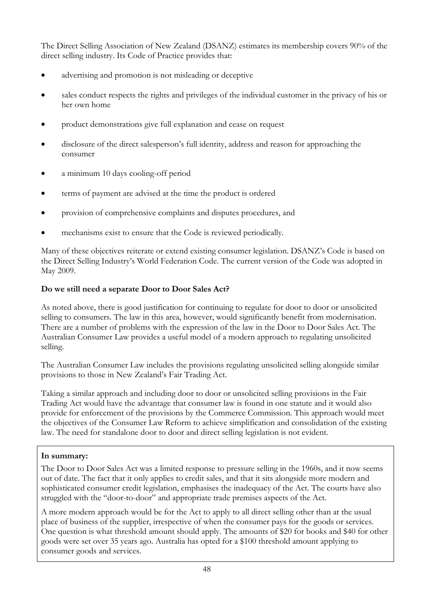The Direct Selling Association of New Zealand (DSANZ) estimates its membership covers 90% of the direct selling industry. Its Code of Practice provides that:

- advertising and promotion is not misleading or deceptive
- sales conduct respects the rights and privileges of the individual customer in the privacy of his or her own home
- product demonstrations give full explanation and cease on request
- disclosure of the direct salesperson's full identity, address and reason for approaching the consumer
- a minimum 10 days cooling-off period
- terms of payment are advised at the time the product is ordered
- provision of comprehensive complaints and disputes procedures, and
- mechanisms exist to ensure that the Code is reviewed periodically.

Many of these objectives reiterate or extend existing consumer legislation. DSANZ's Code is based on the Direct Selling Industry's World Federation Code. The current version of the Code was adopted in May 2009.

## **Do we still need a separate Door to Door Sales Act?**

As noted above, there is good justification for continuing to regulate for door to door or unsolicited selling to consumers. The law in this area, however, would significantly benefit from modernisation. There are a number of problems with the expression of the law in the Door to Door Sales Act. The Australian Consumer Law provides a useful model of a modern approach to regulating unsolicited selling.

The Australian Consumer Law includes the provisions regulating unsolicited selling alongside similar provisions to those in New Zealand's Fair Trading Act.

Taking a similar approach and including door to door or unsolicited selling provisions in the Fair Trading Act would have the advantage that consumer law is found in one statute and it would also provide for enforcement of the provisions by the Commerce Commission. This approach would meet the objectives of the Consumer Law Reform to achieve simplification and consolidation of the existing law. The need for standalone door to door and direct selling legislation is not evident.

## **In summary:**

The Door to Door Sales Act was a limited response to pressure selling in the 1960s, and it now seems out of date. The fact that it only applies to credit sales, and that it sits alongside more modern and sophisticated consumer credit legislation, emphasises the inadequacy of the Act. The courts have also struggled with the "door-to-door" and appropriate trade premises aspects of the Act.

A more modern approach would be for the Act to apply to all direct selling other than at the usual place of business of the supplier, irrespective of when the consumer pays for the goods or services. One question is what threshold amount should apply. The amounts of \$20 for books and \$40 for other goods were set over 35 years ago. Australia has opted for a \$100 threshold amount applying to consumer goods and services.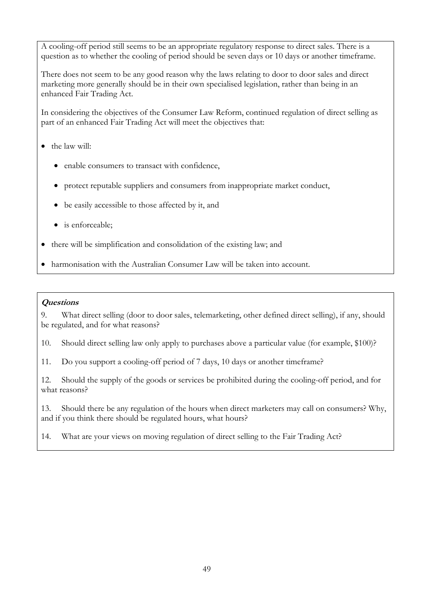A cooling-off period still seems to be an appropriate regulatory response to direct sales. There is a question as to whether the cooling of period should be seven days or 10 days or another timeframe.

There does not seem to be any good reason why the laws relating to door to door sales and direct marketing more generally should be in their own specialised legislation, rather than being in an enhanced Fair Trading Act.

In considering the objectives of the Consumer Law Reform, continued regulation of direct selling as part of an enhanced Fair Trading Act will meet the objectives that:

- the law will:
	- enable consumers to transact with confidence,
	- protect reputable suppliers and consumers from inappropriate market conduct,
	- be easily accessible to those affected by it, and
	- is enforceable;
- there will be simplification and consolidation of the existing law; and
- harmonisation with the Australian Consumer Law will be taken into account.

#### **Questions**

9. What direct selling (door to door sales, telemarketing, other defined direct selling), if any, should be regulated, and for what reasons?

10. Should direct selling law only apply to purchases above a particular value (for example, \$100)?

11. Do you support a cooling-off period of 7 days, 10 days or another timeframe?

12. Should the supply of the goods or services be prohibited during the cooling-off period, and for what reasons?

13. Should there be any regulation of the hours when direct marketers may call on consumers? Why, and if you think there should be regulated hours, what hours?

14. What are your views on moving regulation of direct selling to the Fair Trading Act?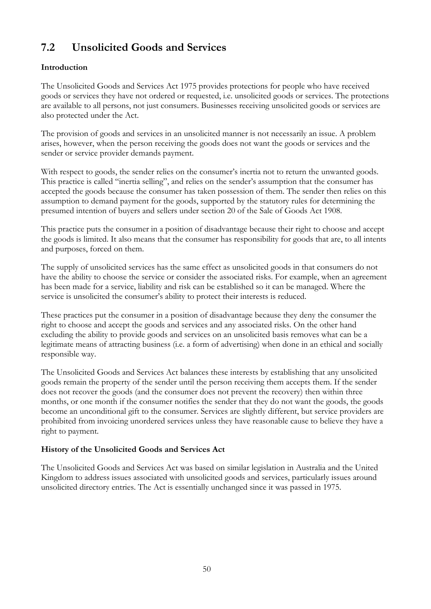## **7.2 Unsolicited Goods and Services**

## **Introduction**

The Unsolicited Goods and Services Act 1975 provides protections for people who have received goods or services they have not ordered or requested, i.e. unsolicited goods or services. The protections are available to all persons, not just consumers. Businesses receiving unsolicited goods or services are also protected under the Act.

The provision of goods and services in an unsolicited manner is not necessarily an issue. A problem arises, however, when the person receiving the goods does not want the goods or services and the sender or service provider demands payment.

With respect to goods, the sender relies on the consumer's inertia not to return the unwanted goods. This practice is called "inertia selling", and relies on the sender's assumption that the consumer has accepted the goods because the consumer has taken possession of them. The sender then relies on this assumption to demand payment for the goods, supported by the statutory rules for determining the presumed intention of buyers and sellers under section 20 of the Sale of Goods Act 1908.

This practice puts the consumer in a position of disadvantage because their right to choose and accept the goods is limited. It also means that the consumer has responsibility for goods that are, to all intents and purposes, forced on them.

The supply of unsolicited services has the same effect as unsolicited goods in that consumers do not have the ability to choose the service or consider the associated risks. For example, when an agreement has been made for a service, liability and risk can be established so it can be managed. Where the service is unsolicited the consumer's ability to protect their interests is reduced.

These practices put the consumer in a position of disadvantage because they deny the consumer the right to choose and accept the goods and services and any associated risks. On the other hand excluding the ability to provide goods and services on an unsolicited basis removes what can be a legitimate means of attracting business (i.e. a form of advertising) when done in an ethical and socially responsible way.

The Unsolicited Goods and Services Act balances these interests by establishing that any unsolicited goods remain the property of the sender until the person receiving them accepts them. If the sender does not recover the goods (and the consumer does not prevent the recovery) then within three months, or one month if the consumer notifies the sender that they do not want the goods, the goods become an unconditional gift to the consumer. Services are slightly different, but service providers are prohibited from invoicing unordered services unless they have reasonable cause to believe they have a right to payment.

## **History of the Unsolicited Goods and Services Act**

The Unsolicited Goods and Services Act was based on similar legislation in Australia and the United Kingdom to address issues associated with unsolicited goods and services, particularly issues around unsolicited directory entries. The Act is essentially unchanged since it was passed in 1975.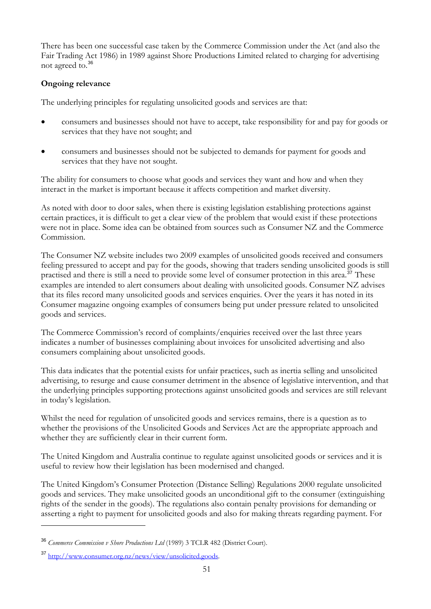<span id="page-51-0"></span>There has been one successful case taken by the Commerce Commission under the Act (and also the Fair Trading Act 1986) in 1989 against Shore Productions Limited related to charging for advertising not agreed to.[36](#page-51-0)

## **Ongoing relevance**

The underlying principles for regulating unsolicited goods and services are that:

- consumers and businesses should not have to accept, take responsibility for and pay for goods or services that they have not sought; and
- consumers and businesses should not be subjected to demands for payment for goods and services that they have not sought.

The ability for consumers to choose what goods and services they want and how and when they interact in the market is important because it affects competition and market diversity.

As noted with door to door sales, when there is existing legislation establishing protections against certain practices, it is difficult to get a clear view of the problem that would exist if these protections were not in place. Some idea can be obtained from sources such as Consumer NZ and the Commerce Commission.

The Consumer NZ website includes two 2009 examples of unsolicited goods received and consumers feeling pressured to accept and pay for the goods, showing that traders sending unsolicited goods is still practised and there is still a need to provide some level of consumer protection in this area.<sup>[37](#page-51-0)</sup> These examples are intended to alert consumers about dealing with unsolicited goods. Consumer NZ advises that its files record many unsolicited goods and services enquiries. Over the years it has noted in its Consumer magazine ongoing examples of consumers being put under pressure related to unsolicited goods and services.

The Commerce Commission's record of complaints/enquiries received over the last three years indicates a number of businesses complaining about invoices for unsolicited advertising and also consumers complaining about unsolicited goods.

This data indicates that the potential exists for unfair practices, such as inertia selling and unsolicited advertising, to resurge and cause consumer detriment in the absence of legislative intervention, and that the underlying principles supporting protections against unsolicited goods and services are still relevant in today's legislation.

Whilst the need for regulation of unsolicited goods and services remains, there is a question as to whether the provisions of the Unsolicited Goods and Services Act are the appropriate approach and whether they are sufficiently clear in their current form.

The United Kingdom and Australia continue to regulate against unsolicited goods or services and it is useful to review how their legislation has been modernised and changed.

The United Kingdom's Consumer Protection (Distance Selling) Regulations 2000 regulate unsolicited goods and services. They make unsolicited goods an unconditional gift to the consumer (extinguishing rights of the sender in the goods). The regulations also contain penalty provisions for demanding or asserting a right to payment for unsolicited goods and also for making threats regarding payment. For

<sup>36</sup> *Commerce Commission v Shore Productions Ltd* (1989) 3 TCLR 482 (District Court).

<sup>37</sup> <http://www.consumer.org.nz/news/view/unsolicited.goods>.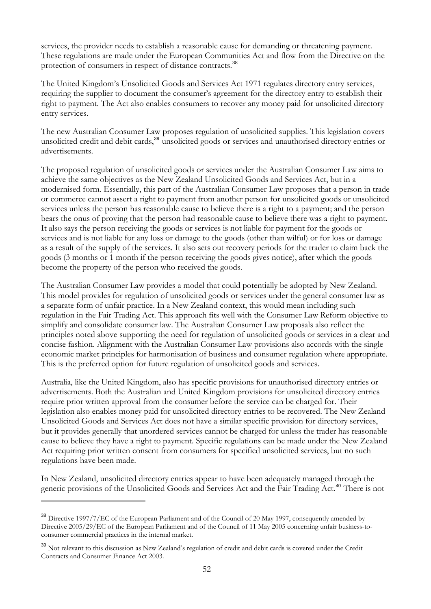<span id="page-52-0"></span>services, the provider needs to establish a reasonable cause for demanding or threatening payment. These regulations are made under the European Communities Act and flow from the Directive on the protection of consumers in respect of distance contracts.<sup>[38](#page-52-0)</sup>

The United Kingdom's Unsolicited Goods and Services Act 1971 regulates directory entry services, requiring the supplier to document the consumer's agreement for the directory entry to establish their right to payment. The Act also enables consumers to recover any money paid for unsolicited directory entry services.

The new Australian Consumer Law proposes regulation of unsolicited supplies. This legislation covers unsolicited credit and debit cards,<sup>[39](#page-52-0)</sup> unsolicited goods or services and unauthorised directory entries or advertisements.

The proposed regulation of unsolicited goods or services under the Australian Consumer Law aims to achieve the same objectives as the New Zealand Unsolicited Goods and Services Act, but in a modernised form. Essentially, this part of the Australian Consumer Law proposes that a person in trade or commerce cannot assert a right to payment from another person for unsolicited goods or unsolicited services unless the person has reasonable cause to believe there is a right to a payment; and the person bears the onus of proving that the person had reasonable cause to believe there was a right to payment. It also says the person receiving the goods or services is not liable for payment for the goods or services and is not liable for any loss or damage to the goods (other than wilful) or for loss or damage as a result of the supply of the services. It also sets out recovery periods for the trader to claim back the goods (3 months or 1 month if the person receiving the goods gives notice), after which the goods become the property of the person who received the goods.

The Australian Consumer Law provides a model that could potentially be adopted by New Zealand. This model provides for regulation of unsolicited goods or services under the general consumer law as a separate form of unfair practice. In a New Zealand context, this would mean including such regulation in the Fair Trading Act. This approach fits well with the Consumer Law Reform objective to simplify and consolidate consumer law. The Australian Consumer Law proposals also reflect the principles noted above supporting the need for regulation of unsolicited goods or services in a clear and concise fashion. Alignment with the Australian Consumer Law provisions also accords with the single economic market principles for harmonisation of business and consumer regulation where appropriate. This is the preferred option for future regulation of unsolicited goods and services.

Australia, like the United Kingdom, also has specific provisions for unauthorised directory entries or advertisements. Both the Australian and United Kingdom provisions for unsolicited directory entries require prior written approval from the consumer before the service can be charged for. Their legislation also enables money paid for unsolicited directory entries to be recovered. The New Zealand Unsolicited Goods and Services Act does not have a similar specific provision for directory services, but it provides generally that unordered services cannot be charged for unless the trader has reasonable cause to believe they have a right to payment. Specific regulations can be made under the New Zealand Act requiring prior written consent from consumers for specified unsolicited services, but no such regulations have been made.

In New Zealand, unsolicited directory entries appear to have been adequately managed through the generic provisions of the Unsolicited Goods and Services Act and the Fair Trading Act.<sup>[40](#page-52-0)</sup> There is not

<sup>&</sup>lt;sup>38</sup> Directive 1997/7/EC of the European Parliament and of the Council of 20 May 1997, consequently amended by Directive 2005/29/EC of the European Parliament and of the Council of 11 May 2005 concerning unfair business-toconsumer commercial practices in the internal market.

<sup>&</sup>lt;sup>39</sup> Not relevant to this discussion as New Zealand's regulation of credit and debit cards is covered under the Credit Contracts and Consumer Finance Act 2003.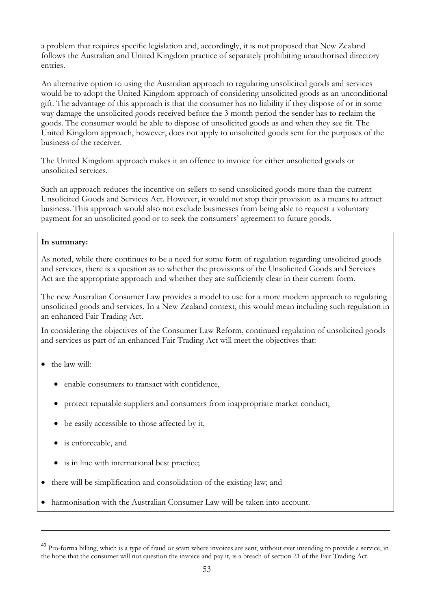entries. a problem that requires specific legislation and, accordingly, it is not proposed that New Zealand follows the Australian and United Kingdom practice of separately prohibiting unauthorised directory

would be to adopt the United Kingdom approach of considering unsolicited goods as an unconditional United Kingdom approach, however, does not apply to unsolicited goods sent for the purposes of the business of the receiver. An alternative option to using the Australian approach to regulating unsolicited goods and services gift. The advantage of this approach is that the consumer has no liability if they dispose of or in some way damage the unsolicited goods received before the 3 month period the sender has to reclaim the goods. The consumer would be able to dispose of unsolicited goods as and when they see fit. The

The United Kingdom approach makes it an offence to invoice for either unsolicited goods or unsolicited services.

Unsolicited Goods and Services Act. However, it would not stop their provision as a means to attract business. This approach would also not exclude businesses from being able to request a voluntary payment for an unsolicited good or to seek the consumers' agreement to future goods. Such an approach reduces the incentive on sellers to send unsolicited goods more than the current

#### **In summary:**

and services, there is a question as to whether the provisions of the Unsolicited Goods and Services Act are the appropriate approach and whether they are sufficiently clear in their current form. As noted, while there continues to be a need for some form of regulation regarding unsolicited goods

unsolicited goods and services. In a New Zealand context, this would mean including such regulation in The new Australian Consumer Law provides a model to use for a more modern approach to regulating an enhanced Fair Trading Act.

In considering the objectives of the Consumer Law Reform, continued regulation of unsolicited goods and services as part of an enhanced Fair Trading Act will meet the objectives that:

• the law will:

- enable consumers to transact with confidence,
- protect reputable suppliers and consumers from inappropriate market conduct,
- be easily accessible to those affected by it,
- is enforceable, and
- is in line with international best practice;
- there will be simplification and consolidation of the existing law; and
- harmonisation with the Australian Consumer Law will be taken into account. •

<sup>&</sup>lt;sup>40</sup> Pro-forma billing, which is a type of fraud or scam where invoices are sent, without ever intending to provide a service, in the hope that the consumer will not question the invoice and pay it, is a breach of section 21 of the Fair Trading Act.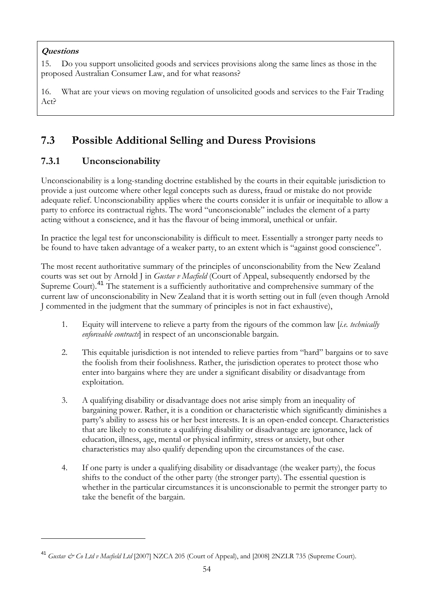## <span id="page-54-0"></span>**Questions**

 $\overline{a}$ 

15. Do you support unsolicited goods and services provisions along the same lines as those in the proposed Australian Consumer Law, and for what reasons?

16. What are your views on moving regulation of unsolicited goods and services to the Fair Trading Act?

## **7.3 Possible Additional Selling and Duress Provisions**

## **7.3.1 Unconscionability**

Unconscionability is a long-standing doctrine established by the courts in their equitable jurisdiction to provide a just outcome where other legal concepts such as duress, fraud or mistake do not provide adequate relief. Unconscionability applies where the courts consider it is unfair or inequitable to allow a party to enforce its contractual rights. The word "unconscionable" includes the element of a party acting without a conscience, and it has the flavour of being immoral, unethical or unfair.

In practice the legal test for unconscionability is difficult to meet. Essentially a stronger party needs to be found to have taken advantage of a weaker party, to an extent which is "against good conscience".

The most recent authoritative summary of the principles of unconscionability from the New Zealand courts was set out by Arnold J in *Gustav v Macfield* (Court of Appeal, subsequently endorsed by the Supreme Court).<sup>[41](#page-54-0)</sup> The statement is a sufficiently authoritative and comprehensive summary of the current law of unconscionability in New Zealand that it is worth setting out in full (even though Arnold J commented in the judgment that the summary of principles is not in fact exhaustive),

- 1. Equity will intervene to relieve a party from the rigours of the common law [*i.e. technically enforceable contracts*] in respect of an unconscionable bargain.
- 2. This equitable jurisdiction is not intended to relieve parties from "hard" bargains or to save the foolish from their foolishness. Rather, the jurisdiction operates to protect those who enter into bargains where they are under a significant disability or disadvantage from exploitation.
- 3. A qualifying disability or disadvantage does not arise simply from an inequality of bargaining power. Rather, it is a condition or characteristic which significantly diminishes a party's ability to assess his or her best interests. It is an open-ended concept. Characteristics that are likely to constitute a qualifying disability or disadvantage are ignorance, lack of education, illness, age, mental or physical infirmity, stress or anxiety, but other characteristics may also qualify depending upon the circumstances of the case.
- 4. If one party is under a qualifying disability or disadvantage (the weaker party), the focus shifts to the conduct of the other party (the stronger party). The essential question is whether in the particular circumstances it is unconscionable to permit the stronger party to take the benefit of the bargain.

<sup>41</sup> *Gustav & Co Ltd v Macfield Ltd* [2007] NZCA 205 (Court of Appeal), and [2008] 2NZLR 735 (Supreme Court).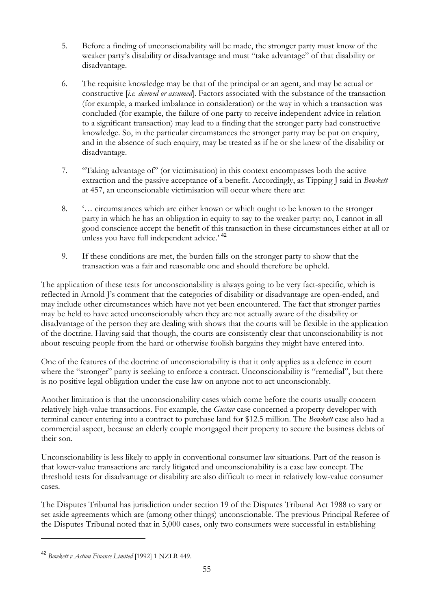- <span id="page-55-0"></span>5. Before a finding of unconscionability will be made, the stronger party must know of the weaker party's disability or disadvantage and must "take advantage" of that disability or disadvantage.
- 6. The requisite knowledge may be that of the principal or an agent, and may be actual or constructive [*i.e. deemed or assumed*]. Factors associated with the substance of the transaction (for example, a marked imbalance in consideration) or the way in which a transaction was concluded (for example, the failure of one party to receive independent advice in relation to a significant transaction) may lead to a finding that the stronger party had constructive knowledge. So, in the particular circumstances the stronger party may be put on enquiry, and in the absence of such enquiry, may be treated as if he or she knew of the disability or disadvantage.
- 7. "Taking advantage of" (or victimisation) in this context encompasses both the active extraction and the passive acceptance of a benefit. Accordingly, as Tipping J said in *Bowkett* at 457, an unconscionable victimisation will occur where there are:
- 8. '… circumstances which are either known or which ought to be known to the stronger party in which he has an obligation in equity to say to the weaker party: no, I cannot in all good conscience accept the benefit of this transaction in these circumstances either at all or unless you have full independent advice.' <sup>[42](#page-55-0)</sup>
- 9. If these conditions are met, the burden falls on the stronger party to show that the transaction was a fair and reasonable one and should therefore be upheld.

The application of these tests for unconscionability is always going to be very fact-specific, which is reflected in Arnold J's comment that the categories of disability or disadvantage are open-ended, and may include other circumstances which have not yet been encountered. The fact that stronger parties may be held to have acted unconscionably when they are not actually aware of the disability or disadvantage of the person they are dealing with shows that the courts will be flexible in the application of the doctrine. Having said that though, the courts are consistently clear that unconscionability is not about rescuing people from the hard or otherwise foolish bargains they might have entered into.

One of the features of the doctrine of unconscionability is that it only applies as a defence in court where the "stronger" party is seeking to enforce a contract. Unconscionability is "remedial", but there is no positive legal obligation under the case law on anyone not to act unconscionably.

Another limitation is that the unconscionability cases which come before the courts usually concern relatively high-value transactions. For example, the *Gustav* case concerned a property developer with terminal cancer entering into a contract to purchase land for \$12.5 million. The *Bowkett* case also had a commercial aspect, because an elderly couple mortgaged their property to secure the business debts of their son.

Unconscionability is less likely to apply in conventional consumer law situations. Part of the reason is that lower-value transactions are rarely litigated and unconscionability is a case law concept. The threshold tests for disadvantage or disability are also difficult to meet in relatively low-value consumer cases.

The Disputes Tribunal has jurisdiction under section 19 of the Disputes Tribunal Act 1988 to vary or set aside agreements which are (among other things) unconscionable. The previous Principal Referee of the Disputes Tribunal noted that in 5,000 cases, only two consumers were successful in establishing

<sup>42</sup> *Bowkett v Action Finance Limited* [1992] 1 NZLR 449.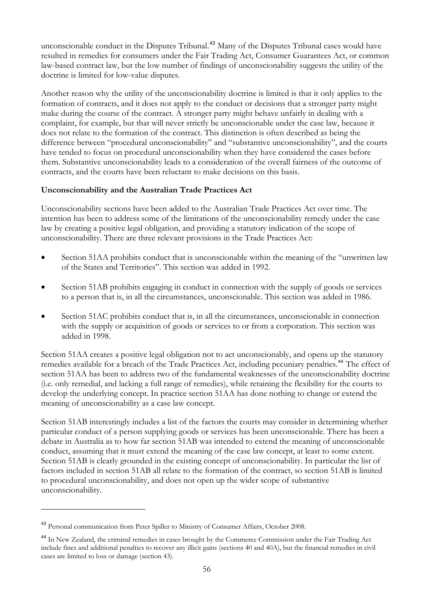<span id="page-56-0"></span>unconscionable conduct in the Disputes Tribunal.<sup>[43](#page-56-0)</sup> Many of the Disputes Tribunal cases would have resulted in remedies for consumers under the Fair Trading Act, Consumer Guarantees Act, or common law-based contract law, but the low number of findings of unconscionability suggests the utility of the doctrine is limited for low-value disputes.

Another reason why the utility of the unconscionability doctrine is limited is that it only applies to the formation of contracts, and it does not apply to the conduct or decisions that a stronger party might make during the course of the contract. A stronger party might behave unfairly in dealing with a complaint, for example, but that will never strictly be unconscionable under the case law, because it does not relate to the formation of the contract. This distinction is often described as being the difference between "procedural unconscionability" and "substantive unconscionability", and the courts have tended to focus on procedural unconscionability when they have considered the cases before them. Substantive unconscionability leads to a consideration of the overall fairness of the outcome of contracts, and the courts have been reluctant to make decisions on this basis.

#### **Unconscionability and the Australian Trade Practices Act**

Unconscionability sections have been added to the Australian Trade Practices Act over time. The intention has been to address some of the limitations of the unconscionability remedy under the case law by creating a positive legal obligation, and providing a statutory indication of the scope of unconscionability. There are three relevant provisions in the Trade Practices Act:

- Section 51AA prohibits conduct that is unconscionable within the meaning of the "unwritten law of the States and Territories". This section was added in 1992.
- Section 51AB prohibits engaging in conduct in connection with the supply of goods or services to a person that is, in all the circumstances, unconscionable. This section was added in 1986.
- Section 51AC prohibits conduct that is, in all the circumstances, unconscionable in connection with the supply or acquisition of goods or services to or from a corporation. This section was added in 1998.

Section 51AA creates a positive legal obligation not to act unconscionably, and opens up the statutory remedies available for a breach of the Trade Practices Act, including pecuniary penalties.<sup>[44](#page-56-0)</sup> The effect of section 51AA has been to address two of the fundamental weaknesses of the unconscionability doctrine (i.e. only remedial, and lacking a full range of remedies), while retaining the flexibility for the courts to develop the underlying concept. In practice section 51AA has done nothing to change or extend the meaning of unconscionability as a case law concept.

Section 51AB interestingly includes a list of the factors the courts may consider in determining whether particular conduct of a person supplying goods or services has been unconscionable. There has been a debate in Australia as to how far section 51AB was intended to extend the meaning of unconscionable conduct, assuming that it must extend the meaning of the case law concept, at least to some extent. Section 51AB is clearly grounded in the existing concept of unconscionability. In particular the list of factors included in section 51AB all relate to the formation of the contract, so section 51AB is limited to procedural unconscionability, and does not open up the wider scope of substantive unconscionability.

<sup>43</sup> Personal communication from Peter Spiller to Ministry of Consumer Affairs, October 2008.

<sup>&</sup>lt;sup>44</sup> In New Zealand, the criminal remedies in cases brought by the Commerce Commission under the Fair Trading Act include fines and additional penalties to recover any illicit gains (sections 40 and 40A), but the financial remedies in civil cases are limited to loss or damage (section 43).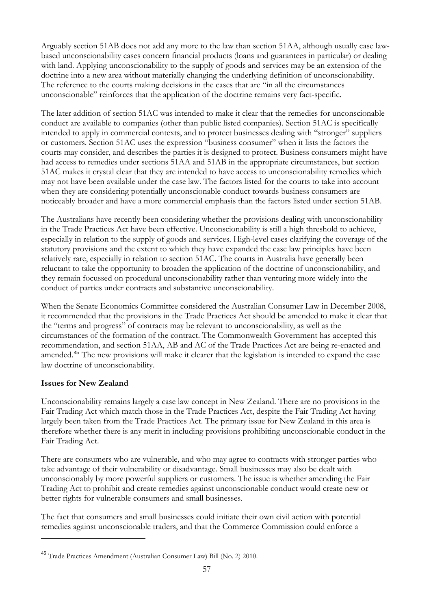<span id="page-57-0"></span>Arguably section 51AB does not add any more to the law than section 51AA, although usually case lawbased unconscionability cases concern financial products (loans and guarantees in particular) or dealing with land. Applying unconscionability to the supply of goods and services may be an extension of the doctrine into a new area without materially changing the underlying definition of unconscionability. The reference to the courts making decisions in the cases that are "in all the circumstances unconscionable" reinforces that the application of the doctrine remains very fact-specific.

The later addition of section 51AC was intended to make it clear that the remedies for unconscionable conduct are available to companies (other than public listed companies). Section 51AC is specifically intended to apply in commercial contexts, and to protect businesses dealing with "stronger" suppliers or customers. Section 51AC uses the expression "business consumer" when it lists the factors the courts may consider, and describes the parties it is designed to protect. Business consumers might have had access to remedies under sections 51AA and 51AB in the appropriate circumstances, but section 51AC makes it crystal clear that they are intended to have access to unconscionability remedies which may not have been available under the case law. The factors listed for the courts to take into account when they are considering potentially unconscionable conduct towards business consumers are noticeably broader and have a more commercial emphasis than the factors listed under section 51AB.

The Australians have recently been considering whether the provisions dealing with unconscionability in the Trade Practices Act have been effective. Unconscionability is still a high threshold to achieve, especially in relation to the supply of goods and services. High-level cases clarifying the coverage of the statutory provisions and the extent to which they have expanded the case law principles have been relatively rare, especially in relation to section 51AC. The courts in Australia have generally been reluctant to take the opportunity to broaden the application of the doctrine of unconscionability, and they remain focussed on procedural unconscionability rather than venturing more widely into the conduct of parties under contracts and substantive unconscionability.

When the Senate Economics Committee considered the Australian Consumer Law in December 2008, it recommended that the provisions in the Trade Practices Act should be amended to make it clear that the "terms and progress" of contracts may be relevant to unconscionability, as well as the circumstances of the formation of the contract. The Commonwealth Government has accepted this recommendation, and section 51AA, AB and AC of the Trade Practices Act are being re-enacted and amended.[45](#page-57-0) The new provisions will make it clearer that the legislation is intended to expand the case law doctrine of unconscionability.

## **Issues for New Zealand**

 $\overline{a}$ 

Unconscionability remains largely a case law concept in New Zealand. There are no provisions in the Fair Trading Act which match those in the Trade Practices Act, despite the Fair Trading Act having largely been taken from the Trade Practices Act. The primary issue for New Zealand in this area is therefore whether there is any merit in including provisions prohibiting unconscionable conduct in the Fair Trading Act.

There are consumers who are vulnerable, and who may agree to contracts with stronger parties who take advantage of their vulnerability or disadvantage. Small businesses may also be dealt with unconscionably by more powerful suppliers or customers. The issue is whether amending the Fair Trading Act to prohibit and create remedies against unconscionable conduct would create new or better rights for vulnerable consumers and small businesses.

The fact that consumers and small businesses could initiate their own civil action with potential remedies against unconscionable traders, and that the Commerce Commission could enforce a

<sup>45</sup> Trade Practices Amendment (Australian Consumer Law) Bill (No. 2) 2010.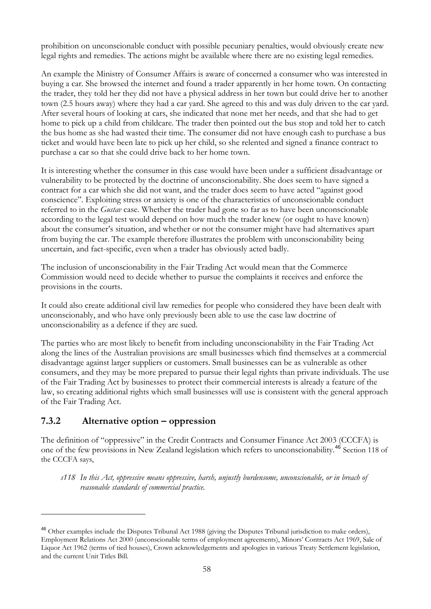<span id="page-58-0"></span>prohibition on unconscionable conduct with possible pecuniary penalties, would obviously create new legal rights and remedies. The actions might be available where there are no existing legal remedies.

An example the Ministry of Consumer Affairs is aware of concerned a consumer who was interested in buying a car. She browsed the internet and found a trader apparently in her home town. On contacting the trader, they told her they did not have a physical address in her town but could drive her to another town (2.5 hours away) where they had a car yard. She agreed to this and was duly driven to the car yard. After several hours of looking at cars, she indicated that none met her needs, and that she had to get home to pick up a child from childcare. The trader then pointed out the bus stop and told her to catch the bus home as she had wasted their time. The consumer did not have enough cash to purchase a bus ticket and would have been late to pick up her child, so she relented and signed a finance contract to purchase a car so that she could drive back to her home town.

It is interesting whether the consumer in this case would have been under a sufficient disadvantage or vulnerability to be protected by the doctrine of unconscionability. She does seem to have signed a contract for a car which she did not want, and the trader does seem to have acted "against good conscience". Exploiting stress or anxiety is one of the characteristics of unconscionable conduct referred to in the *Gustav* case. Whether the trader had gone so far as to have been unconscionable according to the legal test would depend on how much the trader knew (or ought to have known) about the consumer's situation, and whether or not the consumer might have had alternatives apart from buying the car. The example therefore illustrates the problem with unconscionability being uncertain, and fact-specific, even when a trader has obviously acted badly.

The inclusion of unconscionability in the Fair Trading Act would mean that the Commerce Commission would need to decide whether to pursue the complaints it receives and enforce the provisions in the courts.

It could also create additional civil law remedies for people who considered they have been dealt with unconscionably, and who have only previously been able to use the case law doctrine of unconscionability as a defence if they are sued.

The parties who are most likely to benefit from including unconscionability in the Fair Trading Act along the lines of the Australian provisions are small businesses which find themselves at a commercial disadvantage against larger suppliers or customers. Small businesses can be as vulnerable as other consumers, and they may be more prepared to pursue their legal rights than private individuals. The use of the Fair Trading Act by businesses to protect their commercial interests is already a feature of the law, so creating additional rights which small businesses will use is consistent with the general approach of the Fair Trading Act.

## **7.3.2 Alternative option – oppression**

 $\overline{a}$ 

The definition of "oppressive" in the Credit Contracts and Consumer Finance Act 2003 (CCCFA) is one of the few provisions in New Zealand legislation which refers to unconscionability.[46](#page-58-0) Section 118 of the CCCFA says,

*s118 In this Act, oppressive means oppressive, harsh, unjustly burdensome, unconscionable, or in breach of reasonable standards of commercial practice.* 

<sup>&</sup>lt;sup>46</sup> Other examples include the Disputes Tribunal Act 1988 (giving the Disputes Tribunal jurisdiction to make orders), Employment Relations Act 2000 (unconscionable terms of employment agreements), Minors' Contracts Act 1969, Sale of Liquor Act 1962 (terms of tied houses), Crown acknowledgements and apologies in various Treaty Settlement legislation, and the current Unit Titles Bill.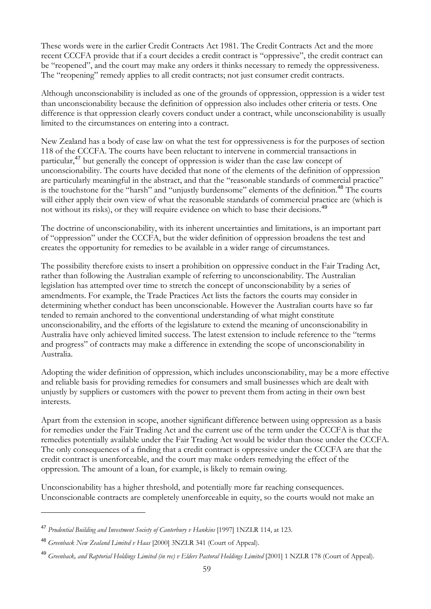<span id="page-59-0"></span>These words were in the earlier Credit Contracts Act 1981. The Credit Contracts Act and the more recent CCCFA provide that if a court decides a credit contract is "oppressive", the credit contract can be "reopened", and the court may make any orders it thinks necessary to remedy the oppressiveness. The "reopening" remedy applies to all credit contracts; not just consumer credit contracts.

Although unconscionability is included as one of the grounds of oppression, oppression is a wider test than unconscionability because the definition of oppression also includes other criteria or tests. One difference is that oppression clearly covers conduct under a contract, while unconscionability is usually limited to the circumstances on entering into a contract.

New Zealand has a body of case law on what the test for oppressiveness is for the purposes of section 118 of the CCCFA. The courts have been reluctant to intervene in commercial transactions in particular,<sup>[47](#page-59-0)</sup> but generally the concept of oppression is wider than the case law concept of unconscionability. The courts have decided that none of the elements of the definition of oppression are particularly meaningful in the abstract, and that the "reasonable standards of commercial practice" is the touchstone for the "harsh" and "unjustly burdensome" elements of the definition.<sup>[48](#page-59-0)</sup> The courts will either apply their own view of what the reasonable standards of commercial practice are (which is not without its risks), or they will require evidence on which to base their decisions.<sup>[49](#page-59-0)</sup>

The doctrine of unconscionability, with its inherent uncertainties and limitations, is an important part of "oppression" under the CCCFA, but the wider definition of oppression broadens the test and creates the opportunity for remedies to be available in a wider range of circumstances.

The possibility therefore exists to insert a prohibition on oppressive conduct in the Fair Trading Act, rather than following the Australian example of referring to unconscionability. The Australian legislation has attempted over time to stretch the concept of unconscionability by a series of amendments. For example, the Trade Practices Act lists the factors the courts may consider in determining whether conduct has been unconscionable. However the Australian courts have so far tended to remain anchored to the conventional understanding of what might constitute unconscionability, and the efforts of the legislature to extend the meaning of unconscionability in Australia have only achieved limited success. The latest extension to include reference to the "terms and progress" of contracts may make a difference in extending the scope of unconscionability in Australia.

Adopting the wider definition of oppression, which includes unconscionability, may be a more effective and reliable basis for providing remedies for consumers and small businesses which are dealt with unjustly by suppliers or customers with the power to prevent them from acting in their own best interests.

Apart from the extension in scope, another significant difference between using oppression as a basis for remedies under the Fair Trading Act and the current use of the term under the CCCFA is that the remedies potentially available under the Fair Trading Act would be wider than those under the CCCFA. The only consequences of a finding that a credit contract is oppressive under the CCCFA are that the credit contract is unenforceable, and the court may make orders remedying the effect of the oppression. The amount of a loan, for example, is likely to remain owing.

Unconscionability has a higher threshold, and potentially more far reaching consequences. Unconscionable contracts are completely unenforceable in equity, so the courts would not make an

<sup>47</sup> *Prudential Building and Investment Society of Canterbury v Hankins* [1997] 1NZLR 114, at 123.

<sup>48</sup> *Greenback New Zealand Limited v Haas* [2000] 3NZLR 341 (Court of Appeal).

<sup>&</sup>lt;sup>49</sup> Greenback, and Raptorial Holdings Limited (in rec) v Elders Pastoral Holdings Limited [2001] 1 NZLR 178 (Court of Appeal).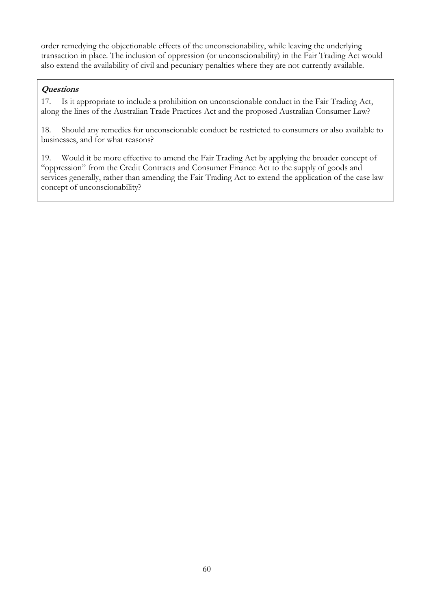order remedying the objectionable effects of the unconscionability, while leaving the underlying transaction in place. The inclusion of oppression (or unconscionability) in the Fair Trading Act would also extend the availability of civil and pecuniary penalties where they are not currently available.

## **Questions**

17. Is it appropriate to include a prohibition on unconscionable conduct in the Fair Trading Act, along the lines of the Australian Trade Practices Act and the proposed Australian Consumer Law?

18. Should any remedies for unconscionable conduct be restricted to consumers or also available to businesses, and for what reasons?

19. Would it be more effective to amend the Fair Trading Act by applying the broader concept of "oppression" from the Credit Contracts and Consumer Finance Act to the supply of goods and services generally, rather than amending the Fair Trading Act to extend the application of the case law concept of unconscionability?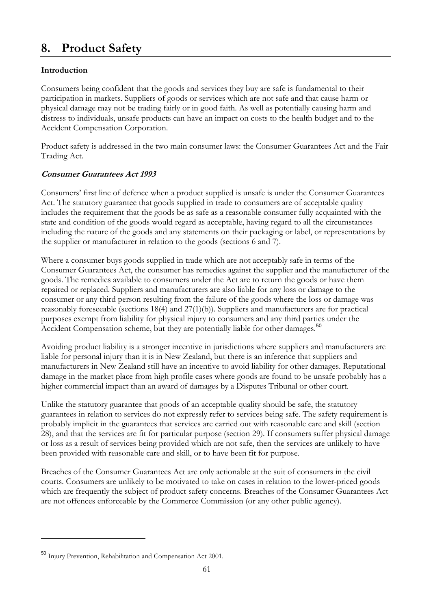## <span id="page-61-0"></span>**8. Product Safety**

## **Introduction**

Consumers being confident that the goods and services they buy are safe is fundamental to their participation in markets. Suppliers of goods or services which are not safe and that cause harm or physical damage may not be trading fairly or in good faith. As well as potentially causing harm and distress to individuals, unsafe products can have an impact on costs to the health budget and to the Accident Compensation Corporation.

Product safety is addressed in the two main consumer laws: the Consumer Guarantees Act and the Fair Trading Act.

## **Consumer Guarantees Act 1993**

Consumers' first line of defence when a product supplied is unsafe is under the Consumer Guarantees Act. The statutory guarantee that goods supplied in trade to consumers are of acceptable quality includes the requirement that the goods be as safe as a reasonable consumer fully acquainted with the state and condition of the goods would regard as acceptable, having regard to all the circumstances including the nature of the goods and any statements on their packaging or label, or representations by the supplier or manufacturer in relation to the goods (sections 6 and 7).

Where a consumer buys goods supplied in trade which are not acceptably safe in terms of the Consumer Guarantees Act, the consumer has remedies against the supplier and the manufacturer of the goods. The remedies available to consumers under the Act are to return the goods or have them repaired or replaced. Suppliers and manufacturers are also liable for any loss or damage to the consumer or any third person resulting from the failure of the goods where the loss or damage was reasonably foreseeable (sections 18(4) and 27(1)(b)). Suppliers and manufacturers are for practical purposes exempt from liability for physical injury to consumers and any third parties under the Accident Compensation scheme, but they are potentially liable for other damages.<sup>[50](#page-61-0)</sup>

Avoiding product liability is a stronger incentive in jurisdictions where suppliers and manufacturers are liable for personal injury than it is in New Zealand, but there is an inference that suppliers and manufacturers in New Zealand still have an incentive to avoid liability for other damages. Reputational damage in the market place from high profile cases where goods are found to be unsafe probably has a higher commercial impact than an award of damages by a Disputes Tribunal or other court.

Unlike the statutory guarantee that goods of an acceptable quality should be safe, the statutory guarantees in relation to services do not expressly refer to services being safe. The safety requirement is probably implicit in the guarantees that services are carried out with reasonable care and skill (section 28), and that the services are fit for particular purpose (section 29). If consumers suffer physical damage or loss as a result of services being provided which are not safe, then the services are unlikely to have been provided with reasonable care and skill, or to have been fit for purpose.

Breaches of the Consumer Guarantees Act are only actionable at the suit of consumers in the civil courts. Consumers are unlikely to be motivated to take on cases in relation to the lower-priced goods which are frequently the subject of product safety concerns. Breaches of the Consumer Guarantees Act are not offences enforceable by the Commerce Commission (or any other public agency).

<sup>50</sup> Injury Prevention, Rehabilitation and Compensation Act 2001.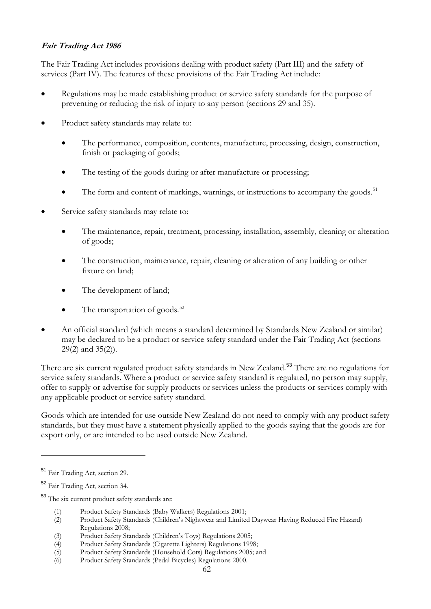## <span id="page-62-0"></span>**Fair Trading Act 1986**

The Fair Trading Act includes provisions dealing with product safety (Part III) and the safety of services (Part IV). The features of these provisions of the Fair Trading Act include:

- Regulations may be made establishing product or service safety standards for the purpose of preventing or reducing the risk of injury to any person (sections 29 and 35).
- Product safety standards may relate to:
	- The performance, composition, contents, manufacture, processing, design, construction, finish or packaging of goods;
	- The testing of the goods during or after manufacture or processing;
	- The form and content of markings, warnings, or instructions to accompany the goods.<sup>[51](#page-62-0)</sup>
- Service safety standards may relate to:
	- The maintenance, repair, treatment, processing, installation, assembly, cleaning or alteration of goods;
	- The construction, maintenance, repair, cleaning or alteration of any building or other fixture on land;
	- The development of land;
	- The transportation of goods. $52$
- An official standard (which means a standard determined by Standards New Zealand or similar) may be declared to be a product or service safety standard under the Fair Trading Act (sections 29(2) and 35(2)).

There are six current regulated product safety standards in New Zealand.<sup>[53](#page-62-0)</sup> There are no regulations for service safety standards. Where a product or service safety standard is regulated, no person may supply, offer to supply or advertise for supply products or services unless the products or services comply with any applicable product or service safety standard.

Goods which are intended for use outside New Zealand do not need to comply with any product safety standards, but they must have a statement physically applied to the goods saying that the goods are for export only, or are intended to be used outside New Zealand.

 $\overline{a}$ 

<sup>53</sup> The six current product safety standards are:

- (1) Product Safety Standards (Baby Walkers) Regulations 2001;
- (2) Product Safety Standards (Children's Nightwear and Limited Daywear Having Reduced Fire Hazard) Regulations 2008;
- (3) Product Safety Standards (Children's Toys) Regulations 2005;
- (4) Product Safety Standards (Cigarette Lighters) Regulations 1998;<br>
Product Safety Standards (Household Cots) Regulations 2005; a
- Product Safety Standards (Household Cots) Regulations 2005; and
- (6) Product Safety Standards (Pedal Bicycles) Regulations 2000.

<sup>51</sup> Fair Trading Act, section 29.

<sup>52</sup> Fair Trading Act, section 34.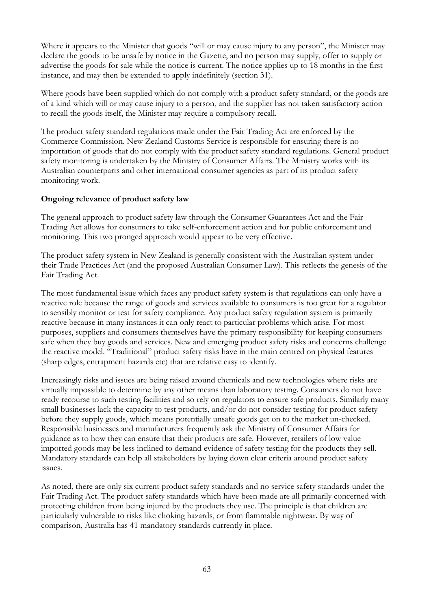Where it appears to the Minister that goods "will or may cause injury to any person", the Minister may declare the goods to be unsafe by notice in the Gazette, and no person may supply, offer to supply or advertise the goods for sale while the notice is current. The notice applies up to 18 months in the first instance, and may then be extended to apply indefinitely (section 31).

Where goods have been supplied which do not comply with a product safety standard, or the goods are of a kind which will or may cause injury to a person, and the supplier has not taken satisfactory action to recall the goods itself, the Minister may require a compulsory recall.

The product safety standard regulations made under the Fair Trading Act are enforced by the Commerce Commission. New Zealand Customs Service is responsible for ensuring there is no importation of goods that do not comply with the product safety standard regulations. General product safety monitoring is undertaken by the Ministry of Consumer Affairs. The Ministry works with its Australian counterparts and other international consumer agencies as part of its product safety monitoring work.

## **Ongoing relevance of product safety law**

The general approach to product safety law through the Consumer Guarantees Act and the Fair Trading Act allows for consumers to take self-enforcement action and for public enforcement and monitoring. This two pronged approach would appear to be very effective.

The product safety system in New Zealand is generally consistent with the Australian system under their Trade Practices Act (and the proposed Australian Consumer Law). This reflects the genesis of the Fair Trading Act.

The most fundamental issue which faces any product safety system is that regulations can only have a reactive role because the range of goods and services available to consumers is too great for a regulator to sensibly monitor or test for safety compliance. Any product safety regulation system is primarily reactive because in many instances it can only react to particular problems which arise. For most purposes, suppliers and consumers themselves have the primary responsibility for keeping consumers safe when they buy goods and services. New and emerging product safety risks and concerns challenge the reactive model. "Traditional" product safety risks have in the main centred on physical features (sharp edges, entrapment hazards etc) that are relative easy to identify.

Increasingly risks and issues are being raised around chemicals and new technologies where risks are virtually impossible to determine by any other means than laboratory testing. Consumers do not have ready recourse to such testing facilities and so rely on regulators to ensure safe products. Similarly many small businesses lack the capacity to test products, and/or do not consider testing for product safety before they supply goods, which means potentially unsafe goods get on to the market un-checked. Responsible businesses and manufacturers frequently ask the Ministry of Consumer Affairs for guidance as to how they can ensure that their products are safe. However, retailers of low value imported goods may be less inclined to demand evidence of safety testing for the products they sell. Mandatory standards can help all stakeholders by laying down clear criteria around product safety issues.

As noted, there are only six current product safety standards and no service safety standards under the Fair Trading Act. The product safety standards which have been made are all primarily concerned with protecting children from being injured by the products they use. The principle is that children are particularly vulnerable to risks like choking hazards, or from flammable nightwear. By way of comparison, Australia has 41 mandatory standards currently in place.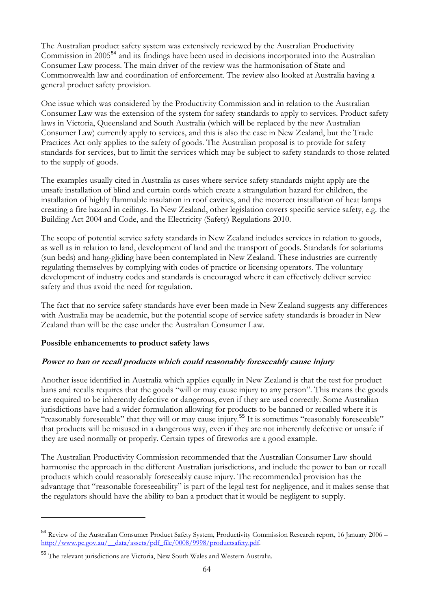<span id="page-64-0"></span>The Australian product safety system was extensively reviewed by the Australian Productivity Commission in 2005[54](#page-64-0) and its findings have been used in decisions incorporated into the Australian Consumer Law process. The main driver of the review was the harmonisation of State and Commonwealth law and coordination of enforcement. The review also looked at Australia having a general product safety provision.

One issue which was considered by the Productivity Commission and in relation to the Australian Consumer Law was the extension of the system for safety standards to apply to services. Product safety laws in Victoria, Queensland and South Australia (which will be replaced by the new Australian Consumer Law) currently apply to services, and this is also the case in New Zealand, but the Trade Practices Act only applies to the safety of goods. The Australian proposal is to provide for safety standards for services, but to limit the services which may be subject to safety standards to those related to the supply of goods.

The examples usually cited in Australia as cases where service safety standards might apply are the unsafe installation of blind and curtain cords which create a strangulation hazard for children, the installation of highly flammable insulation in roof cavities, and the incorrect installation of heat lamps creating a fire hazard in ceilings. In New Zealand, other legislation covers specific service safety, e.g. the Building Act 2004 and Code, and the Electricity (Safety) Regulations 2010.

The scope of potential service safety standards in New Zealand includes services in relation to goods, as well as in relation to land, development of land and the transport of goods. Standards for solariums (sun beds) and hang-gliding have been contemplated in New Zealand. These industries are currently regulating themselves by complying with codes of practice or licensing operators. The voluntary development of industry codes and standards is encouraged where it can effectively deliver service safety and thus avoid the need for regulation.

The fact that no service safety standards have ever been made in New Zealand suggests any differences with Australia may be academic, but the potential scope of service safety standards is broader in New Zealand than will be the case under the Australian Consumer Law.

#### **Possible enhancements to product safety laws**

 $\overline{a}$ 

## **Power to ban or recall products which could reasonably foreseeably cause injury**

Another issue identified in Australia which applies equally in New Zealand is that the test for product bans and recalls requires that the goods "will or may cause injury to any person". This means the goods are required to be inherently defective or dangerous, even if they are used correctly. Some Australian jurisdictions have had a wider formulation allowing for products to be banned or recalled where it is "reasonably foreseeable" that they will or may cause injury.<sup>[55](#page-64-0)</sup> It is sometimes "reasonably foreseeable" that products will be misused in a dangerous way, even if they are not inherently defective or unsafe if they are used normally or properly. Certain types of fireworks are a good example.

The Australian Productivity Commission recommended that the Australian Consumer Law should harmonise the approach in the different Australian jurisdictions, and include the power to ban or recall products which could reasonably foreseeably cause injury. The recommended provision has the advantage that "reasonable foreseeability" is part of the legal test for negligence, and it makes sense that the regulators should have the ability to ban a product that it would be negligent to supply.

<sup>54</sup> Review of the Australian Consumer Product Safety System, Productivity Commission Research report, 16 January 2006 – [http://www.pc.gov.au/\\_\\_data/assets/pdf\\_file/0008/9998/productsafety.pdf](http://www.pc.gov.au/__data/assets/pdf_file/0008/9998/productsafety.pdf).

<sup>55</sup> The relevant jurisdictions are Victoria, New South Wales and Western Australia.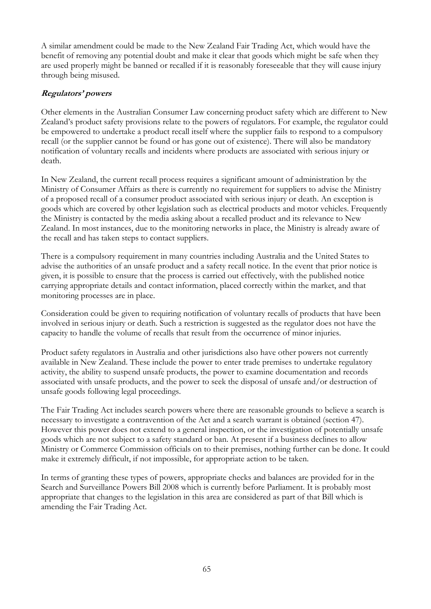A similar amendment could be made to the New Zealand Fair Trading Act, which would have the benefit of removing any potential doubt and make it clear that goods which might be safe when they are used properly might be banned or recalled if it is reasonably foreseeable that they will cause injury through being misused.

## **Regulators' powers**

Other elements in the Australian Consumer Law concerning product safety which are different to New Zealand's product safety provisions relate to the powers of regulators. For example, the regulator could be empowered to undertake a product recall itself where the supplier fails to respond to a compulsory recall (or the supplier cannot be found or has gone out of existence). There will also be mandatory notification of voluntary recalls and incidents where products are associated with serious injury or death.

In New Zealand, the current recall process requires a significant amount of administration by the Ministry of Consumer Affairs as there is currently no requirement for suppliers to advise the Ministry of a proposed recall of a consumer product associated with serious injury or death. An exception is goods which are covered by other legislation such as electrical products and motor vehicles. Frequently the Ministry is contacted by the media asking about a recalled product and its relevance to New Zealand. In most instances, due to the monitoring networks in place, the Ministry is already aware of the recall and has taken steps to contact suppliers.

There is a compulsory requirement in many countries including Australia and the United States to advise the authorities of an unsafe product and a safety recall notice. In the event that prior notice is given, it is possible to ensure that the process is carried out effectively, with the published notice carrying appropriate details and contact information, placed correctly within the market, and that monitoring processes are in place.

Consideration could be given to requiring notification of voluntary recalls of products that have been involved in serious injury or death. Such a restriction is suggested as the regulator does not have the capacity to handle the volume of recalls that result from the occurrence of minor injuries.

Product safety regulators in Australia and other jurisdictions also have other powers not currently available in New Zealand. These include the power to enter trade premises to undertake regulatory activity, the ability to suspend unsafe products, the power to examine documentation and records associated with unsafe products, and the power to seek the disposal of unsafe and/or destruction of unsafe goods following legal proceedings.

The Fair Trading Act includes search powers where there are reasonable grounds to believe a search is necessary to investigate a contravention of the Act and a search warrant is obtained (section 47). However this power does not extend to a general inspection, or the investigation of potentially unsafe goods which are not subject to a safety standard or ban. At present if a business declines to allow Ministry or Commerce Commission officials on to their premises, nothing further can be done. It could make it extremely difficult, if not impossible, for appropriate action to be taken.

In terms of granting these types of powers, appropriate checks and balances are provided for in the Search and Surveillance Powers Bill 2008 which is currently before Parliament. It is probably most appropriate that changes to the legislation in this area are considered as part of that Bill which is amending the Fair Trading Act.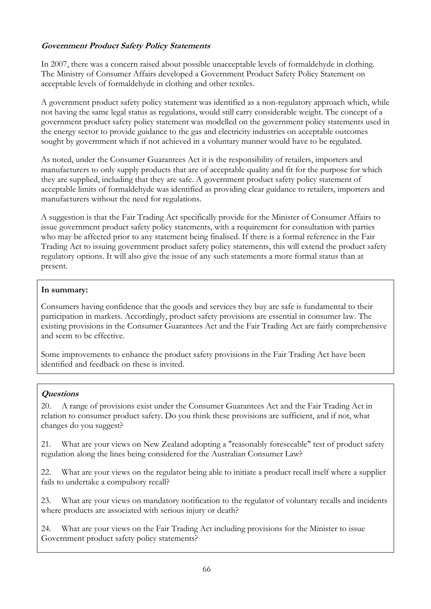## **Government Product Safety Policy Statements**

In 2007, there was a concern raised about possible unacceptable levels of formaldehyde in clothing. The Ministry of Consumer Affairs developed a Government Product Safety Policy Statement on acceptable levels of formaldehyde in clothing and other textiles.

A government product safety policy statement was identified as a non-regulatory approach which, while not having the same legal status as regulations, would still carry considerable weight. The concept of a government product safety policy statement was modelled on the government policy statements used in the energy sector to provide guidance to the gas and electricity industries on acceptable outcomes sought by government which if not achieved in a voluntary manner would have to be regulated.

As noted, under the Consumer Guarantees Act it is the responsibility of retailers, importers and manufacturers to only supply products that are of acceptable quality and fit for the purpose for which they are supplied, including that they are safe. A government product safety policy statement of acceptable limits of formaldehyde was identified as providing clear guidance to retailers, importers and manufacturers without the need for regulations.

A suggestion is that the Fair Trading Act specifically provide for the Minister of Consumer Affairs to issue government product safety policy statements, with a requirement for consultation with parties who may be affected prior to any statement being finalised. If there is a formal reference in the Fair Trading Act to issuing government product safety policy statements, this will extend the product safety regulatory options. It will also give the issue of any such statements a more formal status than at present.

#### **In summary:**

Consumers having confidence that the goods and services they buy are safe is fundamental to their participation in markets. Accordingly, product safety provisions are essential in consumer law. The existing provisions in the Consumer Guarantees Act and the Fair Trading Act are fairly comprehensive and seem to be effective.

Some improvements to enhance the product safety provisions in the Fair Trading Act have been identified and feedback on these is invited.

## **Questions**

20. A range of provisions exist under the Consumer Guarantees Act and the Fair Trading Act in relation to consumer product safety. Do you think these provisions are sufficient, and if not, what changes do you suggest?

21. What are your views on New Zealand adopting a "reasonably foreseeable" test of product safety regulation along the lines being considered for the Australian Consumer Law?

22. What are your views on the regulator being able to initiate a product recall itself where a supplier fails to undertake a compulsory recall?

23. What are your views on mandatory notification to the regulator of voluntary recalls and incidents where products are associated with serious injury or death?

24. What are your views on the Fair Trading Act including provisions for the Minister to issue Government product safety policy statements?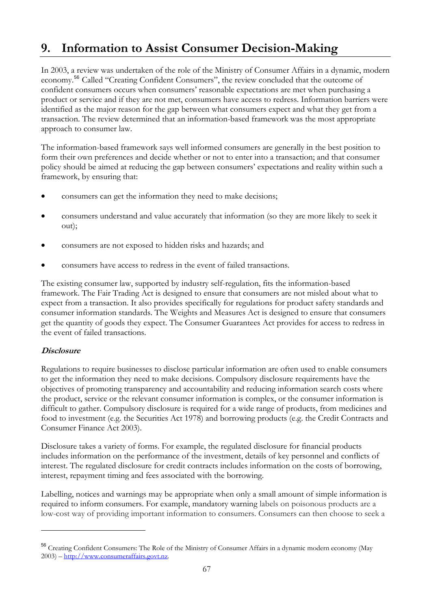# <span id="page-67-0"></span>**9. Information to Assist Consumer Decision-Making**

In 2003, a review was undertaken of the role of the Ministry of Consumer Affairs in a dynamic, modern economy.[56](#page-67-0) Called "Creating Confident Consumers", the review concluded that the outcome of confident consumers occurs when consumers' reasonable expectations are met when purchasing a product or service and if they are not met, consumers have access to redress. Information barriers were identified as the major reason for the gap between what consumers expect and what they get from a transaction. The review determined that an information-based framework was the most appropriate approach to consumer law.

The information-based framework says well informed consumers are generally in the best position to form their own preferences and decide whether or not to enter into a transaction; and that consumer policy should be aimed at reducing the gap between consumers' expectations and reality within such a framework, by ensuring that:

- consumers can get the information they need to make decisions;
- consumers understand and value accurately that information (so they are more likely to seek it out);
- consumers are not exposed to hidden risks and hazards; and
- consumers have access to redress in the event of failed transactions.

The existing consumer law, supported by industry self-regulation, fits the information-based framework. The Fair Trading Act is designed to ensure that consumers are not misled about what to expect from a transaction. It also provides specifically for regulations for product safety standards and consumer information standards. The Weights and Measures Act is designed to ensure that consumers get the quantity of goods they expect. The Consumer Guarantees Act provides for access to redress in the event of failed transactions.

## **Disclosure**

 $\overline{a}$ 

Regulations to require businesses to disclose particular information are often used to enable consumers to get the information they need to make decisions. Compulsory disclosure requirements have the objectives of promoting transparency and accountability and reducing information search costs where the product, service or the relevant consumer information is complex, or the consumer information is difficult to gather. Compulsory disclosure is required for a wide range of products, from medicines and food to investment (e.g. the Securities Act 1978) and borrowing products (e.g. the Credit Contracts and Consumer Finance Act 2003).

Disclosure takes a variety of forms. For example, the regulated disclosure for financial products includes information on the performance of the investment, details of key personnel and conflicts of interest. The regulated disclosure for credit contracts includes information on the costs of borrowing, interest, repayment timing and fees associated with the borrowing.

Labelling, notices and warnings may be appropriate when only a small amount of simple information is required to inform consumers. For example, mandatory warning labels on poisonous products are a low-cost way of providing important information to consumers. Consumers can then choose to seek a

<sup>56</sup> Creating Confident Consumers: The Role of the Ministry of Consumer Affairs in a dynamic modern economy (May 2003) – [http://www.consumeraffairs.govt.nz.](http://www.consumeraffairs.govt.nz/)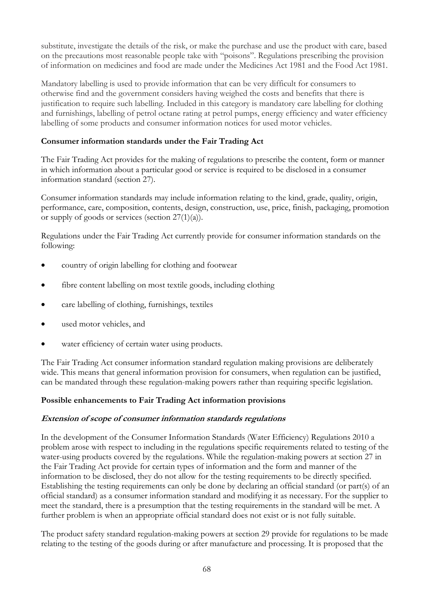substitute, investigate the details of the risk, or make the purchase and use the product with care, based on the precautions most reasonable people take with "poisons". Regulations prescribing the provision of information on medicines and food are made under the Medicines Act 1981 and the Food Act 1981.

Mandatory labelling is used to provide information that can be very difficult for consumers to otherwise find and the government considers having weighed the costs and benefits that there is justification to require such labelling. Included in this category is mandatory care labelling for clothing and furnishings, labelling of petrol octane rating at petrol pumps, energy efficiency and water efficiency labelling of some products and consumer information notices for used motor vehicles.

#### **Consumer information standards under the Fair Trading Act**

The Fair Trading Act provides for the making of regulations to prescribe the content, form or manner in which information about a particular good or service is required to be disclosed in a consumer information standard (section 27).

Consumer information standards may include information relating to the kind, grade, quality, origin, performance, care, composition, contents, design, construction, use, price, finish, packaging, promotion or supply of goods or services (section  $27(1)(a)$ ).

Regulations under the Fair Trading Act currently provide for consumer information standards on the following:

- country of origin labelling for clothing and footwear
- fibre content labelling on most textile goods, including clothing
- care labelling of clothing, furnishings, textiles
- used motor vehicles, and
- water efficiency of certain water using products.

The Fair Trading Act consumer information standard regulation making provisions are deliberately wide. This means that general information provision for consumers, when regulation can be justified, can be mandated through these regulation-making powers rather than requiring specific legislation.

#### **Possible enhancements to Fair Trading Act information provisions**

#### **Extension of scope of consumer information standards regulations**

In the development of the Consumer Information Standards (Water Efficiency) Regulations 2010 a problem arose with respect to including in the regulations specific requirements related to testing of the water-using products covered by the regulations. While the regulation-making powers at section 27 in the Fair Trading Act provide for certain types of information and the form and manner of the information to be disclosed, they do not allow for the testing requirements to be directly specified. Establishing the testing requirements can only be done by declaring an official standard (or part(s) of an official standard) as a consumer information standard and modifying it as necessary. For the supplier to meet the standard, there is a presumption that the testing requirements in the standard will be met. A further problem is when an appropriate official standard does not exist or is not fully suitable.

The product safety standard regulation-making powers at section 29 provide for regulations to be made relating to the testing of the goods during or after manufacture and processing. It is proposed that the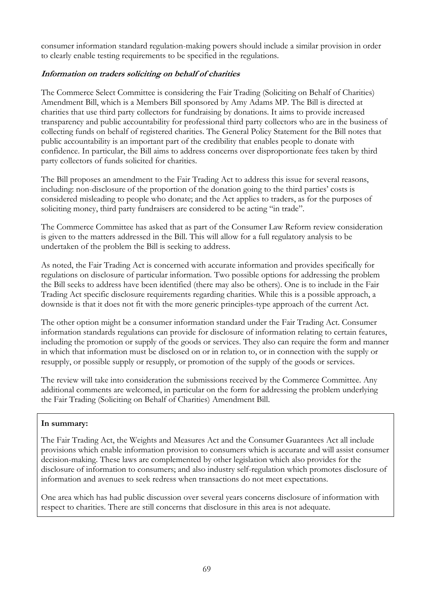consumer information standard regulation-making powers should include a similar provision in order to clearly enable testing requirements to be specified in the regulations.

### **Information on traders soliciting on behalf of charities**

The Commerce Select Committee is considering the Fair Trading (Soliciting on Behalf of Charities) Amendment Bill, which is a Members Bill sponsored by Amy Adams MP. The Bill is directed at charities that use third party collectors for fundraising by donations. It aims to provide increased transparency and public accountability for professional third party collectors who are in the business of collecting funds on behalf of registered charities. The General Policy Statement for the Bill notes that public accountability is an important part of the credibility that enables people to donate with confidence. In particular, the Bill aims to address concerns over disproportionate fees taken by third party collectors of funds solicited for charities.

The Bill proposes an amendment to the Fair Trading Act to address this issue for several reasons, including: non-disclosure of the proportion of the donation going to the third parties' costs is considered misleading to people who donate; and the Act applies to traders, as for the purposes of soliciting money, third party fundraisers are considered to be acting "in trade".

The Commerce Committee has asked that as part of the Consumer Law Reform review consideration is given to the matters addressed in the Bill. This will allow for a full regulatory analysis to be undertaken of the problem the Bill is seeking to address.

As noted, the Fair Trading Act is concerned with accurate information and provides specifically for regulations on disclosure of particular information. Two possible options for addressing the problem the Bill seeks to address have been identified (there may also be others). One is to include in the Fair Trading Act specific disclosure requirements regarding charities. While this is a possible approach, a downside is that it does not fit with the more generic principles-type approach of the current Act.

The other option might be a consumer information standard under the Fair Trading Act. Consumer information standards regulations can provide for disclosure of information relating to certain features, including the promotion or supply of the goods or services. They also can require the form and manner in which that information must be disclosed on or in relation to, or in connection with the supply or resupply, or possible supply or resupply, or promotion of the supply of the goods or services.

The review will take into consideration the submissions received by the Commerce Committee. Any additional comments are welcomed, in particular on the form for addressing the problem underlying the Fair Trading (Soliciting on Behalf of Charities) Amendment Bill.

#### **In summary:**

The Fair Trading Act, the Weights and Measures Act and the Consumer Guarantees Act all include provisions which enable information provision to consumers which is accurate and will assist consumer decision-making. These laws are complemented by other legislation which also provides for the disclosure of information to consumers; and also industry self-regulation which promotes disclosure of information and avenues to seek redress when transactions do not meet expectations.

One area which has had public discussion over several years concerns disclosure of information with respect to charities. There are still concerns that disclosure in this area is not adequate.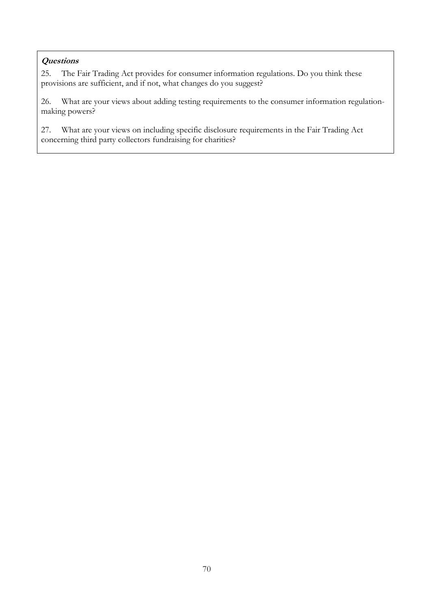## **Questions**

25. The Fair Trading Act provides for consumer information regulations. Do you think these provisions are sufficient, and if not, what changes do you suggest?

26. What are your views about adding testing requirements to the consumer information regulationmaking powers?

27. What are your views on including specific disclosure requirements in the Fair Trading Act concerning third party collectors fundraising for charities?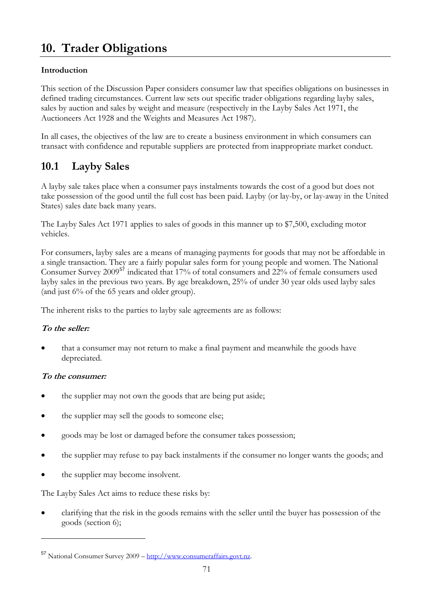# <span id="page-71-0"></span>**10. Trader Obligations**

## **Introduction**

This section of the Discussion Paper considers consumer law that specifies obligations on businesses in defined trading circumstances. Current law sets out specific trader obligations regarding layby sales, sales by auction and sales by weight and measure (respectively in the Layby Sales Act 1971, the Auctioneers Act 1928 and the Weights and Measures Act 1987).

In all cases, the objectives of the law are to create a business environment in which consumers can transact with confidence and reputable suppliers are protected from inappropriate market conduct.

## **10.1 Layby Sales**

A layby sale takes place when a consumer pays instalments towards the cost of a good but does not take possession of the good until the full cost has been paid. Layby (or lay-by, or lay-away in the United States) sales date back many years.

The Layby Sales Act 1971 applies to sales of goods in this manner up to \$7,500, excluding motor vehicles.

For consumers, layby sales are a means of managing payments for goods that may not be affordable in a single transaction. They are a fairly popular sales form for young people and women. The National Consumer Survey 2009[57](#page-71-0) indicated that 17% of total consumers and 22% of female consumers used layby sales in the previous two years. By age breakdown, 25% of under 30 year olds used layby sales (and just 6% of the 65 years and older group).

The inherent risks to the parties to layby sale agreements are as follows:

## **To the seller:**

• that a consumer may not return to make a final payment and meanwhile the goods have depreciated.

## **To the consumer:**

 $\overline{a}$ 

- the supplier may not own the goods that are being put aside;
- the supplier may sell the goods to someone else;
- goods may be lost or damaged before the consumer takes possession;
- the supplier may refuse to pay back instalments if the consumer no longer wants the goods; and
- the supplier may become insolvent.

The Layby Sales Act aims to reduce these risks by:

• clarifying that the risk in the goods remains with the seller until the buyer has possession of the goods (section 6);

<sup>57</sup> National Consumer Survey 2009 – [http://www.consumeraffairs.govt.nz.](http://www.consumeraffairs.govt.nz/)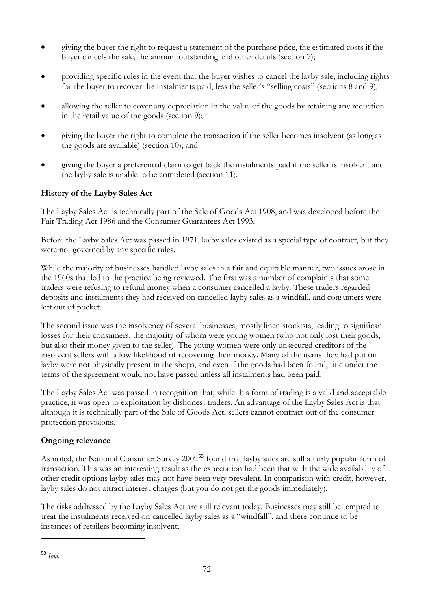- <span id="page-72-0"></span>• giving the buyer the right to request a statement of the purchase price, the estimated costs if the buyer cancels the sale, the amount outstanding and other details (section 7);
- providing specific rules in the event that the buyer wishes to cancel the layby sale, including rights for the buyer to recover the instalments paid, less the seller's "selling costs" (sections 8 and 9);
- allowing the seller to cover any depreciation in the value of the goods by retaining any reduction in the retail value of the goods (section 9);
- giving the buyer the right to complete the transaction if the seller becomes insolvent (as long as the goods are available) (section 10); and
- giving the buyer a preferential claim to get back the instalments paid if the seller is insolvent and the layby sale is unable to be completed (section 11).

## **History of the Layby Sales Act**

The Layby Sales Act is technically part of the Sale of Goods Act 1908, and was developed before the Fair Trading Act 1986 and the Consumer Guarantees Act 1993.

Before the Layby Sales Act was passed in 1971, layby sales existed as a special type of contract, but they were not governed by any specific rules.

While the majority of businesses handled layby sales in a fair and equitable manner, two issues arose in the 1960s that led to the practice being reviewed. The first was a number of complaints that some traders were refusing to refund money when a consumer cancelled a layby. These traders regarded deposits and instalments they had received on cancelled layby sales as a windfall, and consumers were left out of pocket.

The second issue was the insolvency of several businesses, mostly linen stockists, leading to significant losses for their consumers, the majority of whom were young women (who not only lost their goods, but also their money given to the seller). The young women were only unsecured creditors of the insolvent sellers with a low likelihood of recovering their money. Many of the items they had put on layby were not physically present in the shops, and even if the goods had been found, title under the terms of the agreement would not have passed unless all instalments had been paid.

The Layby Sales Act was passed in recognition that, while this form of trading is a valid and acceptable practice, it was open to exploitation by dishonest traders. An advantage of the Layby Sales Act is that although it is technically part of the Sale of Goods Act, sellers cannot contract out of the consumer protection provisions.

## **Ongoing relevance**

As noted, the National Consumer Survey 2009<sup>[58](#page-72-0)</sup> found that layby sales are still a fairly popular form of transaction. This was an interesting result as the expectation had been that with the wide availability of other credit options layby sales may not have been very prevalent. In comparison with credit, however, layby sales do not attract interest charges (but you do not get the goods immediately).

The risks addressed by the Layby Sales Act are still relevant today. Businesses may still be tempted to treat the instalments received on cancelled layby sales as a "windfall", and there continue to be instances of retailers becoming insolvent.

 $\overline{a}$ 

<sup>58</sup> *Ibid*.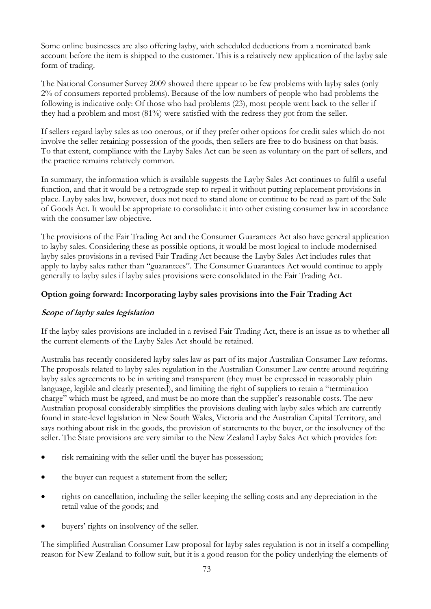Some online businesses are also offering layby, with scheduled deductions from a nominated bank account before the item is shipped to the customer. This is a relatively new application of the layby sale form of trading.

The National Consumer Survey 2009 showed there appear to be few problems with layby sales (only 2% of consumers reported problems). Because of the low numbers of people who had problems the following is indicative only: Of those who had problems (23), most people went back to the seller if they had a problem and most (81%) were satisfied with the redress they got from the seller.

If sellers regard layby sales as too onerous, or if they prefer other options for credit sales which do not involve the seller retaining possession of the goods, then sellers are free to do business on that basis. To that extent, compliance with the Layby Sales Act can be seen as voluntary on the part of sellers, and the practice remains relatively common.

In summary, the information which is available suggests the Layby Sales Act continues to fulfil a useful function, and that it would be a retrograde step to repeal it without putting replacement provisions in place. Layby sales law, however, does not need to stand alone or continue to be read as part of the Sale of Goods Act. It would be appropriate to consolidate it into other existing consumer law in accordance with the consumer law objective.

The provisions of the Fair Trading Act and the Consumer Guarantees Act also have general application to layby sales. Considering these as possible options, it would be most logical to include modernised layby sales provisions in a revised Fair Trading Act because the Layby Sales Act includes rules that apply to layby sales rather than "guarantees". The Consumer Guarantees Act would continue to apply generally to layby sales if layby sales provisions were consolidated in the Fair Trading Act.

## **Option going forward: Incorporating layby sales provisions into the Fair Trading Act**

### **Scope of layby sales legislation**

If the layby sales provisions are included in a revised Fair Trading Act, there is an issue as to whether all the current elements of the Layby Sales Act should be retained.

Australia has recently considered layby sales law as part of its major Australian Consumer Law reforms. The proposals related to layby sales regulation in the Australian Consumer Law centre around requiring layby sales agreements to be in writing and transparent (they must be expressed in reasonably plain language, legible and clearly presented), and limiting the right of suppliers to retain a "termination charge" which must be agreed, and must be no more than the supplier's reasonable costs. The new Australian proposal considerably simplifies the provisions dealing with layby sales which are currently found in state-level legislation in New South Wales, Victoria and the Australian Capital Territory, and says nothing about risk in the goods, the provision of statements to the buyer, or the insolvency of the seller. The State provisions are very similar to the New Zealand Layby Sales Act which provides for:

- risk remaining with the seller until the buyer has possession;
- the buyer can request a statement from the seller;
- rights on cancellation, including the seller keeping the selling costs and any depreciation in the retail value of the goods; and
- buyers' rights on insolvency of the seller.

The simplified Australian Consumer Law proposal for layby sales regulation is not in itself a compelling reason for New Zealand to follow suit, but it is a good reason for the policy underlying the elements of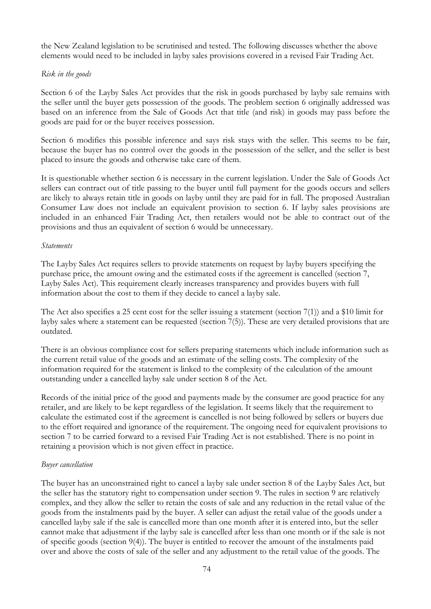the New Zealand legislation to be scrutinised and tested. The following discusses whether the above elements would need to be included in layby sales provisions covered in a revised Fair Trading Act.

### *Risk in the goods*

Section 6 of the Layby Sales Act provides that the risk in goods purchased by layby sale remains with the seller until the buyer gets possession of the goods. The problem section 6 originally addressed was based on an inference from the Sale of Goods Act that title (and risk) in goods may pass before the goods are paid for or the buyer receives possession.

Section 6 modifies this possible inference and says risk stays with the seller. This seems to be fair, because the buyer has no control over the goods in the possession of the seller, and the seller is best placed to insure the goods and otherwise take care of them.

It is questionable whether section 6 is necessary in the current legislation. Under the Sale of Goods Act sellers can contract out of title passing to the buyer until full payment for the goods occurs and sellers are likely to always retain title in goods on layby until they are paid for in full. The proposed Australian Consumer Law does not include an equivalent provision to section 6. If layby sales provisions are included in an enhanced Fair Trading Act, then retailers would not be able to contract out of the provisions and thus an equivalent of section 6 would be unnecessary.

#### *Statements*

The Layby Sales Act requires sellers to provide statements on request by layby buyers specifying the purchase price, the amount owing and the estimated costs if the agreement is cancelled (section 7, Layby Sales Act). This requirement clearly increases transparency and provides buyers with full information about the cost to them if they decide to cancel a layby sale.

The Act also specifies a 25 cent cost for the seller issuing a statement (section 7(1)) and a \$10 limit for layby sales where a statement can be requested (section 7(5)). These are very detailed provisions that are outdated.

There is an obvious compliance cost for sellers preparing statements which include information such as the current retail value of the goods and an estimate of the selling costs. The complexity of the information required for the statement is linked to the complexity of the calculation of the amount outstanding under a cancelled layby sale under section 8 of the Act.

Records of the initial price of the good and payments made by the consumer are good practice for any retailer, and are likely to be kept regardless of the legislation. It seems likely that the requirement to calculate the estimated cost if the agreement is cancelled is not being followed by sellers or buyers due to the effort required and ignorance of the requirement. The ongoing need for equivalent provisions to section 7 to be carried forward to a revised Fair Trading Act is not established. There is no point in retaining a provision which is not given effect in practice.

### *Buyer cancellation*

The buyer has an unconstrained right to cancel a layby sale under section 8 of the Layby Sales Act, but the seller has the statutory right to compensation under section 9. The rules in section 9 are relatively complex, and they allow the seller to retain the costs of sale and any reduction in the retail value of the goods from the instalments paid by the buyer. A seller can adjust the retail value of the goods under a cancelled layby sale if the sale is cancelled more than one month after it is entered into, but the seller cannot make that adjustment if the layby sale is cancelled after less than one month or if the sale is not of specific goods (section 9(4)). The buyer is entitled to recover the amount of the instalments paid over and above the costs of sale of the seller and any adjustment to the retail value of the goods. The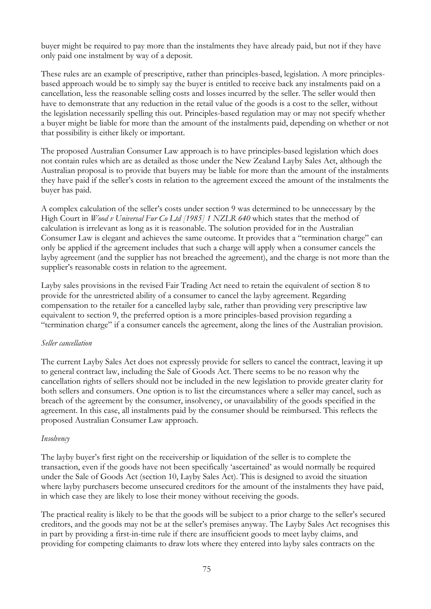buyer might be required to pay more than the instalments they have already paid, but not if they have only paid one instalment by way of a deposit.

These rules are an example of prescriptive, rather than principles-based, legislation. A more principlesbased approach would be to simply say the buyer is entitled to receive back any instalments paid on a cancellation, less the reasonable selling costs and losses incurred by the seller. The seller would then have to demonstrate that any reduction in the retail value of the goods is a cost to the seller, without the legislation necessarily spelling this out. Principles-based regulation may or may not specify whether a buyer might be liable for more than the amount of the instalments paid, depending on whether or not that possibility is either likely or important.

The proposed Australian Consumer Law approach is to have principles-based legislation which does not contain rules which are as detailed as those under the New Zealand Layby Sales Act, although the Australian proposal is to provide that buyers may be liable for more than the amount of the instalments they have paid if the seller's costs in relation to the agreement exceed the amount of the instalments the buyer has paid.

A complex calculation of the seller's costs under section 9 was determined to be unnecessary by the High Court in *Wood v Universal Fur Co Ltd [1985] 1 NZLR 640* which states that the method of calculation is irrelevant as long as it is reasonable. The solution provided for in the Australian Consumer Law is elegant and achieves the same outcome. It provides that a "termination charge" can only be applied if the agreement includes that such a charge will apply when a consumer cancels the layby agreement (and the supplier has not breached the agreement), and the charge is not more than the supplier's reasonable costs in relation to the agreement.

Layby sales provisions in the revised Fair Trading Act need to retain the equivalent of section 8 to provide for the unrestricted ability of a consumer to cancel the layby agreement. Regarding compensation to the retailer for a cancelled layby sale, rather than providing very prescriptive law equivalent to section 9, the preferred option is a more principles-based provision regarding a "termination charge" if a consumer cancels the agreement, along the lines of the Australian provision.

### *Seller cancellation*

The current Layby Sales Act does not expressly provide for sellers to cancel the contract, leaving it up to general contract law, including the Sale of Goods Act. There seems to be no reason why the cancellation rights of sellers should not be included in the new legislation to provide greater clarity for both sellers and consumers. One option is to list the circumstances where a seller may cancel, such as breach of the agreement by the consumer, insolvency, or unavailability of the goods specified in the agreement. In this case, all instalments paid by the consumer should be reimbursed. This reflects the proposed Australian Consumer Law approach.

### *Insolvency*

The layby buyer's first right on the receivership or liquidation of the seller is to complete the transaction, even if the goods have not been specifically 'ascertained' as would normally be required under the Sale of Goods Act (section 10, Layby Sales Act). This is designed to avoid the situation where layby purchasers become unsecured creditors for the amount of the instalments they have paid, in which case they are likely to lose their money without receiving the goods.

The practical reality is likely to be that the goods will be subject to a prior charge to the seller's secured creditors, and the goods may not be at the seller's premises anyway. The Layby Sales Act recognises this in part by providing a first-in-time rule if there are insufficient goods to meet layby claims, and providing for competing claimants to draw lots where they entered into layby sales contracts on the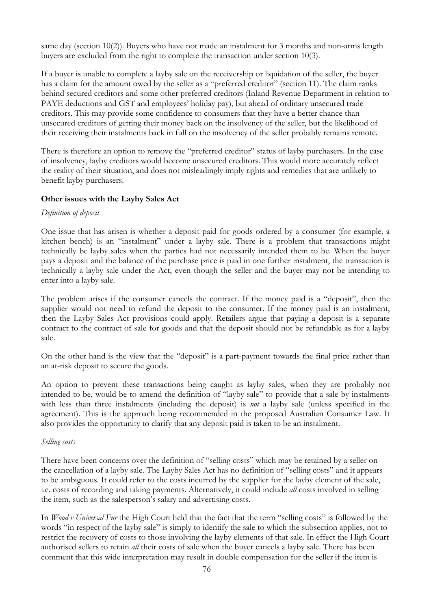same day (section 10(2)). Buyers who have not made an instalment for 3 months and non-arms length buyers are excluded from the right to complete the transaction under section 10(3).

If a buyer is unable to complete a layby sale on the receivership or liquidation of the seller, the buyer has a claim for the amount owed by the seller as a "preferred creditor" (section 11). The claim ranks behind secured creditors and some other preferred creditors (Inland Revenue Department in relation to PAYE deductions and GST and employees' holiday pay), but ahead of ordinary unsecured trade creditors. This may provide some confidence to consumers that they have a better chance than unsecured creditors of getting their money back on the insolvency of the seller, but the likelihood of their receiving their instalments back in full on the insolvency of the seller probably remains remote.

There is therefore an option to remove the "preferred creditor" status of layby purchasers. In the case of insolvency, layby creditors would become unsecured creditors. This would more accurately reflect the reality of their situation, and does not misleadingly imply rights and remedies that are unlikely to benefit layby purchasers.

## **Other issues with the Layby Sales Act**

### *Definition of deposit*

One issue that has arisen is whether a deposit paid for goods ordered by a consumer (for example, a kitchen bench) is an "instalment" under a layby sale. There is a problem that transactions might technically be layby sales when the parties had not necessarily intended them to be. When the buyer pays a deposit and the balance of the purchase price is paid in one further instalment, the transaction is technically a layby sale under the Act, even though the seller and the buyer may not be intending to enter into a layby sale.

The problem arises if the consumer cancels the contract. If the money paid is a "deposit", then the supplier would not need to refund the deposit to the consumer. If the money paid is an instalment, then the Layby Sales Act provisions could apply. Retailers argue that paying a deposit is a separate contract to the contract of sale for goods and that the deposit should not be refundable as for a layby sale.

On the other hand is the view that the "deposit" is a part-payment towards the final price rather than an at-risk deposit to secure the goods.

An option to prevent these transactions being caught as layby sales, when they are probably not intended to be, would be to amend the definition of "layby sale" to provide that a sale by instalments with less than three instalments (including the deposit) is *not* a layby sale (unless specified in the agreement). This is the approach being recommended in the proposed Australian Consumer Law. It also provides the opportunity to clarify that any deposit paid is taken to be an instalment.

### *Selling costs*

There have been concerns over the definition of "selling costs" which may be retained by a seller on the cancellation of a layby sale. The Layby Sales Act has no definition of "selling costs" and it appears to be ambiguous. It could refer to the costs incurred by the supplier for the layby element of the sale, i.e. costs of recording and taking payments. Alternatively, it could include *all* costs involved in selling the item, such as the salesperson's salary and advertising costs.

In *Wood v Universal Fur* the High Court held that the fact that the term "selling costs" is followed by the words "in respect of the layby sale" is simply to identify the sale to which the subsection applies, not to restrict the recovery of costs to those involving the layby elements of that sale. In effect the High Court authorised sellers to retain *all* their costs of sale when the buyer cancels a layby sale. There has been comment that this wide interpretation may result in double compensation for the seller if the item is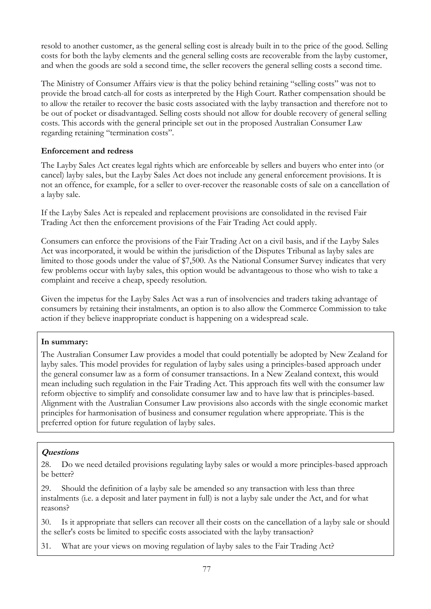resold to another customer, as the general selling cost is already built in to the price of the good. Selling costs for both the layby elements and the general selling costs are recoverable from the layby customer, and when the goods are sold a second time, the seller recovers the general selling costs a second time.

The Ministry of Consumer Affairs view is that the policy behind retaining "selling costs" was not to provide the broad catch-all for costs as interpreted by the High Court. Rather compensation should be to allow the retailer to recover the basic costs associated with the layby transaction and therefore not to be out of pocket or disadvantaged. Selling costs should not allow for double recovery of general selling costs. This accords with the general principle set out in the proposed Australian Consumer Law regarding retaining "termination costs".

## **Enforcement and redress**

The Layby Sales Act creates legal rights which are enforceable by sellers and buyers who enter into (or cancel) layby sales, but the Layby Sales Act does not include any general enforcement provisions. It is not an offence, for example, for a seller to over-recover the reasonable costs of sale on a cancellation of a layby sale.

If the Layby Sales Act is repealed and replacement provisions are consolidated in the revised Fair Trading Act then the enforcement provisions of the Fair Trading Act could apply.

Consumers can enforce the provisions of the Fair Trading Act on a civil basis, and if the Layby Sales Act was incorporated, it would be within the jurisdiction of the Disputes Tribunal as layby sales are limited to those goods under the value of \$7,500. As the National Consumer Survey indicates that very few problems occur with layby sales, this option would be advantageous to those who wish to take a complaint and receive a cheap, speedy resolution.

Given the impetus for the Layby Sales Act was a run of insolvencies and traders taking advantage of consumers by retaining their instalments, an option is to also allow the Commerce Commission to take action if they believe inappropriate conduct is happening on a widespread scale.

## **In summary:**

The Australian Consumer Law provides a model that could potentially be adopted by New Zealand for layby sales. This model provides for regulation of layby sales using a principles-based approach under the general consumer law as a form of consumer transactions. In a New Zealand context, this would mean including such regulation in the Fair Trading Act. This approach fits well with the consumer law reform objective to simplify and consolidate consumer law and to have law that is principles-based. Alignment with the Australian Consumer Law provisions also accords with the single economic market principles for harmonisation of business and consumer regulation where appropriate. This is the preferred option for future regulation of layby sales.

## **Questions**

28. Do we need detailed provisions regulating layby sales or would a more principles-based approach be better?

29. Should the definition of a layby sale be amended so any transaction with less than three instalments (i.e. a deposit and later payment in full) is not a layby sale under the Act, and for what reasons?

30. Is it appropriate that sellers can recover all their costs on the cancellation of a layby sale or should the seller's costs be limited to specific costs associated with the layby transaction?

31. What are your views on moving regulation of layby sales to the Fair Trading Act?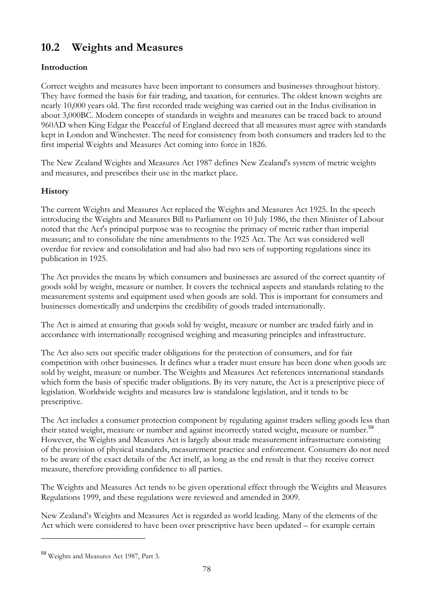# <span id="page-78-0"></span>**10.2 Weights and Measures**

## **Introduction**

Correct weights and measures have been important to consumers and businesses throughout history. They have formed the basis for fair trading, and taxation, for centuries. The oldest known weights are nearly 10,000 years old. The first recorded trade weighing was carried out in the Indus civilisation in about 3,000BC. Modern concepts of standards in weights and measures can be traced back to around 960AD when King Edgar the Peaceful of England decreed that all measures must agree with standards kept in London and Winchester. The need for consistency from both consumers and traders led to the first imperial Weights and Measures Act coming into force in 1826.

The New Zealand Weights and Measures Act 1987 defines New Zealand's system of metric weights and measures, and prescribes their use in the market place.

## **History**

The current Weights and Measures Act replaced the Weights and Measures Act 1925. In the speech introducing the Weights and Measures Bill to Parliament on 10 July 1986, the then Minister of Labour noted that the Act's principal purpose was to recognise the primacy of metric rather than imperial measure; and to consolidate the nine amendments to the 1925 Act. The Act was considered well overdue for review and consolidation and had also had two sets of supporting regulations since its publication in 1925.

The Act provides the means by which consumers and businesses are assured of the correct quantity of goods sold by weight, measure or number. It covers the technical aspects and standards relating to the measurement systems and equipment used when goods are sold. This is important for consumers and businesses domestically and underpins the credibility of goods traded internationally.

The Act is aimed at ensuring that goods sold by weight, measure or number are traded fairly and in accordance with internationally recognised weighing and measuring principles and infrastructure.

The Act also sets out specific trader obligations for the protection of consumers, and for fair competition with other businesses. It defines what a trader must ensure has been done when goods are sold by weight, measure or number. The Weights and Measures Act references international standards which form the basis of specific trader obligations. By its very nature, the Act is a prescriptive piece of legislation. Worldwide weights and measures law is standalone legislation, and it tends to be prescriptive.

The Act includes a consumer protection component by regulating against traders selling goods less than their stated weight, measure or number and against incorrectly stated weight, measure or number.<sup>[59](#page-78-0)</sup> However, the Weights and Measures Act is largely about trade measurement infrastructure consisting of the provision of physical standards, measurement practice and enforcement. Consumers do not need to be aware of the exact details of the Act itself, as long as the end result is that they receive correct measure, therefore providing confidence to all parties.

The Weights and Measures Act tends to be given operational effect through the Weights and Measures Regulations 1999, and these regulations were reviewed and amended in 2009.

New Zealand's Weights and Measures Act is regarded as world leading. Many of the elements of the Act which were considered to have been over prescriptive have been updated – for example certain

 $\overline{a}$ 

<sup>59</sup> Weights and Measures Act 1987, Part 3.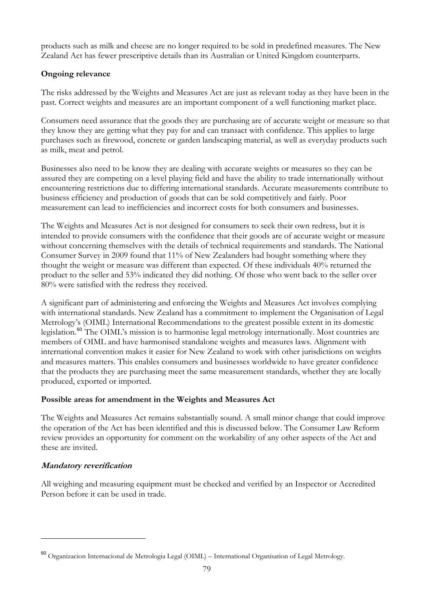<span id="page-79-0"></span>products such as milk and cheese are no longer required to be sold in predefined measures. The New Zealand Act has fewer prescriptive details than its Australian or United Kingdom counterparts.

## **Ongoing relevance**

The risks addressed by the Weights and Measures Act are just as relevant today as they have been in the past. Correct weights and measures are an important component of a well functioning market place.

Consumers need assurance that the goods they are purchasing are of accurate weight or measure so that they know they are getting what they pay for and can transact with confidence. This applies to large purchases such as firewood, concrete or garden landscaping material, as well as everyday products such as milk, meat and petrol.

Businesses also need to be know they are dealing with accurate weights or measures so they can be assured they are competing on a level playing field and have the ability to trade internationally without encountering restrictions due to differing international standards. Accurate measurements contribute to business efficiency and production of goods that can be sold competitively and fairly. Poor measurement can lead to inefficiencies and incorrect costs for both consumers and businesses.

The Weights and Measures Act is not designed for consumers to seek their own redress, but it is intended to provide consumers with the confidence that their goods are of accurate weight or measure without concerning themselves with the details of technical requirements and standards. The National Consumer Survey in 2009 found that 11% of New Zealanders had bought something where they thought the weight or measure was different than expected. Of these individuals 40% returned the product to the seller and 53% indicated they did nothing. Of those who went back to the seller over 80% were satisfied with the redress they received.

A significant part of administering and enforcing the Weights and Measures Act involves complying with international standards. New Zealand has a commitment to implement the Organisation of Legal Metrology's (OIML) International Recommendations to the greatest possible extent in its domestic legislation.[60](#page-79-0) The OIML's mission is to harmonise legal metrology internationally. Most countries are members of OIML and have harmonised standalone weights and measures laws. Alignment with international convention makes it easier for New Zealand to work with other jurisdictions on weights and measures matters. This enables consumers and businesses worldwide to have greater confidence that the products they are purchasing meet the same measurement standards, whether they are locally produced, exported or imported.

## **Possible areas for amendment in the Weights and Measures Act**

The Weights and Measures Act remains substantially sound. A small minor change that could improve the operation of the Act has been identified and this is discussed below. The Consumer Law Reform review provides an opportunity for comment on the workability of any other aspects of the Act and these are invited.

## **Mandatory reverification**

 $\overline{a}$ 

All weighing and measuring equipment must be checked and verified by an Inspector or Accredited Person before it can be used in trade.

<sup>60</sup> Organizacion Internacional de Metrologia Legal (OIML) – International Organisation of Legal Metrology.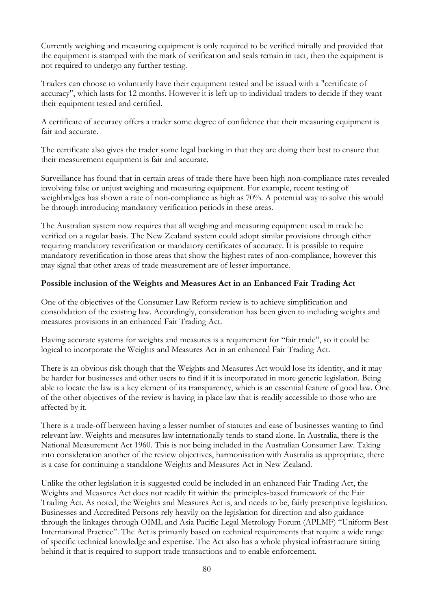Currently weighing and measuring equipment is only required to be verified initially and provided that the equipment is stamped with the mark of verification and seals remain in tact, then the equipment is not required to undergo any further testing.

Traders can choose to voluntarily have their equipment tested and be issued with a "certificate of accuracy", which lasts for 12 months. However it is left up to individual traders to decide if they want their equipment tested and certified.

A certificate of accuracy offers a trader some degree of confidence that their measuring equipment is fair and accurate.

The certificate also gives the trader some legal backing in that they are doing their best to ensure that their measurement equipment is fair and accurate.

Surveillance has found that in certain areas of trade there have been high non-compliance rates revealed involving false or unjust weighing and measuring equipment. For example, recent testing of weighbridges has shown a rate of non-compliance as high as 70%. A potential way to solve this would be through introducing mandatory verification periods in these areas.

The Australian system now requires that all weighing and measuring equipment used in trade be verified on a regular basis. The New Zealand system could adopt similar provisions through either requiring mandatory reverification or mandatory certificates of accuracy. It is possible to require mandatory reverification in those areas that show the highest rates of non-compliance, however this may signal that other areas of trade measurement are of lesser importance.

### **Possible inclusion of the Weights and Measures Act in an Enhanced Fair Trading Act**

One of the objectives of the Consumer Law Reform review is to achieve simplification and consolidation of the existing law. Accordingly, consideration has been given to including weights and measures provisions in an enhanced Fair Trading Act.

Having accurate systems for weights and measures is a requirement for "fair trade", so it could be logical to incorporate the Weights and Measures Act in an enhanced Fair Trading Act.

There is an obvious risk though that the Weights and Measures Act would lose its identity, and it may be harder for businesses and other users to find if it is incorporated in more generic legislation. Being able to locate the law is a key element of its transparency, which is an essential feature of good law. One of the other objectives of the review is having in place law that is readily accessible to those who are affected by it.

There is a trade-off between having a lesser number of statutes and ease of businesses wanting to find relevant law. Weights and measures law internationally tends to stand alone. In Australia, there is the National Measurement Act 1960. This is not being included in the Australian Consumer Law. Taking into consideration another of the review objectives, harmonisation with Australia as appropriate, there is a case for continuing a standalone Weights and Measures Act in New Zealand.

Unlike the other legislation it is suggested could be included in an enhanced Fair Trading Act, the Weights and Measures Act does not readily fit within the principles-based framework of the Fair Trading Act. As noted, the Weights and Measures Act is, and needs to be, fairly prescriptive legislation. Businesses and Accredited Persons rely heavily on the legislation for direction and also guidance through the linkages through OIML and Asia Pacific Legal Metrology Forum (APLMF) "Uniform Best International Practice". The Act is primarily based on technical requirements that require a wide range of specific technical knowledge and expertise. The Act also has a whole physical infrastructure sitting behind it that is required to support trade transactions and to enable enforcement.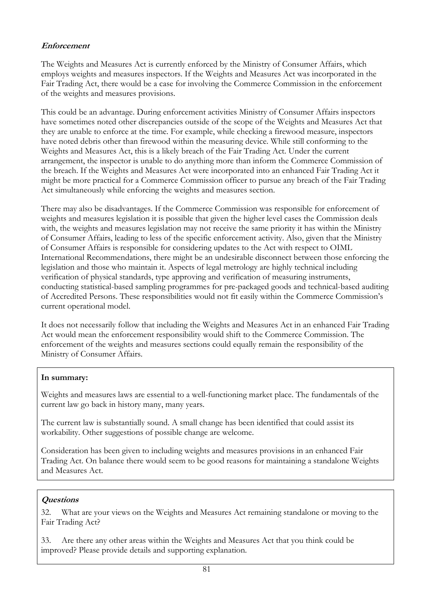## **Enforcement**

The Weights and Measures Act is currently enforced by the Ministry of Consumer Affairs, which employs weights and measures inspectors. If the Weights and Measures Act was incorporated in the Fair Trading Act, there would be a case for involving the Commerce Commission in the enforcement of the weights and measures provisions.

This could be an advantage. During enforcement activities Ministry of Consumer Affairs inspectors have sometimes noted other discrepancies outside of the scope of the Weights and Measures Act that they are unable to enforce at the time. For example, while checking a firewood measure, inspectors have noted debris other than firewood within the measuring device. While still conforming to the Weights and Measures Act, this is a likely breach of the Fair Trading Act. Under the current arrangement, the inspector is unable to do anything more than inform the Commerce Commission of the breach. If the Weights and Measures Act were incorporated into an enhanced Fair Trading Act it might be more practical for a Commerce Commission officer to pursue any breach of the Fair Trading Act simultaneously while enforcing the weights and measures section.

There may also be disadvantages. If the Commerce Commission was responsible for enforcement of weights and measures legislation it is possible that given the higher level cases the Commission deals with, the weights and measures legislation may not receive the same priority it has within the Ministry of Consumer Affairs, leading to less of the specific enforcement activity. Also, given that the Ministry of Consumer Affairs is responsible for considering updates to the Act with respect to OIML International Recommendations, there might be an undesirable disconnect between those enforcing the legislation and those who maintain it. Aspects of legal metrology are highly technical including verification of physical standards, type approving and verification of measuring instruments, conducting statistical-based sampling programmes for pre-packaged goods and technical-based auditing of Accredited Persons. These responsibilities would not fit easily within the Commerce Commission's current operational model.

It does not necessarily follow that including the Weights and Measures Act in an enhanced Fair Trading Act would mean the enforcement responsibility would shift to the Commerce Commission. The enforcement of the weights and measures sections could equally remain the responsibility of the Ministry of Consumer Affairs.

## **In summary:**

Weights and measures laws are essential to a well-functioning market place. The fundamentals of the current law go back in history many, many years.

The current law is substantially sound. A small change has been identified that could assist its workability. Other suggestions of possible change are welcome.

Consideration has been given to including weights and measures provisions in an enhanced Fair Trading Act. On balance there would seem to be good reasons for maintaining a standalone Weights and Measures Act.

## **Questions**

32. What are your views on the Weights and Measures Act remaining standalone or moving to the Fair Trading Act?

33. Are there any other areas within the Weights and Measures Act that you think could be improved? Please provide details and supporting explanation.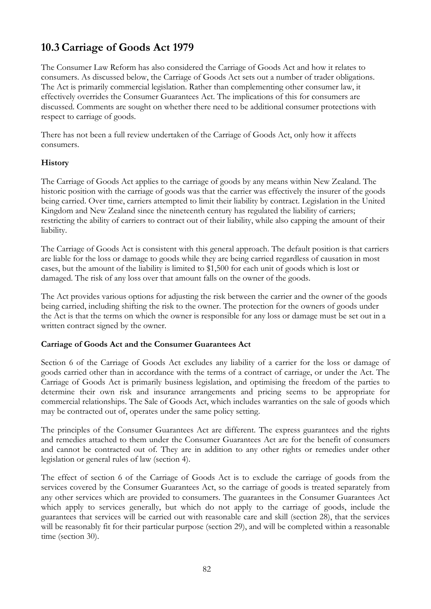# **10.3 Carriage of Goods Act 1979**

The Consumer Law Reform has also considered the Carriage of Goods Act and how it relates to consumers. As discussed below, the Carriage of Goods Act sets out a number of trader obligations. The Act is primarily commercial legislation. Rather than complementing other consumer law, it effectively overrides the Consumer Guarantees Act. The implications of this for consumers are discussed. Comments are sought on whether there need to be additional consumer protections with respect to carriage of goods.

There has not been a full review undertaken of the Carriage of Goods Act, only how it affects consumers.

## **History**

The Carriage of Goods Act applies to the carriage of goods by any means within New Zealand. The historic position with the carriage of goods was that the carrier was effectively the insurer of the goods being carried. Over time, carriers attempted to limit their liability by contract. Legislation in the United Kingdom and New Zealand since the nineteenth century has regulated the liability of carriers; restricting the ability of carriers to contract out of their liability, while also capping the amount of their liability.

The Carriage of Goods Act is consistent with this general approach. The default position is that carriers are liable for the loss or damage to goods while they are being carried regardless of causation in most cases, but the amount of the liability is limited to \$1,500 for each unit of goods which is lost or damaged. The risk of any loss over that amount falls on the owner of the goods.

The Act provides various options for adjusting the risk between the carrier and the owner of the goods being carried, including shifting the risk to the owner. The protection for the owners of goods under the Act is that the terms on which the owner is responsible for any loss or damage must be set out in a written contract signed by the owner.

### **Carriage of Goods Act and the Consumer Guarantees Act**

Section 6 of the Carriage of Goods Act excludes any liability of a carrier for the loss or damage of goods carried other than in accordance with the terms of a contract of carriage, or under the Act. The Carriage of Goods Act is primarily business legislation, and optimising the freedom of the parties to determine their own risk and insurance arrangements and pricing seems to be appropriate for commercial relationships. The Sale of Goods Act, which includes warranties on the sale of goods which may be contracted out of, operates under the same policy setting.

The principles of the Consumer Guarantees Act are different. The express guarantees and the rights and remedies attached to them under the Consumer Guarantees Act are for the benefit of consumers and cannot be contracted out of. They are in addition to any other rights or remedies under other legislation or general rules of law (section 4).

The effect of section 6 of the Carriage of Goods Act is to exclude the carriage of goods from the services covered by the Consumer Guarantees Act, so the carriage of goods is treated separately from any other services which are provided to consumers. The guarantees in the Consumer Guarantees Act which apply to services generally, but which do not apply to the carriage of goods, include the guarantees that services will be carried out with reasonable care and skill (section 28), that the services will be reasonably fit for their particular purpose (section 29), and will be completed within a reasonable time (section 30).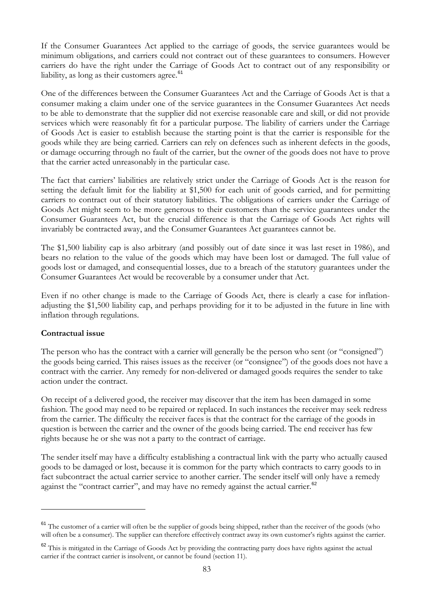<span id="page-83-0"></span>If the Consumer Guarantees Act applied to the carriage of goods, the service guarantees would be minimum obligations, and carriers could not contract out of these guarantees to consumers. However carriers do have the right under the Carriage of Goods Act to contract out of any responsibility or liability, as long as their customers agree. $61$ 

One of the differences between the Consumer Guarantees Act and the Carriage of Goods Act is that a consumer making a claim under one of the service guarantees in the Consumer Guarantees Act needs to be able to demonstrate that the supplier did not exercise reasonable care and skill, or did not provide services which were reasonably fit for a particular purpose. The liability of carriers under the Carriage of Goods Act is easier to establish because the starting point is that the carrier is responsible for the goods while they are being carried. Carriers can rely on defences such as inherent defects in the goods, or damage occurring through no fault of the carrier, but the owner of the goods does not have to prove that the carrier acted unreasonably in the particular case.

The fact that carriers' liabilities are relatively strict under the Carriage of Goods Act is the reason for setting the default limit for the liability at \$1,500 for each unit of goods carried, and for permitting carriers to contract out of their statutory liabilities. The obligations of carriers under the Carriage of Goods Act might seem to be more generous to their customers than the service guarantees under the Consumer Guarantees Act, but the crucial difference is that the Carriage of Goods Act rights will invariably be contracted away, and the Consumer Guarantees Act guarantees cannot be.

The \$1,500 liability cap is also arbitrary (and possibly out of date since it was last reset in 1986), and bears no relation to the value of the goods which may have been lost or damaged. The full value of goods lost or damaged, and consequential losses, due to a breach of the statutory guarantees under the Consumer Guarantees Act would be recoverable by a consumer under that Act.

Even if no other change is made to the Carriage of Goods Act, there is clearly a case for inflationadjusting the \$1,500 liability cap, and perhaps providing for it to be adjusted in the future in line with inflation through regulations.

### **Contractual issue**

 $\overline{a}$ 

The person who has the contract with a carrier will generally be the person who sent (or "consigned") the goods being carried. This raises issues as the receiver (or "consignee") of the goods does not have a contract with the carrier. Any remedy for non-delivered or damaged goods requires the sender to take action under the contract.

On receipt of a delivered good, the receiver may discover that the item has been damaged in some fashion. The good may need to be repaired or replaced. In such instances the receiver may seek redress from the carrier. The difficulty the receiver faces is that the contract for the carriage of the goods in question is between the carrier and the owner of the goods being carried. The end receiver has few rights because he or she was not a party to the contract of carriage.

The sender itself may have a difficulty establishing a contractual link with the party who actually caused goods to be damaged or lost, because it is common for the party which contracts to carry goods to in fact subcontract the actual carrier service to another carrier. The sender itself will only have a remedy against the "contract carrier", and may have no remedy against the actual carrier.<sup>[62](#page-83-0)</sup>

 $61$  The customer of a carrier will often be the supplier of goods being shipped, rather than the receiver of the goods (who will often be a consumer). The supplier can therefore effectively contract away its own customer's rights against the carrier.

<sup>&</sup>lt;sup>62</sup> This is mitigated in the Carriage of Goods Act by providing the contracting party does have rights against the actual carrier if the contract carrier is insolvent, or cannot be found (section 11).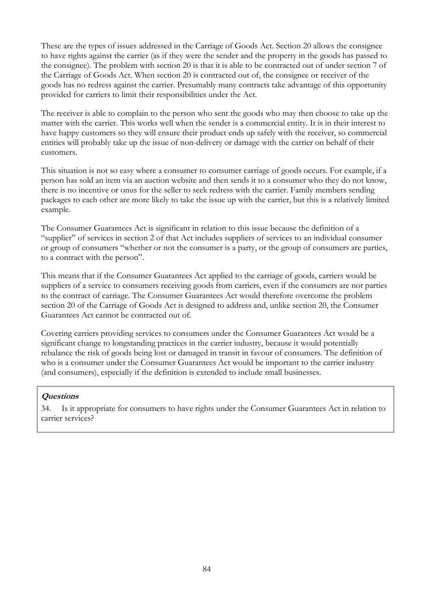These are the types of issues addressed in the Carriage of Goods Act. Section 20 allows the consignee to have rights against the carrier (as if they were the sender and the property in the goods has passed to the consignee). The problem with section 20 is that it is able to be contracted out of under section 7 of the Carriage of Goods Act. When section 20 is contracted out of, the consignee or receiver of the goods has no redress against the carrier. Presumably many contracts take advantage of this opportunity provided for carriers to limit their responsibilities under the Act.

The receiver is able to complain to the person who sent the goods who may then choose to take up the matter with the carrier. This works well when the sender is a commercial entity. It is in their interest to have happy customers so they will ensure their product ends up safely with the receiver, so commercial entities will probably take up the issue of non-delivery or damage with the carrier on behalf of their customers.

This situation is not so easy where a consumer to consumer carriage of goods occurs. For example, if a person has sold an item via an auction website and then sends it to a consumer who they do not know, there is no incentive or onus for the seller to seek redress with the carrier. Family members sending packages to each other are more likely to take the issue up with the carrier, but this is a relatively limited example.

The Consumer Guarantees Act is significant in relation to this issue because the definition of a "supplier" of services in section 2 of that Act includes suppliers of services to an individual consumer or group of consumers "whether or not the consumer is a party, or the group of consumers are parties, to a contract with the person".

This means that if the Consumer Guarantees Act applied to the carriage of goods, carriers would be suppliers of a service to consumers receiving goods from carriers, even if the consumers are not parties to the contract of carriage. The Consumer Guarantees Act would therefore overcome the problem section 20 of the Carriage of Goods Act is designed to address and, unlike section 20, the Consumer Guarantees Act cannot be contracted out of.

Covering carriers providing services to consumers under the Consumer Guarantees Act would be a significant change to longstanding practices in the carrier industry, because it would potentially rebalance the risk of goods being lost or damaged in transit in favour of consumers. The definition of who is a consumer under the Consumer Guarantees Act would be important to the carrier industry (and consumers), especially if the definition is extended to include small businesses.

### **Questions**

34. Is it appropriate for consumers to have rights under the Consumer Guarantees Act in relation to carrier services?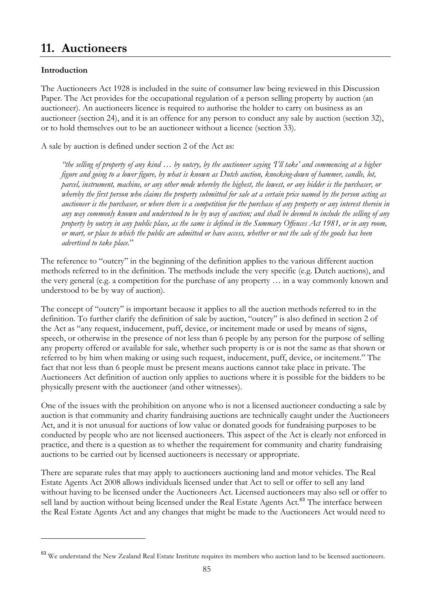# <span id="page-85-0"></span>**11. Auctioneers**

## **Introduction**

 $\overline{a}$ 

The Auctioneers Act 1928 is included in the suite of consumer law being reviewed in this Discussion Paper. The Act provides for the occupational regulation of a person selling property by auction (an auctioneer). An auctioneers licence is required to authorise the holder to carry on business as an auctioneer (section 24), and it is an offence for any person to conduct any sale by auction (section 32), or to hold themselves out to be an auctioneer without a licence (section 33).

A sale by auction is defined under section 2 of the Act as:

*"the selling of property of any kind … by outcry, by the auctioneer saying 'I'll take' and commencing at a higher figure and going to a lower figure, by what is known as Dutch auction, knocking-down of hammer, candle, lot, parcel, instrument, machine, or any other mode whereby the highest, the lowest, or any bidder is the purchaser, or whereby the first person who claims the property submitted for sale at a certain price named by the person acting as auctioneer is the purchaser, or where there is a competition for the purchase of any property or any interest therein in any way commonly known and understood to be by way of auction; and shall be deemed to include the selling of any property by outcry in any public place, as the same is defined in the Summary Offences Act 1981, or in any room, or mart, or place to which the public are admitted or have access, whether or not the sale of the goods has been advertised to take place.*"

The reference to "outcry" in the beginning of the definition applies to the various different auction methods referred to in the definition. The methods include the very specific (e.g. Dutch auctions), and the very general (e.g. a competition for the purchase of any property … in a way commonly known and understood to be by way of auction).

The concept of "outcry" is important because it applies to all the auction methods referred to in the definition. To further clarify the definition of sale by auction, "outcry" is also defined in section 2 of the Act as "any request, inducement, puff, device, or incitement made or used by means of signs, speech, or otherwise in the presence of not less than 6 people by any person for the purpose of selling any property offered or available for sale, whether such property is or is not the same as that shown or referred to by him when making or using such request, inducement, puff, device, or incitement." The fact that not less than 6 people must be present means auctions cannot take place in private. The Auctioneers Act definition of auction only applies to auctions where it is possible for the bidders to be physically present with the auctioneer (and other witnesses).

One of the issues with the prohibition on anyone who is not a licensed auctioneer conducting a sale by auction is that community and charity fundraising auctions are technically caught under the Auctioneers Act, and it is not unusual for auctions of low value or donated goods for fundraising purposes to be conducted by people who are not licensed auctioneers. This aspect of the Act is clearly not enforced in practice, and there is a question as to whether the requirement for community and charity fundraising auctions to be carried out by licensed auctioneers is necessary or appropriate.

There are separate rules that may apply to auctioneers auctioning land and motor vehicles. The Real Estate Agents Act 2008 allows individuals licensed under that Act to sell or offer to sell any land without having to be licensed under the Auctioneers Act. Licensed auctioneers may also sell or offer to sell land by auction without being licensed under the Real Estate Agents Act.<sup>[63](#page-85-0)</sup> The interface between the Real Estate Agents Act and any changes that might be made to the Auctioneers Act would need to

<sup>&</sup>lt;sup>63</sup> We understand the New Zealand Real Estate Institute requires its members who auction land to be licensed auctioneers.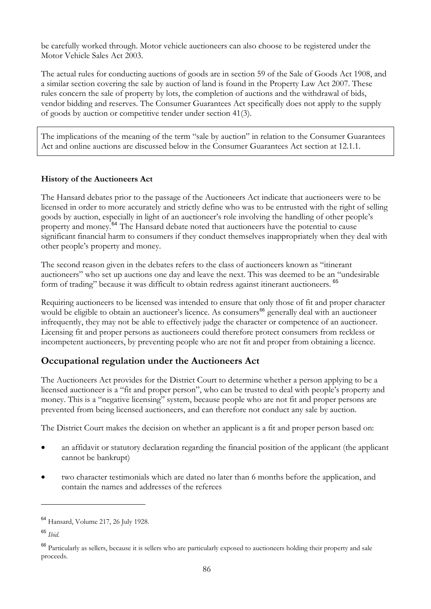<span id="page-86-0"></span>be carefully worked through. Motor vehicle auctioneers can also choose to be registered under the Motor Vehicle Sales Act 2003.

The actual rules for conducting auctions of goods are in section 59 of the Sale of Goods Act 1908, and a similar section covering the sale by auction of land is found in the Property Law Act 2007. These rules concern the sale of property by lots, the completion of auctions and the withdrawal of bids, vendor bidding and reserves. The Consumer Guarantees Act specifically does not apply to the supply of goods by auction or competitive tender under section 41(3).

The implications of the meaning of the term "sale by auction" in relation to the Consumer Guarantees Act and online auctions are discussed below in the Consumer Guarantees Act section at 12.1.1.

### **History of the Auctioneers Act**

The Hansard debates prior to the passage of the Auctioneers Act indicate that auctioneers were to be licensed in order to more accurately and strictly define who was to be entrusted with the right of selling goods by auction, especially in light of an auctioneer's role involving the handling of other people's property and money.[64](#page-86-0) The Hansard debate noted that auctioneers have the potential to cause significant financial harm to consumers if they conduct themselves inappropriately when they deal with other people's property and money.

The second reason given in the debates refers to the class of auctioneers known as "itinerant auctioneers" who set up auctions one day and leave the next. This was deemed to be an "undesirable form of trading" because it was difficult to obtain redress against itinerant auctioneers. [65](#page-86-0)

Requiring auctioneers to be licensed was intended to ensure that only those of fit and proper character would be eligible to obtain an auctioneer's licence. As consumers<sup>[66](#page-86-0)</sup> generally deal with an auctioneer infrequently, they may not be able to effectively judge the character or competence of an auctioneer. Licensing fit and proper persons as auctioneers could therefore protect consumers from reckless or incompetent auctioneers, by preventing people who are not fit and proper from obtaining a licence.

## **Occupational regulation under the Auctioneers Act**

The Auctioneers Act provides for the District Court to determine whether a person applying to be a licensed auctioneer is a "fit and proper person", who can be trusted to deal with people's property and money. This is a "negative licensing" system, because people who are not fit and proper persons are prevented from being licensed auctioneers, and can therefore not conduct any sale by auction.

The District Court makes the decision on whether an applicant is a fit and proper person based on:

- an affidavit or statutory declaration regarding the financial position of the applicant (the applicant cannot be bankrupt)
- two character testimonials which are dated no later than 6 months before the application, and contain the names and addresses of the referees

 $\overline{a}$ 

<sup>64</sup> Hansard, Volume 217, 26 July 1928.

<sup>65</sup> *Ibid.*

<sup>&</sup>lt;sup>66</sup> Particularly as sellers, because it is sellers who are particularly exposed to auctioneers holding their property and sale proceeds.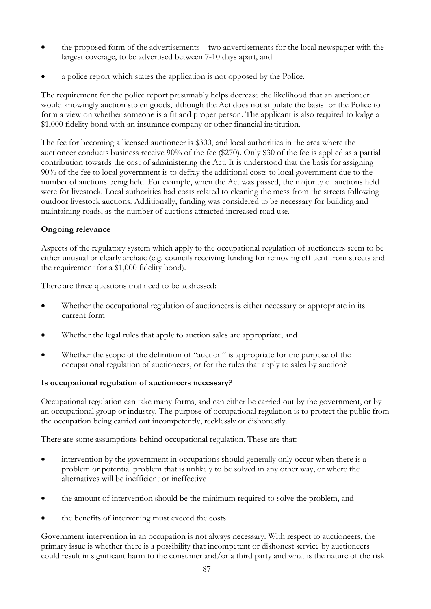- the proposed form of the advertisements two advertisements for the local newspaper with the largest coverage, to be advertised between 7-10 days apart, and
- a police report which states the application is not opposed by the Police.

The requirement for the police report presumably helps decrease the likelihood that an auctioneer would knowingly auction stolen goods, although the Act does not stipulate the basis for the Police to form a view on whether someone is a fit and proper person. The applicant is also required to lodge a \$1,000 fidelity bond with an insurance company or other financial institution.

The fee for becoming a licensed auctioneer is \$300, and local authorities in the area where the auctioneer conducts business receive 90% of the fee (\$270). Only \$30 of the fee is applied as a partial contribution towards the cost of administering the Act. It is understood that the basis for assigning 90% of the fee to local government is to defray the additional costs to local government due to the number of auctions being held. For example, when the Act was passed, the majority of auctions held were for livestock. Local authorities had costs related to cleaning the mess from the streets following outdoor livestock auctions. Additionally, funding was considered to be necessary for building and maintaining roads, as the number of auctions attracted increased road use.

## **Ongoing relevance**

Aspects of the regulatory system which apply to the occupational regulation of auctioneers seem to be either unusual or clearly archaic (e.g. councils receiving funding for removing effluent from streets and the requirement for a \$1,000 fidelity bond).

There are three questions that need to be addressed:

- Whether the occupational regulation of auctioneers is either necessary or appropriate in its current form
- Whether the legal rules that apply to auction sales are appropriate, and
- Whether the scope of the definition of "auction" is appropriate for the purpose of the occupational regulation of auctioneers, or for the rules that apply to sales by auction?

## **Is occupational regulation of auctioneers necessary?**

Occupational regulation can take many forms, and can either be carried out by the government, or by an occupational group or industry. The purpose of occupational regulation is to protect the public from the occupation being carried out incompetently, recklessly or dishonestly.

There are some assumptions behind occupational regulation. These are that:

- intervention by the government in occupations should generally only occur when there is a problem or potential problem that is unlikely to be solved in any other way, or where the alternatives will be inefficient or ineffective
- the amount of intervention should be the minimum required to solve the problem, and
- the benefits of intervening must exceed the costs.

Government intervention in an occupation is not always necessary. With respect to auctioneers, the primary issue is whether there is a possibility that incompetent or dishonest service by auctioneers could result in significant harm to the consumer and/or a third party and what is the nature of the risk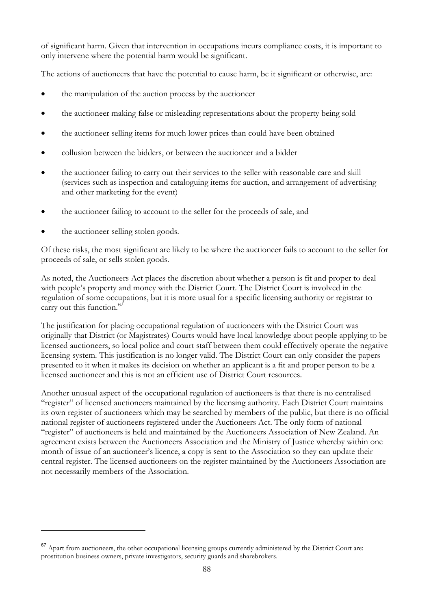<span id="page-88-0"></span>of significant harm. Given that intervention in occupations incurs compliance costs, it is important to only intervene where the potential harm would be significant.

The actions of auctioneers that have the potential to cause harm, be it significant or otherwise, are:

- the manipulation of the auction process by the auctioneer
- the auctioneer making false or misleading representations about the property being sold
- the auctioneer selling items for much lower prices than could have been obtained
- collusion between the bidders, or between the auctioneer and a bidder
- the auctioneer failing to carry out their services to the seller with reasonable care and skill (services such as inspection and cataloguing items for auction, and arrangement of advertising and other marketing for the event)
- the auctioneer failing to account to the seller for the proceeds of sale, and
- the auctioneer selling stolen goods.

 $\overline{a}$ 

Of these risks, the most significant are likely to be where the auctioneer fails to account to the seller for proceeds of sale, or sells stolen goods.

As noted, the Auctioneers Act places the discretion about whether a person is fit and proper to deal with people's property and money with the District Court. The District Court is involved in the regulation of some occupations, but it is more usual for a specific licensing authority or registrar to carry out this function.<sup>[67](#page-88-0)</sup>

The justification for placing occupational regulation of auctioneers with the District Court was originally that District (or Magistrates) Courts would have local knowledge about people applying to be licensed auctioneers, so local police and court staff between them could effectively operate the negative licensing system. This justification is no longer valid. The District Court can only consider the papers presented to it when it makes its decision on whether an applicant is a fit and proper person to be a licensed auctioneer and this is not an efficient use of District Court resources.

Another unusual aspect of the occupational regulation of auctioneers is that there is no centralised "register" of licensed auctioneers maintained by the licensing authority. Each District Court maintains its own register of auctioneers which may be searched by members of the public, but there is no official national register of auctioneers registered under the Auctioneers Act. The only form of national "register" of auctioneers is held and maintained by the Auctioneers Association of New Zealand. An agreement exists between the Auctioneers Association and the Ministry of Justice whereby within one month of issue of an auctioneer's licence, a copy is sent to the Association so they can update their central register. The licensed auctioneers on the register maintained by the Auctioneers Association are not necessarily members of the Association.

<sup>&</sup>lt;sup>67</sup> Apart from auctioneers, the other occupational licensing groups currently administered by the District Court are: prostitution business owners, private investigators, security guards and sharebrokers.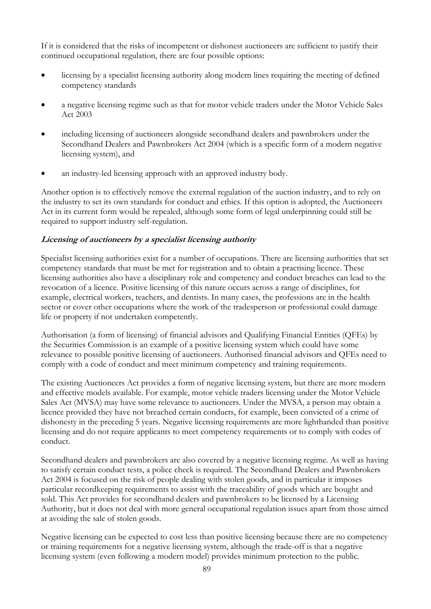If it is considered that the risks of incompetent or dishonest auctioneers are sufficient to justify their continued occupational regulation, there are four possible options:

- licensing by a specialist licensing authority along modern lines requiring the meeting of defined competency standards
- a negative licensing regime such as that for motor vehicle traders under the Motor Vehicle Sales Act 2003
- including licensing of auctioneers alongside secondhand dealers and pawnbrokers under the Secondhand Dealers and Pawnbrokers Act 2004 (which is a specific form of a modern negative licensing system), and
- an industry-led licensing approach with an approved industry body.

Another option is to effectively remove the external regulation of the auction industry, and to rely on the industry to set its own standards for conduct and ethics. If this option is adopted, the Auctioneers Act in its current form would be repealed, although some form of legal underpinning could still be required to support industry self-regulation.

## **Licensing of auctioneers by a specialist licensing authority**

Specialist licensing authorities exist for a number of occupations. There are licensing authorities that set competency standards that must be met for registration and to obtain a practising licence. These licensing authorities also have a disciplinary role and competency and conduct breaches can lead to the revocation of a licence. Positive licensing of this nature occurs across a range of disciplines, for example, electrical workers, teachers, and dentists. In many cases, the professions are in the health sector or cover other occupations where the work of the tradesperson or professional could damage life or property if not undertaken competently.

Authorisation (a form of licensing) of financial advisors and Qualifying Financial Entities (QFEs) by the Securities Commission is an example of a positive licensing system which could have some relevance to possible positive licensing of auctioneers. Authorised financial advisors and QFEs need to comply with a code of conduct and meet minimum competency and training requirements.

The existing Auctioneers Act provides a form of negative licensing system, but there are more modern and effective models available. For example, motor vehicle traders licensing under the Motor Vehicle Sales Act (MVSA) may have some relevance to auctioneers. Under the MVSA, a person may obtain a licence provided they have not breached certain conducts, for example, been convicted of a crime of dishonesty in the preceding 5 years. Negative licensing requirements are more lighthanded than positive licensing and do not require applicants to meet competency requirements or to comply with codes of conduct.

Secondhand dealers and pawnbrokers are also covered by a negative licensing regime. As well as having to satisfy certain conduct tests, a police check is required. The Secondhand Dealers and Pawnbrokers Act 2004 is focused on the risk of people dealing with stolen goods, and in particular it imposes particular recordkeeping requirements to assist with the traceability of goods which are bought and sold. This Act provides for secondhand dealers and pawnbrokers to be licensed by a Licensing Authority, but it does not deal with more general occupational regulation issues apart from those aimed at avoiding the sale of stolen goods.

Negative licensing can be expected to cost less than positive licensing because there are no competency or training requirements for a negative licensing system, although the trade-off is that a negative licensing system (even following a modern model) provides minimum protection to the public.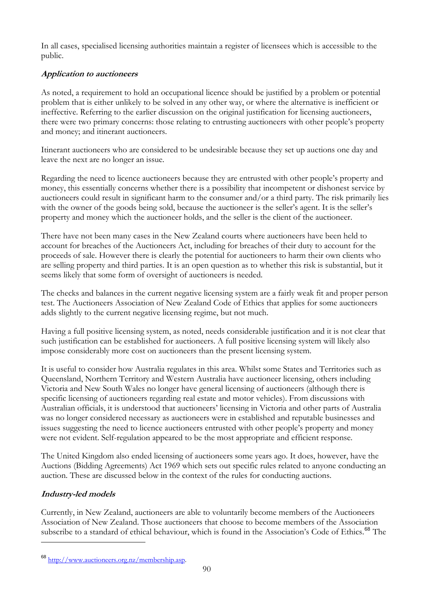<span id="page-90-0"></span>In all cases, specialised licensing authorities maintain a register of licensees which is accessible to the public.

## **Application to auctioneers**

As noted, a requirement to hold an occupational licence should be justified by a problem or potential problem that is either unlikely to be solved in any other way, or where the alternative is inefficient or ineffective. Referring to the earlier discussion on the original justification for licensing auctioneers, there were two primary concerns: those relating to entrusting auctioneers with other people's property and money; and itinerant auctioneers.

Itinerant auctioneers who are considered to be undesirable because they set up auctions one day and leave the next are no longer an issue.

Regarding the need to licence auctioneers because they are entrusted with other people's property and money, this essentially concerns whether there is a possibility that incompetent or dishonest service by auctioneers could result in significant harm to the consumer and/or a third party. The risk primarily lies with the owner of the goods being sold, because the auctioneer is the seller's agent. It is the seller's property and money which the auctioneer holds, and the seller is the client of the auctioneer.

There have not been many cases in the New Zealand courts where auctioneers have been held to account for breaches of the Auctioneers Act, including for breaches of their duty to account for the proceeds of sale. However there is clearly the potential for auctioneers to harm their own clients who are selling property and third parties. It is an open question as to whether this risk is substantial, but it seems likely that some form of oversight of auctioneers is needed.

The checks and balances in the current negative licensing system are a fairly weak fit and proper person test. The Auctioneers Association of New Zealand Code of Ethics that applies for some auctioneers adds slightly to the current negative licensing regime, but not much.

Having a full positive licensing system, as noted, needs considerable justification and it is not clear that such justification can be established for auctioneers. A full positive licensing system will likely also impose considerably more cost on auctioneers than the present licensing system.

It is useful to consider how Australia regulates in this area. Whilst some States and Territories such as Queensland, Northern Territory and Western Australia have auctioneer licensing, others including Victoria and New South Wales no longer have general licensing of auctioneers (although there is specific licensing of auctioneers regarding real estate and motor vehicles). From discussions with Australian officials, it is understood that auctioneers' licensing in Victoria and other parts of Australia was no longer considered necessary as auctioneers were in established and reputable businesses and issues suggesting the need to licence auctioneers entrusted with other people's property and money were not evident. Self-regulation appeared to be the most appropriate and efficient response.

The United Kingdom also ended licensing of auctioneers some years ago. It does, however, have the Auctions (Bidding Agreements) Act 1969 which sets out specific rules related to anyone conducting an auction. These are discussed below in the context of the rules for conducting auctions.

## **Industry-led models**

 $\overline{a}$ 

Currently, in New Zealand, auctioneers are able to voluntarily become members of the Auctioneers Association of New Zealand. Those auctioneers that choose to become members of the Association subscribe to a standard of ethical behaviour, which is found in the Association's Code of Ethics.<sup>[68](#page-90-0)</sup> The

<sup>68</sup> [http://www.auctioneers.org.nz/membership.asp.](http://www.auctioneers.org.nz/membership.asp)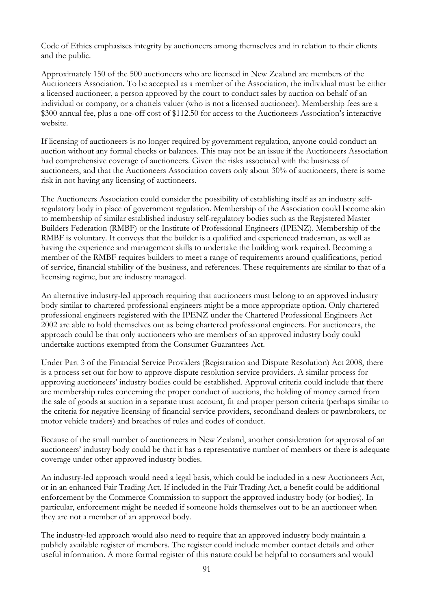Code of Ethics emphasises integrity by auctioneers among themselves and in relation to their clients and the public.

Approximately 150 of the 500 auctioneers who are licensed in New Zealand are members of the Auctioneers Association. To be accepted as a member of the Association, the individual must be either a licensed auctioneer, a person approved by the court to conduct sales by auction on behalf of an individual or company, or a chattels valuer (who is not a licensed auctioneer). Membership fees are a \$300 annual fee, plus a one-off cost of \$112.50 for access to the Auctioneers Association's interactive website.

If licensing of auctioneers is no longer required by government regulation, anyone could conduct an auction without any formal checks or balances. This may not be an issue if the Auctioneers Association had comprehensive coverage of auctioneers. Given the risks associated with the business of auctioneers, and that the Auctioneers Association covers only about 30% of auctioneers, there is some risk in not having any licensing of auctioneers.

The Auctioneers Association could consider the possibility of establishing itself as an industry selfregulatory body in place of government regulation. Membership of the Association could become akin to membership of similar established industry self-regulatory bodies such as the Registered Master Builders Federation (RMBF) or the Institute of Professional Engineers (IPENZ). Membership of the RMBF is voluntary. It conveys that the builder is a qualified and experienced tradesman, as well as having the experience and management skills to undertake the building work required. Becoming a member of the RMBF requires builders to meet a range of requirements around qualifications, period of service, financial stability of the business, and references. These requirements are similar to that of a licensing regime, but are industry managed.

An alternative industry-led approach requiring that auctioneers must belong to an approved industry body similar to chartered professional engineers might be a more appropriate option. Only chartered professional engineers registered with the IPENZ under the Chartered Professional Engineers Act 2002 are able to hold themselves out as being chartered professional engineers. For auctioneers, the approach could be that only auctioneers who are members of an approved industry body could undertake auctions exempted from the Consumer Guarantees Act.

Under Part 3 of the Financial Service Providers (Registration and Dispute Resolution) Act 2008, there is a process set out for how to approve dispute resolution service providers. A similar process for approving auctioneers' industry bodies could be established. Approval criteria could include that there are membership rules concerning the proper conduct of auctions, the holding of money earned from the sale of goods at auction in a separate trust account, fit and proper person criteria (perhaps similar to the criteria for negative licensing of financial service providers, secondhand dealers or pawnbrokers, or motor vehicle traders) and breaches of rules and codes of conduct.

Because of the small number of auctioneers in New Zealand, another consideration for approval of an auctioneers' industry body could be that it has a representative number of members or there is adequate coverage under other approved industry bodies.

An industry-led approach would need a legal basis, which could be included in a new Auctioneers Act, or in an enhanced Fair Trading Act. If included in the Fair Trading Act, a benefit could be additional enforcement by the Commerce Commission to support the approved industry body (or bodies). In particular, enforcement might be needed if someone holds themselves out to be an auctioneer when they are not a member of an approved body.

The industry-led approach would also need to require that an approved industry body maintain a publicly available register of members. The register could include member contact details and other useful information. A more formal register of this nature could be helpful to consumers and would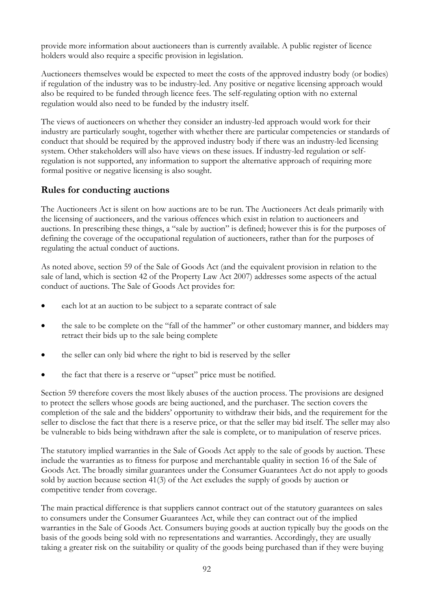provide more information about auctioneers than is currently available. A public register of licence holders would also require a specific provision in legislation.

Auctioneers themselves would be expected to meet the costs of the approved industry body (or bodies) if regulation of the industry was to be industry-led. Any positive or negative licensing approach would also be required to be funded through licence fees. The self-regulating option with no external regulation would also need to be funded by the industry itself.

The views of auctioneers on whether they consider an industry-led approach would work for their industry are particularly sought, together with whether there are particular competencies or standards of conduct that should be required by the approved industry body if there was an industry-led licensing system. Other stakeholders will also have views on these issues. If industry-led regulation or selfregulation is not supported, any information to support the alternative approach of requiring more formal positive or negative licensing is also sought.

## **Rules for conducting auctions**

The Auctioneers Act is silent on how auctions are to be run. The Auctioneers Act deals primarily with the licensing of auctioneers, and the various offences which exist in relation to auctioneers and auctions. In prescribing these things, a "sale by auction" is defined; however this is for the purposes of defining the coverage of the occupational regulation of auctioneers, rather than for the purposes of regulating the actual conduct of auctions.

As noted above, section 59 of the Sale of Goods Act (and the equivalent provision in relation to the sale of land, which is section 42 of the Property Law Act 2007) addresses some aspects of the actual conduct of auctions. The Sale of Goods Act provides for:

- each lot at an auction to be subject to a separate contract of sale
- the sale to be complete on the "fall of the hammer" or other customary manner, and bidders may retract their bids up to the sale being complete
- the seller can only bid where the right to bid is reserved by the seller
- the fact that there is a reserve or "upset" price must be notified.

Section 59 therefore covers the most likely abuses of the auction process. The provisions are designed to protect the sellers whose goods are being auctioned, and the purchaser. The section covers the completion of the sale and the bidders' opportunity to withdraw their bids, and the requirement for the seller to disclose the fact that there is a reserve price, or that the seller may bid itself. The seller may also be vulnerable to bids being withdrawn after the sale is complete, or to manipulation of reserve prices.

The statutory implied warranties in the Sale of Goods Act apply to the sale of goods by auction. These include the warranties as to fitness for purpose and merchantable quality in section 16 of the Sale of Goods Act. The broadly similar guarantees under the Consumer Guarantees Act do not apply to goods sold by auction because section 41(3) of the Act excludes the supply of goods by auction or competitive tender from coverage.

The main practical difference is that suppliers cannot contract out of the statutory guarantees on sales to consumers under the Consumer Guarantees Act, while they can contract out of the implied warranties in the Sale of Goods Act. Consumers buying goods at auction typically buy the goods on the basis of the goods being sold with no representations and warranties. Accordingly, they are usually taking a greater risk on the suitability or quality of the goods being purchased than if they were buying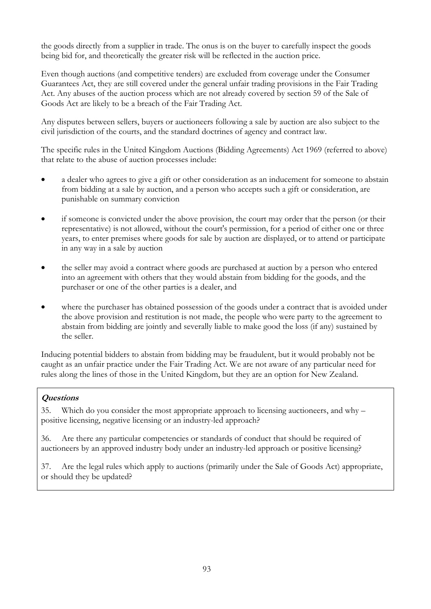the goods directly from a supplier in trade. The onus is on the buyer to carefully inspect the goods being bid for, and theoretically the greater risk will be reflected in the auction price.

Even though auctions (and competitive tenders) are excluded from coverage under the Consumer Guarantees Act, they are still covered under the general unfair trading provisions in the Fair Trading Act. Any abuses of the auction process which are not already covered by section 59 of the Sale of Goods Act are likely to be a breach of the Fair Trading Act.

Any disputes between sellers, buyers or auctioneers following a sale by auction are also subject to the civil jurisdiction of the courts, and the standard doctrines of agency and contract law.

The specific rules in the United Kingdom Auctions (Bidding Agreements) Act 1969 (referred to above) that relate to the abuse of auction processes include:

- a dealer who agrees to give a gift or other consideration as an inducement for someone to abstain from bidding at a sale by auction, and a person who accepts such a gift or consideration, are punishable on summary conviction
- if someone is convicted under the above provision, the court may order that the person (or their representative) is not allowed, without the court's permission, for a period of either one or three years, to enter premises where goods for sale by auction are displayed, or to attend or participate in any way in a sale by auction
- the seller may avoid a contract where goods are purchased at auction by a person who entered into an agreement with others that they would abstain from bidding for the goods, and the purchaser or one of the other parties is a dealer, and
- where the purchaser has obtained possession of the goods under a contract that is avoided under the above provision and restitution is not made, the people who were party to the agreement to abstain from bidding are jointly and severally liable to make good the loss (if any) sustained by the seller.

Inducing potential bidders to abstain from bidding may be fraudulent, but it would probably not be caught as an unfair practice under the Fair Trading Act. We are not aware of any particular need for rules along the lines of those in the United Kingdom, but they are an option for New Zealand.

## **Questions**

35. Which do you consider the most appropriate approach to licensing auctioneers, and why – positive licensing, negative licensing or an industry-led approach?

36. Are there any particular competencies or standards of conduct that should be required of auctioneers by an approved industry body under an industry-led approach or positive licensing?

37. Are the legal rules which apply to auctions (primarily under the Sale of Goods Act) appropriate, or should they be updated?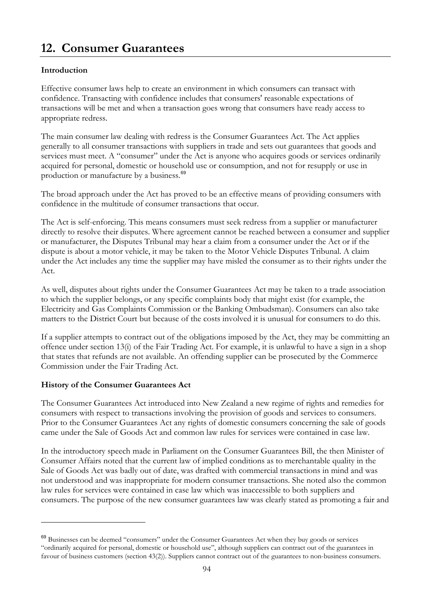# <span id="page-94-0"></span>**12. Consumer Guarantees**

## **Introduction**

Effective consumer laws help to create an environment in which consumers can transact with confidence. Transacting with confidence includes that consumers' reasonable expectations of transactions will be met and when a transaction goes wrong that consumers have ready access to appropriate redress.

The main consumer law dealing with redress is the Consumer Guarantees Act. The Act applies generally to all consumer transactions with suppliers in trade and sets out guarantees that goods and services must meet. A "consumer" under the Act is anyone who acquires goods or services ordinarily acquired for personal, domestic or household use or consumption, and not for resupply or use in production or manufacture by a business.<sup>[69](#page-94-0)</sup>

The broad approach under the Act has proved to be an effective means of providing consumers with confidence in the multitude of consumer transactions that occur.

The Act is self-enforcing. This means consumers must seek redress from a supplier or manufacturer directly to resolve their disputes. Where agreement cannot be reached between a consumer and supplier or manufacturer, the Disputes Tribunal may hear a claim from a consumer under the Act or if the dispute is about a motor vehicle, it may be taken to the Motor Vehicle Disputes Tribunal. A claim under the Act includes any time the supplier may have misled the consumer as to their rights under the Act.

As well, disputes about rights under the Consumer Guarantees Act may be taken to a trade association to which the supplier belongs, or any specific complaints body that might exist (for example, the Electricity and Gas Complaints Commission or the Banking Ombudsman). Consumers can also take matters to the District Court but because of the costs involved it is unusual for consumers to do this.

If a supplier attempts to contract out of the obligations imposed by the Act, they may be committing an offence under section 13(i) of the Fair Trading Act. For example, it is unlawful to have a sign in a shop that states that refunds are not available. An offending supplier can be prosecuted by the Commerce Commission under the Fair Trading Act.

## **History of the Consumer Guarantees Act**

 $\overline{a}$ 

The Consumer Guarantees Act introduced into New Zealand a new regime of rights and remedies for consumers with respect to transactions involving the provision of goods and services to consumers. Prior to the Consumer Guarantees Act any rights of domestic consumers concerning the sale of goods came under the Sale of Goods Act and common law rules for services were contained in case law.

In the introductory speech made in Parliament on the Consumer Guarantees Bill, the then Minister of Consumer Affairs noted that the current law of implied conditions as to merchantable quality in the Sale of Goods Act was badly out of date, was drafted with commercial transactions in mind and was not understood and was inappropriate for modern consumer transactions. She noted also the common law rules for services were contained in case law which was inaccessible to both suppliers and consumers. The purpose of the new consumer guarantees law was clearly stated as promoting a fair and

<sup>69</sup> Businesses can be deemed "consumers" under the Consumer Guarantees Act when they buy goods or services "ordinarily acquired for personal, domestic or household use", although suppliers can contract out of the guarantees in favour of business customers (section 43(2)). Suppliers cannot contract out of the guarantees to non-business consumers.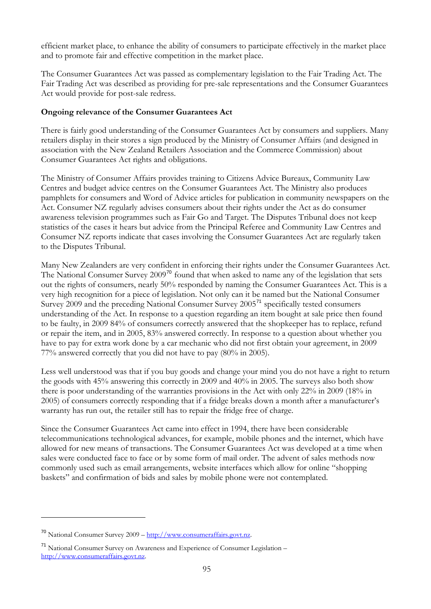<span id="page-95-0"></span>efficient market place, to enhance the ability of consumers to participate effectively in the market place and to promote fair and effective competition in the market place.

The Consumer Guarantees Act was passed as complementary legislation to the Fair Trading Act. The Fair Trading Act was described as providing for pre-sale representations and the Consumer Guarantees Act would provide for post-sale redress.

## **Ongoing relevance of the Consumer Guarantees Act**

There is fairly good understanding of the Consumer Guarantees Act by consumers and suppliers. Many retailers display in their stores a sign produced by the Ministry of Consumer Affairs (and designed in association with the New Zealand Retailers Association and the Commerce Commission) about Consumer Guarantees Act rights and obligations.

The Ministry of Consumer Affairs provides training to Citizens Advice Bureaux, Community Law Centres and budget advice centres on the Consumer Guarantees Act. The Ministry also produces pamphlets for consumers and Word of Advice articles for publication in community newspapers on the Act. Consumer NZ regularly advises consumers about their rights under the Act as do consumer awareness television programmes such as Fair Go and Target. The Disputes Tribunal does not keep statistics of the cases it hears but advice from the Principal Referee and Community Law Centres and Consumer NZ reports indicate that cases involving the Consumer Guarantees Act are regularly taken to the Disputes Tribunal.

Many New Zealanders are very confident in enforcing their rights under the Consumer Guarantees Act. The National Consumer Survey 2009<sup>[70](#page-95-0)</sup> found that when asked to name any of the legislation that sets out the rights of consumers, nearly 50% responded by naming the Consumer Guarantees Act. This is a very high recognition for a piece of legislation. Not only can it be named but the National Consumer Survey 2009 and the preceding National Consumer Survey 2005<sup>[71](#page-95-0)</sup> specifically tested consumers understanding of the Act. In response to a question regarding an item bought at sale price then found to be faulty, in 2009 84% of consumers correctly answered that the shopkeeper has to replace, refund or repair the item, and in 2005, 83% answered correctly. In response to a question about whether you have to pay for extra work done by a car mechanic who did not first obtain your agreement, in 2009 77% answered correctly that you did not have to pay (80% in 2005).

Less well understood was that if you buy goods and change your mind you do not have a right to return the goods with 45% answering this correctly in 2009 and 40% in 2005. The surveys also both show there is poor understanding of the warranties provisions in the Act with only 22% in 2009 (18% in 2005) of consumers correctly responding that if a fridge breaks down a month after a manufacturer's warranty has run out, the retailer still has to repair the fridge free of charge.

Since the Consumer Guarantees Act came into effect in 1994, there have been considerable telecommunications technological advances, for example, mobile phones and the internet, which have allowed for new means of transactions. The Consumer Guarantees Act was developed at a time when sales were conducted face to face or by some form of mail order. The advent of sales methods now commonly used such as email arrangements, website interfaces which allow for online "shopping baskets" and confirmation of bids and sales by mobile phone were not contemplated.

 $\overline{a}$ 

<sup>70</sup> National Consumer Survey 2009 – [http://www.consumeraffairs.govt.nz.](http://www.consumeraffairs.govt.nz/)

<sup>71</sup> National Consumer Survey on Awareness and Experience of Consumer Legislation – [http://www.consumeraffairs.govt.nz](http://www.consumeraffairs.govt.nz/).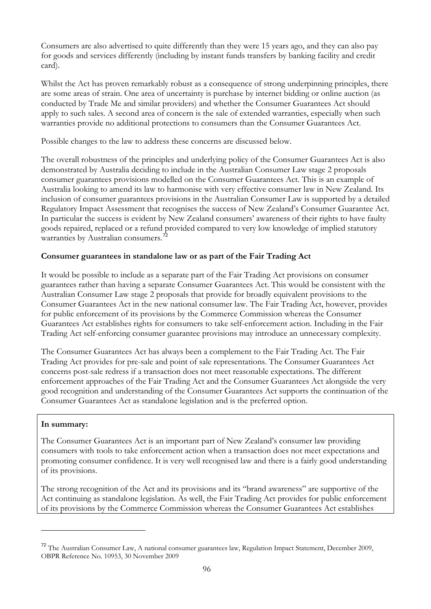<span id="page-96-0"></span>Consumers are also advertised to quite differently than they were 15 years ago, and they can also pay for goods and services differently (including by instant funds transfers by banking facility and credit card).

Whilst the Act has proven remarkably robust as a consequence of strong underpinning principles, there are some areas of strain. One area of uncertainty is purchase by internet bidding or online auction (as conducted by Trade Me and similar providers) and whether the Consumer Guarantees Act should apply to such sales. A second area of concern is the sale of extended warranties, especially when such warranties provide no additional protections to consumers than the Consumer Guarantees Act.

Possible changes to the law to address these concerns are discussed below.

The overall robustness of the principles and underlying policy of the Consumer Guarantees Act is also demonstrated by Australia deciding to include in the Australian Consumer Law stage 2 proposals consumer guarantees provisions modelled on the Consumer Guarantees Act. This is an example of Australia looking to amend its law to harmonise with very effective consumer law in New Zealand. Its inclusion of consumer guarantees provisions in the Australian Consumer Law is supported by a detailed Regulatory Impact Assessment that recognises the success of New Zealand's Consumer Guarantee Act. In particular the success is evident by New Zealand consumers' awareness of their rights to have faulty goods repaired, replaced or a refund provided compared to very low knowledge of implied statutory warranties by Australian consumers.<sup>[72](#page-96-0)</sup>

## **Consumer guarantees in standalone law or as part of the Fair Trading Act**

It would be possible to include as a separate part of the Fair Trading Act provisions on consumer guarantees rather than having a separate Consumer Guarantees Act. This would be consistent with the Australian Consumer Law stage 2 proposals that provide for broadly equivalent provisions to the Consumer Guarantees Act in the new national consumer law. The Fair Trading Act, however, provides for public enforcement of its provisions by the Commerce Commission whereas the Consumer Guarantees Act establishes rights for consumers to take self-enforcement action. Including in the Fair Trading Act self-enforcing consumer guarantee provisions may introduce an unnecessary complexity.

The Consumer Guarantees Act has always been a complement to the Fair Trading Act. The Fair Trading Act provides for pre-sale and point of sale representations. The Consumer Guarantees Act concerns post-sale redress if a transaction does not meet reasonable expectations. The different enforcement approaches of the Fair Trading Act and the Consumer Guarantees Act alongside the very good recognition and understanding of the Consumer Guarantees Act supports the continuation of the Consumer Guarantees Act as standalone legislation and is the preferred option.

### **In summary:**

 $\overline{a}$ 

The Consumer Guarantees Act is an important part of New Zealand's consumer law providing consumers with tools to take enforcement action when a transaction does not meet expectations and promoting consumer confidence. It is very well recognised law and there is a fairly good understanding of its provisions.

The strong recognition of the Act and its provisions and its "brand awareness" are supportive of the Act continuing as standalone legislation. As well, the Fair Trading Act provides for public enforcement of its provisions by the Commerce Commission whereas the Consumer Guarantees Act establishes

<sup>&</sup>lt;sup>72</sup> The Australian Consumer Law, A national consumer guarantees law, Regulation Impact Statement, December 2009, OBPR Reference No. 10953, 30 November 2009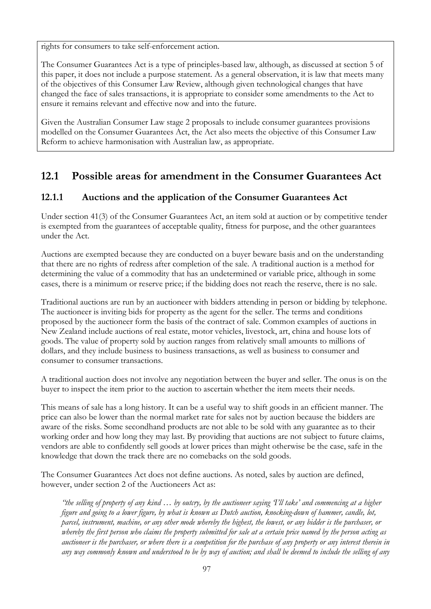rights for consumers to take self-enforcement action.

The Consumer Guarantees Act is a type of principles-based law, although, as discussed at section 5 of this paper, it does not include a purpose statement. As a general observation, it is law that meets many of the objectives of this Consumer Law Review, although given technological changes that have changed the face of sales transactions, it is appropriate to consider some amendments to the Act to ensure it remains relevant and effective now and into the future.

Given the Australian Consumer Law stage 2 proposals to include consumer guarantees provisions modelled on the Consumer Guarantees Act, the Act also meets the objective of this Consumer Law Reform to achieve harmonisation with Australian law, as appropriate.

# **12.1 Possible areas for amendment in the Consumer Guarantees Act**

# **12.1.1 Auctions and the application of the Consumer Guarantees Act**

Under section 41(3) of the Consumer Guarantees Act, an item sold at auction or by competitive tender is exempted from the guarantees of acceptable quality, fitness for purpose, and the other guarantees under the Act.

Auctions are exempted because they are conducted on a buyer beware basis and on the understanding that there are no rights of redress after completion of the sale. A traditional auction is a method for determining the value of a commodity that has an undetermined or variable price, although in some cases, there is a minimum or reserve price; if the bidding does not reach the reserve, there is no sale.

Traditional auctions are run by an auctioneer with bidders attending in person or bidding by telephone. The auctioneer is inviting bids for property as the agent for the seller. The terms and conditions proposed by the auctioneer form the basis of the contract of sale. Common examples of auctions in New Zealand include auctions of real estate, motor vehicles, livestock, art, china and house lots of goods. The value of property sold by auction ranges from relatively small amounts to millions of dollars, and they include business to business transactions, as well as business to consumer and consumer to consumer transactions.

A traditional auction does not involve any negotiation between the buyer and seller. The onus is on the buyer to inspect the item prior to the auction to ascertain whether the item meets their needs.

This means of sale has a long history. It can be a useful way to shift goods in an efficient manner. The price can also be lower than the normal market rate for sales not by auction because the bidders are aware of the risks. Some secondhand products are not able to be sold with any guarantee as to their working order and how long they may last. By providing that auctions are not subject to future claims, vendors are able to confidently sell goods at lower prices than might otherwise be the case, safe in the knowledge that down the track there are no comebacks on the sold goods.

The Consumer Guarantees Act does not define auctions. As noted, sales by auction are defined, however, under section 2 of the Auctioneers Act as:

*"the selling of property of any kind … by outcry, by the auctioneer saying 'I'll take' and commencing at a higher figure and going to a lower figure, by what is known as Dutch auction, knocking-down of hammer, candle, lot, parcel, instrument, machine, or any other mode whereby the highest, the lowest, or any bidder is the purchaser, or whereby the first person who claims the property submitted for sale at a certain price named by the person acting as auctioneer is the purchaser, or where there is a competition for the purchase of any property or any interest therein in any way commonly known and understood to be by way of auction; and shall be deemed to include the selling of any*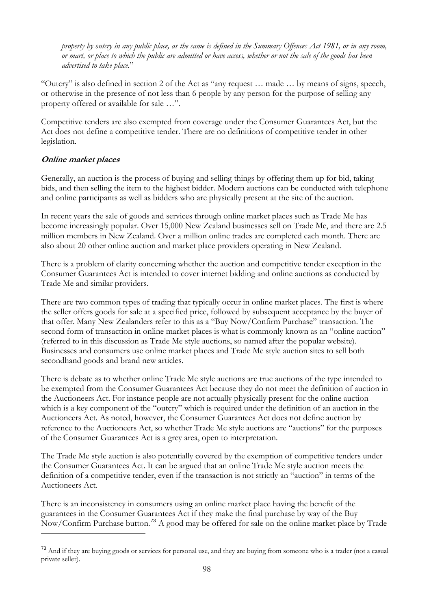<span id="page-98-0"></span>*property by outcry in any public place, as the same is defined in the Summary Offences Act 1981, or in any room, or mart, or place to which the public are admitted or have access, whether or not the sale of the goods has been advertised to take place.*"

"Outcry" is also defined in section 2 of the Act as "any request … made … by means of signs, speech, or otherwise in the presence of not less than 6 people by any person for the purpose of selling any property offered or available for sale …".

Competitive tenders are also exempted from coverage under the Consumer Guarantees Act, but the Act does not define a competitive tender. There are no definitions of competitive tender in other legislation.

## **Online market places**

Generally, an auction is the process of buying and selling things by offering them up for bid, taking bids, and then selling the item to the highest bidder. Modern auctions can be conducted with telephone and online participants as well as bidders who are physically present at the site of the auction.

In recent years the sale of goods and services through online market places such as Trade Me has become increasingly popular. Over 15,000 New Zealand businesses sell on Trade Me, and there are 2.5 million members in New Zealand. Over a million online trades are completed each month. There are also about 20 other online auction and market place providers operating in New Zealand.

There is a problem of clarity concerning whether the auction and competitive tender exception in the Consumer Guarantees Act is intended to cover internet bidding and online auctions as conducted by Trade Me and similar providers.

There are two common types of trading that typically occur in online market places. The first is where the seller offers goods for sale at a specified price, followed by subsequent acceptance by the buyer of that offer. Many New Zealanders refer to this as a "Buy Now/Confirm Purchase" transaction. The second form of transaction in online market places is what is commonly known as an "online auction" (referred to in this discussion as Trade Me style auctions, so named after the popular website). Businesses and consumers use online market places and Trade Me style auction sites to sell both secondhand goods and brand new articles.

There is debate as to whether online Trade Me style auctions are true auctions of the type intended to be exempted from the Consumer Guarantees Act because they do not meet the definition of auction in the Auctioneers Act. For instance people are not actually physically present for the online auction which is a key component of the "outcry" which is required under the definition of an auction in the Auctioneers Act. As noted, however, the Consumer Guarantees Act does not define auction by reference to the Auctioneers Act, so whether Trade Me style auctions are "auctions" for the purposes of the Consumer Guarantees Act is a grey area, open to interpretation.

The Trade Me style auction is also potentially covered by the exemption of competitive tenders under the Consumer Guarantees Act. It can be argued that an online Trade Me style auction meets the definition of a competitive tender, even if the transaction is not strictly an "auction" in terms of the Auctioneers Act.

 $\overline{a}$ There is an inconsistency in consumers using an online market place having the benefit of the guarantees in the Consumer Guarantees Act if they make the final purchase by way of the Buy Now/Confirm Purchase button.[73](#page-98-0) A good may be offered for sale on the online market place by Trade

<sup>&</sup>lt;sup>73</sup> And if they are buying goods or services for personal use, and they are buying from someone who is a trader (not a casual private seller).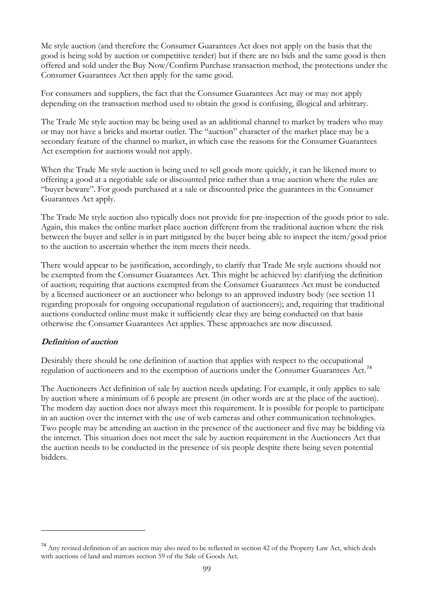<span id="page-99-0"></span>Me style auction (and therefore the Consumer Guarantees Act does not apply on the basis that the good is being sold by auction or competitive tender) but if there are no bids and the same good is then offered and sold under the Buy Now/Confirm Purchase transaction method, the protections under the Consumer Guarantees Act then apply for the same good.

For consumers and suppliers, the fact that the Consumer Guarantees Act may or may not apply depending on the transaction method used to obtain the good is confusing, illogical and arbitrary.

The Trade Me style auction may be being used as an additional channel to market by traders who may or may not have a bricks and mortar outlet. The "auction" character of the market place may be a secondary feature of the channel to market, in which case the reasons for the Consumer Guarantees Act exemption for auctions would not apply.

When the Trade Me style auction is being used to sell goods more quickly, it can be likened more to offering a good at a negotiable sale or discounted price rather than a true auction where the rules are "buyer beware". For goods purchased at a sale or discounted price the guarantees in the Consumer Guarantees Act apply.

The Trade Me style auction also typically does not provide for pre-inspection of the goods prior to sale. Again, this makes the online market place auction different from the traditional auction where the risk between the buyer and seller is in part mitigated by the buyer being able to inspect the item/good prior to the auction to ascertain whether the item meets their needs.

There would appear to be justification, accordingly, to clarify that Trade Me style auctions should not be exempted from the Consumer Guarantees Act. This might be achieved by: clarifying the definition of auction; requiring that auctions exempted from the Consumer Guarantees Act must be conducted by a licensed auctioneer or an auctioneer who belongs to an approved industry body (see section 11 regarding proposals for ongoing occupational regulation of auctioneers); and, requiring that traditional auctions conducted online must make it sufficiently clear they are being conducted on that basis otherwise the Consumer Guarantees Act applies. These approaches are now discussed.

## **Definition of auction**

 $\overline{a}$ 

Desirably there should be one definition of auction that applies with respect to the occupational regulation of auctioneers and to the exemption of auctions under the Consumer Guarantees Act.<sup>[74](#page-99-0)</sup>

The Auctioneers Act definition of sale by auction needs updating. For example, it only applies to sale by auction where a minimum of 6 people are present (in other words are at the place of the auction). The modern day auction does not always meet this requirement. It is possible for people to participate in an auction over the internet with the use of web cameras and other communication technologies. Two people may be attending an auction in the presence of the auctioneer and five may be bidding via the internet. This situation does not meet the sale by auction requirement in the Auctioneers Act that the auction needs to be conducted in the presence of six people despite there being seven potential bidders.

<sup>74</sup> Any revised definition of an auction may also need to be reflected in section 42 of the Property Law Act, which deals with auctions of land and mirrors section 59 of the Sale of Goods Act.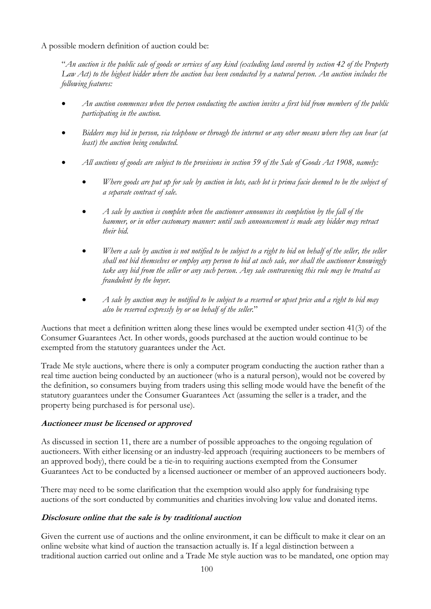A possible modern definition of auction could be:

"*An auction is the public sale of goods or services of any kind (excluding land covered by section 42 of the Property Law Act) to the highest bidder where the auction has been conducted by a natural person. An auction includes the following features:* 

- *An auction commences when the person conducting the auction invites a first bid from members of the public participating in the auction.*
- *Bidders may bid in person, via telephone or through the internet or any other means where they can hear (at least) the auction being conducted.*
- *All auctions of goods are subject to the provisions in section 59 of the Sale of Goods Act 1908, namely:* 
	- *Where goods are put up for sale by auction in lots, each lot is prima facie deemed to be the subject of a separate contract of sale.*
	- *A sale by auction is complete when the auctioneer announces its completion by the fall of the hammer, or in other customary manner: until such announcement is made any bidder may retract their bid.*
	- *Where a sale by auction is not notified to be subject to a right to bid on behalf of the seller, the seller shall not bid themselves or employ any person to bid at such sale, nor shall the auctioneer knowingly take any bid from the seller or any such person. Any sale contravening this rule may be treated as fraudulent by the buyer.*
	- *A sale by auction may be notified to be subject to a reserved or upset price and a right to bid may also be reserved expressly by or on behalf of the seller.*"

Auctions that meet a definition written along these lines would be exempted under section 41(3) of the Consumer Guarantees Act. In other words, goods purchased at the auction would continue to be exempted from the statutory guarantees under the Act.

Trade Me style auctions, where there is only a computer program conducting the auction rather than a real time auction being conducted by an auctioneer (who is a natural person), would not be covered by the definition, so consumers buying from traders using this selling mode would have the benefit of the statutory guarantees under the Consumer Guarantees Act (assuming the seller is a trader, and the property being purchased is for personal use).

## **Auctioneer must be licensed or approved**

As discussed in section 11, there are a number of possible approaches to the ongoing regulation of auctioneers. With either licensing or an industry-led approach (requiring auctioneers to be members of an approved body), there could be a tie-in to requiring auctions exempted from the Consumer Guarantees Act to be conducted by a licensed auctioneer or member of an approved auctioneers body.

There may need to be some clarification that the exemption would also apply for fundraising type auctions of the sort conducted by communities and charities involving low value and donated items.

## **Disclosure online that the sale is by traditional auction**

Given the current use of auctions and the online environment, it can be difficult to make it clear on an online website what kind of auction the transaction actually is. If a legal distinction between a traditional auction carried out online and a Trade Me style auction was to be mandated, one option may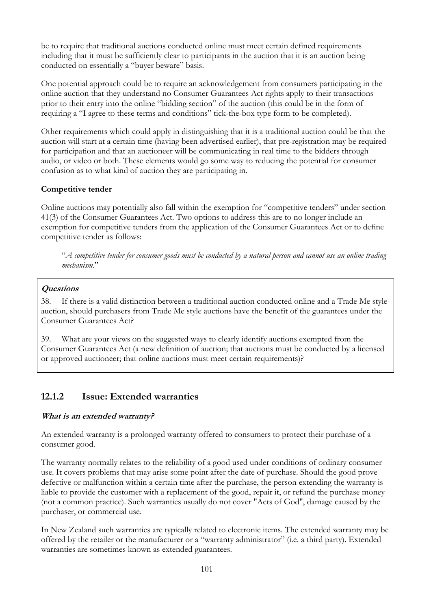be to require that traditional auctions conducted online must meet certain defined requirements including that it must be sufficiently clear to participants in the auction that it is an auction being conducted on essentially a "buyer beware" basis.

One potential approach could be to require an acknowledgement from consumers participating in the online auction that they understand no Consumer Guarantees Act rights apply to their transactions prior to their entry into the online "bidding section" of the auction (this could be in the form of requiring a "I agree to these terms and conditions" tick-the-box type form to be completed).

Other requirements which could apply in distinguishing that it is a traditional auction could be that the auction will start at a certain time (having been advertised earlier), that pre-registration may be required for participation and that an auctioneer will be communicating in real time to the bidders through audio, or video or both. These elements would go some way to reducing the potential for consumer confusion as to what kind of auction they are participating in.

## **Competitive tender**

Online auctions may potentially also fall within the exemption for "competitive tenders" under section 41(3) of the Consumer Guarantees Act. Two options to address this are to no longer include an exemption for competitive tenders from the application of the Consumer Guarantees Act or to define competitive tender as follows:

"*A competitive tender for consumer goods must be conducted by a natural person and cannot use an online trading mechanism.*"

## **Questions**

38. If there is a valid distinction between a traditional auction conducted online and a Trade Me style auction, should purchasers from Trade Me style auctions have the benefit of the guarantees under the Consumer Guarantees Act?

39. What are your views on the suggested ways to clearly identify auctions exempted from the Consumer Guarantees Act (a new definition of auction; that auctions must be conducted by a licensed or approved auctioneer; that online auctions must meet certain requirements)?

## **12.1.2 Issue: Extended warranties**

### **What is an extended warranty?**

An extended warranty is a prolonged warranty offered to consumers to protect their purchase of a consumer good.

The warranty normally relates to the reliability of a good used under conditions of ordinary consumer use. It covers problems that may arise some point after the date of purchase. Should the good prove defective or malfunction within a certain time after the purchase, the person extending the warranty is liable to provide the customer with a replacement of the good, repair it, or refund the purchase money (not a common practice). Such warranties usually do not cover "Acts of God", damage caused by the purchaser, or commercial use.

In New Zealand such warranties are typically related to electronic items. The extended warranty may be offered by the retailer or the manufacturer or a "warranty administrator" (i.e. a third party). Extended warranties are sometimes known as extended guarantees.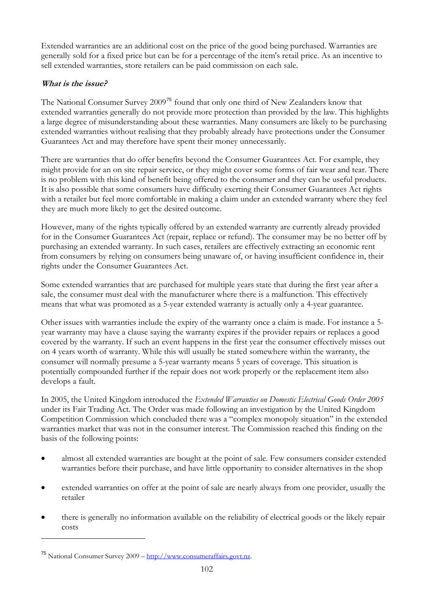<span id="page-102-0"></span>Extended warranties are an additional cost on the price of the good being purchased. Warranties are generally sold for a fixed price but can be for a percentage of the item's retail price. As an incentive to sell extended warranties, store retailers can be paid commission on each sale.

## **What is the issue?**

The National Consumer Survey 2009<sup>[75](#page-102-0)</sup> found that only one third of New Zealanders know that extended warranties generally do not provide more protection than provided by the law. This highlights a large degree of misunderstanding about these warranties. Many consumers are likely to be purchasing extended warranties without realising that they probably already have protections under the Consumer Guarantees Act and may therefore have spent their money unnecessarily.

There are warranties that do offer benefits beyond the Consumer Guarantees Act. For example, they might provide for an on site repair service, or they might cover some forms of fair wear and tear. There is no problem with this kind of benefit being offered to the consumer and they can be useful products. It is also possible that some consumers have difficulty exerting their Consumer Guarantees Act rights with a retailer but feel more comfortable in making a claim under an extended warranty where they feel they are much more likely to get the desired outcome.

However, many of the rights typically offered by an extended warranty are currently already provided for in the Consumer Guarantees Act (repair, replace or refund). The consumer may be no better off by purchasing an extended warranty. In such cases, retailers are effectively extracting an economic rent from consumers by relying on consumers being unaware of, or having insufficient confidence in, their rights under the Consumer Guarantees Act.

Some extended warranties that are purchased for multiple years state that during the first year after a sale, the consumer must deal with the manufacturer where there is a malfunction. This effectively means that what was promoted as a 5-year extended warranty is actually only a 4-year guarantee.

Other issues with warranties include the expiry of the warranty once a claim is made. For instance a 5 year warranty may have a clause saying the warranty expires if the provider repairs or replaces a good covered by the warranty. If such an event happens in the first year the consumer effectively misses out on 4 years worth of warranty. While this will usually be stated somewhere within the warranty, the consumer will normally presume a 5-year warranty means 5 years of coverage. This situation is potentially compounded further if the repair does not work properly or the replacement item also develops a fault.

In 2005, the United Kingdom introduced the *Extended Warranties on Domestic Electrical Goods Order 2005*  under its Fair Trading Act. The Order was made following an investigation by the United Kingdom Competition Commission which concluded there was a "complex monopoly situation" in the extended warranties market that was not in the consumer interest. The Commission reached this finding on the basis of the following points:

- almost all extended warranties are bought at the point of sale. Few consumers consider extended warranties before their purchase, and have little opportunity to consider alternatives in the shop
- extended warranties on offer at the point of sale are nearly always from one provider, usually the retailer
- there is generally no information available on the reliability of electrical goods or the likely repair costs

 $\overline{a}$ 

<sup>75</sup> National Consumer Survey 2009 – [http://www.consumeraffairs.govt.nz.](http://www.consumeraffairs.govt.nz/)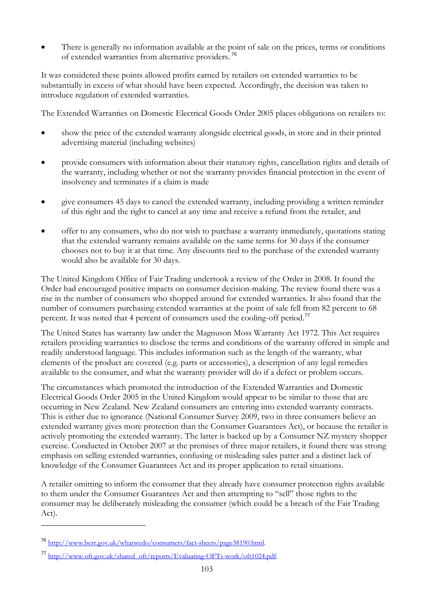<span id="page-103-0"></span>There is generally no information available at the point of sale on the prices, terms or conditions of extended warranties from alternative providers.<sup>[76](#page-103-0)</sup>

It was considered these points allowed profits earned by retailers on extended warranties to be substantially in excess of what should have been expected. Accordingly, the decision was taken to introduce regulation of extended warranties.

The Extended Warranties on Domestic Electrical Goods Order 2005 places obligations on retailers to:

- show the price of the extended warranty alongside electrical goods, in store and in their printed advertising material (including websites)
- provide consumers with information about their statutory rights, cancellation rights and details of the warranty, including whether or not the warranty provides financial protection in the event of insolvency and terminates if a claim is made
- give consumers 45 days to cancel the extended warranty, including providing a written reminder of this right and the right to cancel at any time and receive a refund from the retailer, and
- offer to any consumers, who do not wish to purchase a warranty immediately, quotations stating that the extended warranty remains available on the same terms for 30 days if the consumer chooses not to buy it at that time. Any discounts tied to the purchase of the extended warranty would also be available for 30 days.

The United Kingdom Office of Fair Trading undertook a review of the Order in 2008. It found the Order had encouraged positive impacts on consumer decision-making. The review found there was a rise in the number of consumers who shopped around for extended warranties. It also found that the number of consumers purchasing extended warranties at the point of sale fell from 82 percent to 68 percent. It was noted that 4 percent of consumers used the cooling-off period.<sup>[77](#page-103-0)</sup>

The United States has warranty law under the Magnuson Moss Warranty Act 1972. This Act requires retailers providing warranties to disclose the terms and conditions of the warranty offered in simple and readily understood language. This includes information such as the length of the warranty, what elements of the product are covered (e.g. parts or accessories), a description of any legal remedies available to the consumer, and what the warranty provider will do if a defect or problem occurs.

The circumstances which promoted the introduction of the Extended Warranties and Domestic Electrical Goods Order 2005 in the United Kingdom would appear to be similar to those that are occurring in New Zealand. New Zealand consumers are entering into extended warranty contracts. This is either due to ignorance (National Consumer Survey 2009, two in three consumers believe an extended warranty gives more protection than the Consumer Guarantees Act), or because the retailer is actively promoting the extended warranty. The latter is backed up by a Consumer NZ mystery shopper exercise. Conducted in October 2007 at the premises of three major retailers, it found there was strong emphasis on selling extended warranties, confusing or misleading sales patter and a distinct lack of knowledge of the Consumer Guarantees Act and its proper application to retail situations.

A retailer omitting to inform the consumer that they already have consumer protection rights available to them under the Consumer Guarantees Act and then attempting to "sell" those rights to the consumer may be deliberately misleading the consumer (which could be a breach of the Fair Trading Act).

 $\overline{a}$ 

<sup>76</sup> <http://www.berr.gov.uk/whatwedo/consumers/fact-sheets/page38190.html>.

<sup>77</sup> [http://www.oft.gov.uk/shared\\_oft/reports/Evaluating-OFTs-work/oft1024.pdf.](http://www.oft.gov.uk/shared_oft/reports/Evaluating-OFTs-work/oft1024.pdf)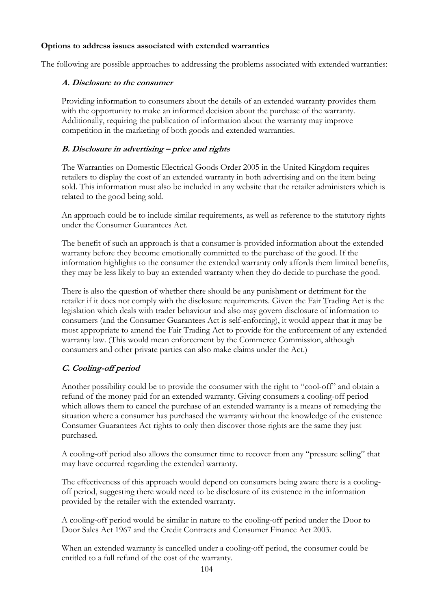## **Options to address issues associated with extended warranties**

The following are possible approaches to addressing the problems associated with extended warranties:

## **A. Disclosure to the consumer**

Providing information to consumers about the details of an extended warranty provides them with the opportunity to make an informed decision about the purchase of the warranty. Additionally, requiring the publication of information about the warranty may improve competition in the marketing of both goods and extended warranties.

## **B. Disclosure in advertising – price and rights**

The Warranties on Domestic Electrical Goods Order 2005 in the United Kingdom requires retailers to display the cost of an extended warranty in both advertising and on the item being sold. This information must also be included in any website that the retailer administers which is related to the good being sold.

An approach could be to include similar requirements, as well as reference to the statutory rights under the Consumer Guarantees Act.

The benefit of such an approach is that a consumer is provided information about the extended warranty before they become emotionally committed to the purchase of the good. If the information highlights to the consumer the extended warranty only affords them limited benefits, they may be less likely to buy an extended warranty when they do decide to purchase the good.

There is also the question of whether there should be any punishment or detriment for the retailer if it does not comply with the disclosure requirements. Given the Fair Trading Act is the legislation which deals with trader behaviour and also may govern disclosure of information to consumers (and the Consumer Guarantees Act is self-enforcing), it would appear that it may be most appropriate to amend the Fair Trading Act to provide for the enforcement of any extended warranty law. (This would mean enforcement by the Commerce Commission, although consumers and other private parties can also make claims under the Act.)

## **C. Cooling-off period**

Another possibility could be to provide the consumer with the right to "cool-off" and obtain a refund of the money paid for an extended warranty. Giving consumers a cooling-off period which allows them to cancel the purchase of an extended warranty is a means of remedying the situation where a consumer has purchased the warranty without the knowledge of the existence Consumer Guarantees Act rights to only then discover those rights are the same they just purchased.

A cooling-off period also allows the consumer time to recover from any "pressure selling" that may have occurred regarding the extended warranty.

The effectiveness of this approach would depend on consumers being aware there is a coolingoff period, suggesting there would need to be disclosure of its existence in the information provided by the retailer with the extended warranty.

A cooling-off period would be similar in nature to the cooling-off period under the Door to Door Sales Act 1967 and the Credit Contracts and Consumer Finance Act 2003.

When an extended warranty is cancelled under a cooling-off period, the consumer could be entitled to a full refund of the cost of the warranty.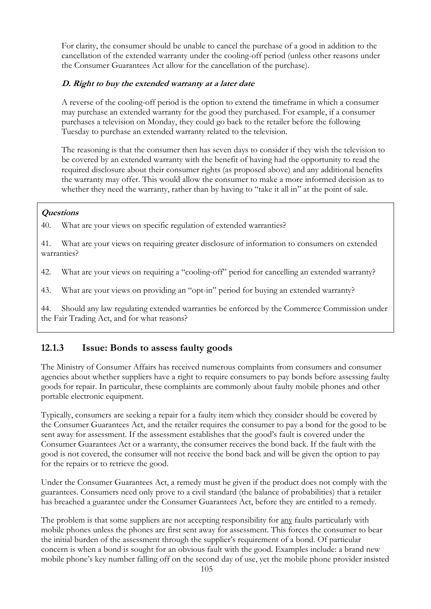For clarity, the consumer should be unable to cancel the purchase of a good in addition to the cancellation of the extended warranty under the cooling-off period (unless other reasons under the Consumer Guarantees Act allow for the cancellation of the purchase).

## **D. Right to buy the extended warranty at a later date**

A reverse of the cooling-off period is the option to extend the timeframe in which a consumer may purchase an extended warranty for the good they purchased. For example, if a consumer purchases a television on Monday, they could go back to the retailer before the following Tuesday to purchase an extended warranty related to the television.

The reasoning is that the consumer then has seven days to consider if they wish the television to be covered by an extended warranty with the benefit of having had the opportunity to read the required disclosure about their consumer rights (as proposed above) and any additional benefits the warranty may offer. This would allow the consumer to make a more informed decision as to whether they need the warranty, rather than by having to "take it all in" at the point of sale.

## **Questions**

40. What are your views on specific regulation of extended warranties?

41. What are your views on requiring greater disclosure of information to consumers on extended warranties?

42. What are your views on requiring a "cooling-off" period for cancelling an extended warranty?

43. What are your views on providing an "opt-in" period for buying an extended warranty?

44. Should any law regulating extended warranties be enforced by the Commerce Commission under the Fair Trading Act, and for what reasons?

## **12.1.3 Issue: Bonds to assess faulty goods**

The Ministry of Consumer Affairs has received numerous complaints from consumers and consumer agencies about whether suppliers have a right to require consumers to pay bonds before assessing faulty goods for repair. In particular, these complaints are commonly about faulty mobile phones and other portable electronic equipment.

Typically, consumers are seeking a repair for a faulty item which they consider should be covered by the Consumer Guarantees Act, and the retailer requires the consumer to pay a bond for the good to be sent away for assessment. If the assessment establishes that the good's fault is covered under the Consumer Guarantees Act or a warranty, the consumer receives the bond back. If the fault with the good is not covered, the consumer will not receive the bond back and will be given the option to pay for the repairs or to retrieve the good.

Under the Consumer Guarantees Act, a remedy must be given if the product does not comply with the guarantees. Consumers need only prove to a civil standard (the balance of probabilities) that a retailer has breached a guarantee under the Consumer Guarantees Act, before they are entitled to a remedy.

The problem is that some suppliers are not accepting responsibility for <u>any</u> faults particularly with mobile phones unless the phones are first sent away for assessment. This forces the consumer to bear the initial burden of the assessment through the supplier's requirement of a bond. Of particular concern is when a bond is sought for an obvious fault with the good. Examples include: a brand new mobile phone's key number falling off on the second day of use, yet the mobile phone provider insisted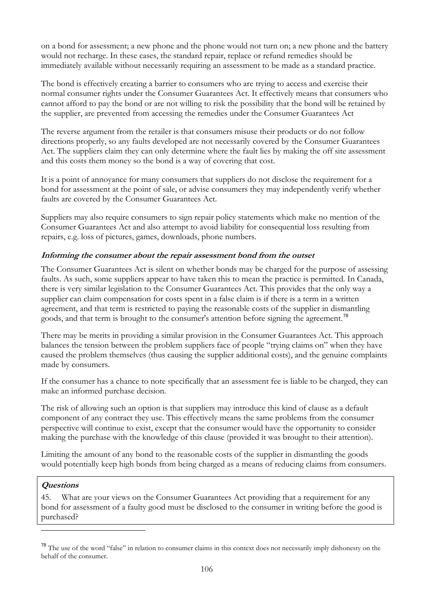<span id="page-106-0"></span>on a bond for assessment; a new phone and the phone would not turn on; a new phone and the battery would not recharge. In these cases, the standard repair, replace or refund remedies should be immediately available without necessarily requiring an assessment to be made as a standard practice.

The bond is effectively creating a barrier to consumers who are trying to access and exercise their normal consumer rights under the Consumer Guarantees Act. It effectively means that consumers who cannot afford to pay the bond or are not willing to risk the possibility that the bond will be retained by the supplier, are prevented from accessing the remedies under the Consumer Guarantees Act

The reverse argument from the retailer is that consumers misuse their products or do not follow directions properly, so any faults developed are not necessarily covered by the Consumer Guarantees Act. The suppliers claim they can only determine where the fault lies by making the off site assessment and this costs them money so the bond is a way of covering that cost.

It is a point of annoyance for many consumers that suppliers do not disclose the requirement for a bond for assessment at the point of sale, or advise consumers they may independently verify whether faults are covered by the Consumer Guarantees Act.

Suppliers may also require consumers to sign repair policy statements which make no mention of the Consumer Guarantees Act and also attempt to avoid liability for consequential loss resulting from repairs, e.g. loss of pictures, games, downloads, phone numbers.

## **Informing the consumer about the repair assessment bond from the outset**

The Consumer Guarantees Act is silent on whether bonds may be charged for the purpose of assessing faults. As such, some suppliers appear to have taken this to mean the practice is permitted. In Canada, there is very similar legislation to the Consumer Guarantees Act. This provides that the only way a supplier can claim compensation for costs spent in a false claim is if there is a term in a written agreement, and that term is restricted to paying the reasonable costs of the supplier in dismantling goods, and that term is brought to the consumer's attention before signing the agreement.<sup>[78](#page-106-0)</sup>

There may be merits in providing a similar provision in the Consumer Guarantees Act. This approach balances the tension between the problem suppliers face of people "trying claims on" when they have caused the problem themselves (thus causing the supplier additional costs), and the genuine complaints made by consumers.

If the consumer has a chance to note specifically that an assessment fee is liable to be charged, they can make an informed purchase decision.

The risk of allowing such an option is that suppliers may introduce this kind of clause as a default component of any contract they use. This effectively means the same problems from the consumer perspective will continue to exist, except that the consumer would have the opportunity to consider making the purchase with the knowledge of this clause (provided it was brought to their attention).

Limiting the amount of any bond to the reasonable costs of the supplier in dismantling the goods would potentially keep high bonds from being charged as a means of reducing claims from consumers.

### **Questions**

 $\overline{a}$ 

45. What are your views on the Consumer Guarantees Act providing that a requirement for any bond for assessment of a faulty good must be disclosed to the consumer in writing before the good is purchased?

<sup>&</sup>lt;sup>78</sup> The use of the word "false" in relation to consumer claims in this context does not necessarily imply dishonesty on the behalf of the consumer.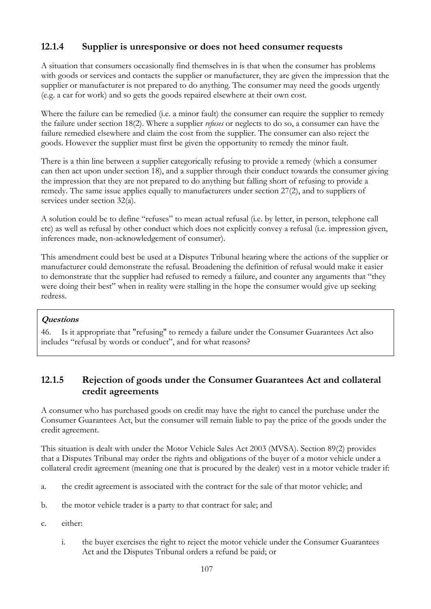## **12.1.4 Supplier is unresponsive or does not heed consumer requests**

A situation that consumers occasionally find themselves in is that when the consumer has problems with goods or services and contacts the supplier or manufacturer, they are given the impression that the supplier or manufacturer is not prepared to do anything. The consumer may need the goods urgently (e.g. a car for work) and so gets the goods repaired elsewhere at their own cost.

Where the failure can be remedied (i.e. a minor fault) the consumer can require the supplier to remedy the failure under section 18(2). Where a supplier *refuses* or neglects to do so, a consumer can have the failure remedied elsewhere and claim the cost from the supplier. The consumer can also reject the goods. However the supplier must first be given the opportunity to remedy the minor fault.

There is a thin line between a supplier categorically refusing to provide a remedy (which a consumer can then act upon under section 18), and a supplier through their conduct towards the consumer giving the impression that they are not prepared to do anything but falling short of refusing to provide a remedy. The same issue applies equally to manufacturers under section 27(2), and to suppliers of services under section 32(a).

A solution could be to define "refuses" to mean actual refusal (i.e. by letter, in person, telephone call etc) as well as refusal by other conduct which does not explicitly convey a refusal (i.e. impression given, inferences made, non-acknowledgement of consumer).

This amendment could best be used at a Disputes Tribunal hearing where the actions of the supplier or manufacturer could demonstrate the refusal. Broadening the definition of refusal would make it easier to demonstrate that the supplier had refused to remedy a failure, and counter any arguments that "they were doing their best" when in reality were stalling in the hope the consumer would give up seeking redress.

### **Questions**

46. Is it appropriate that "refusing" to remedy a failure under the Consumer Guarantees Act also includes "refusal by words or conduct", and for what reasons?

## **12.1.5 Rejection of goods under the Consumer Guarantees Act and collateral credit agreements**

A consumer who has purchased goods on credit may have the right to cancel the purchase under the Consumer Guarantees Act, but the consumer will remain liable to pay the price of the goods under the credit agreement.

This situation is dealt with under the Motor Vehicle Sales Act 2003 (MVSA). Section 89(2) provides that a Disputes Tribunal may order the rights and obligations of the buyer of a motor vehicle under a collateral credit agreement (meaning one that is procured by the dealer) vest in a motor vehicle trader if:

- a. the credit agreement is associated with the contract for the sale of that motor vehicle; and
- b. the motor vehicle trader is a party to that contract for sale; and
- c. either:
	- i. the buyer exercises the right to reject the motor vehicle under the Consumer Guarantees Act and the Disputes Tribunal orders a refund be paid; or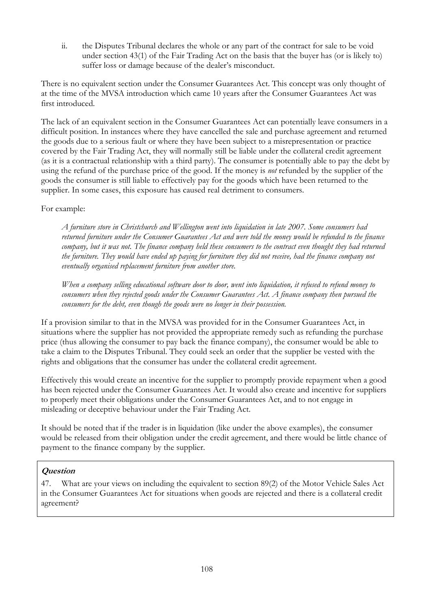ii. the Disputes Tribunal declares the whole or any part of the contract for sale to be void under section 43(1) of the Fair Trading Act on the basis that the buyer has (or is likely to) suffer loss or damage because of the dealer's misconduct.

There is no equivalent section under the Consumer Guarantees Act. This concept was only thought of at the time of the MVSA introduction which came 10 years after the Consumer Guarantees Act was first introduced.

The lack of an equivalent section in the Consumer Guarantees Act can potentially leave consumers in a difficult position. In instances where they have cancelled the sale and purchase agreement and returned the goods due to a serious fault or where they have been subject to a misrepresentation or practice covered by the Fair Trading Act, they will normally still be liable under the collateral credit agreement (as it is a contractual relationship with a third party). The consumer is potentially able to pay the debt by using the refund of the purchase price of the good. If the money is *not* refunded by the supplier of the goods the consumer is still liable to effectively pay for the goods which have been returned to the supplier. In some cases, this exposure has caused real detriment to consumers.

#### For example:

*A furniture store in Christchurch and Wellington went into liquidation in late 2007. Some consumers had returned furniture under the Consumer Guarantees Act and were told the money would be refunded to the finance company, but it was not. The finance company held these consumers to the contract even thought they had returned the furniture. They would have ended up paying for furniture they did not receive, had the finance company not eventually organised replacement furniture from another store.* 

*When a company selling educational software door to door, went into liquidation, it refused to refund money to consumers when they rejected goods under the Consumer Guarantees Act. A finance company then pursued the consumers for the debt, even though the goods were no longer in their possession.* 

If a provision similar to that in the MVSA was provided for in the Consumer Guarantees Act, in situations where the supplier has not provided the appropriate remedy such as refunding the purchase price (thus allowing the consumer to pay back the finance company), the consumer would be able to take a claim to the Disputes Tribunal. They could seek an order that the supplier be vested with the rights and obligations that the consumer has under the collateral credit agreement.

Effectively this would create an incentive for the supplier to promptly provide repayment when a good has been rejected under the Consumer Guarantees Act. It would also create and incentive for suppliers to properly meet their obligations under the Consumer Guarantees Act, and to not engage in misleading or deceptive behaviour under the Fair Trading Act.

It should be noted that if the trader is in liquidation (like under the above examples), the consumer would be released from their obligation under the credit agreement, and there would be little chance of payment to the finance company by the supplier.

#### **Question**

47. What are your views on including the equivalent to section 89(2) of the Motor Vehicle Sales Act in the Consumer Guarantees Act for situations when goods are rejected and there is a collateral credit agreement?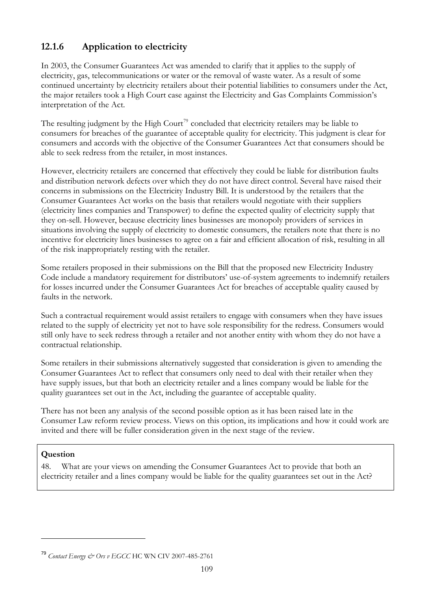# <span id="page-109-0"></span>**12.1.6 Application to electricity**

In 2003, the Consumer Guarantees Act was amended to clarify that it applies to the supply of electricity, gas, telecommunications or water or the removal of waste water. As a result of some continued uncertainty by electricity retailers about their potential liabilities to consumers under the Act, the major retailers took a High Court case against the Electricity and Gas Complaints Commission's interpretation of the Act.

The resulting judgment by the High Court<sup>[79](#page-109-0)</sup> concluded that electricity retailers may be liable to consumers for breaches of the guarantee of acceptable quality for electricity. This judgment is clear for consumers and accords with the objective of the Consumer Guarantees Act that consumers should be able to seek redress from the retailer, in most instances.

However, electricity retailers are concerned that effectively they could be liable for distribution faults and distribution network defects over which they do not have direct control. Several have raised their concerns in submissions on the Electricity Industry Bill. It is understood by the retailers that the Consumer Guarantees Act works on the basis that retailers would negotiate with their suppliers (electricity lines companies and Transpower) to define the expected quality of electricity supply that they on-sell. However, because electricity lines businesses are monopoly providers of services in situations involving the supply of electricity to domestic consumers, the retailers note that there is no incentive for electricity lines businesses to agree on a fair and efficient allocation of risk, resulting in all of the risk inappropriately resting with the retailer.

Some retailers proposed in their submissions on the Bill that the proposed new Electricity Industry Code include a mandatory requirement for distributors' use-of-system agreements to indemnify retailers for losses incurred under the Consumer Guarantees Act for breaches of acceptable quality caused by faults in the network.

Such a contractual requirement would assist retailers to engage with consumers when they have issues related to the supply of electricity yet not to have sole responsibility for the redress. Consumers would still only have to seek redress through a retailer and not another entity with whom they do not have a contractual relationship.

Some retailers in their submissions alternatively suggested that consideration is given to amending the Consumer Guarantees Act to reflect that consumers only need to deal with their retailer when they have supply issues, but that both an electricity retailer and a lines company would be liable for the quality guarantees set out in the Act, including the guarantee of acceptable quality.

There has not been any analysis of the second possible option as it has been raised late in the Consumer Law reform review process. Views on this option, its implications and how it could work are invited and there will be fuller consideration given in the next stage of the review.

#### **Question**

 $\overline{a}$ 

48. What are your views on amending the Consumer Guarantees Act to provide that both an electricity retailer and a lines company would be liable for the quality guarantees set out in the Act?

<sup>79</sup> *Contact Energy & Ors v EGCC* HC WN CIV 2007-485-2761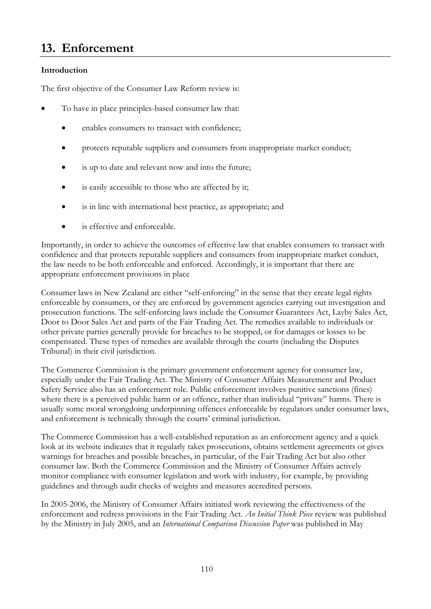# **13. Enforcement**

## **Introduction**

The first objective of the Consumer Law Reform review is:

- To have in place principles-based consumer law that:
	- enables consumers to transact with confidence;
	- protects reputable suppliers and consumers from inappropriate market conduct;
	- is up to date and relevant now and into the future;
	- is easily accessible to those who are affected by it;
	- is in line with international best practice, as appropriate; and
	- is effective and enforceable.

Importantly, in order to achieve the outcomes of effective law that enables consumers to transact with confidence and that protects reputable suppliers and consumers from inappropriate market conduct, the law needs to be both enforceable and enforced. Accordingly, it is important that there are appropriate enforcement provisions in place

Consumer laws in New Zealand are either "self-enforcing" in the sense that they create legal rights enforceable by consumers, or they are enforced by government agencies carrying out investigation and prosecution functions. The self-enforcing laws include the Consumer Guarantees Act, Layby Sales Act, Door to Door Sales Act and parts of the Fair Trading Act. The remedies available to individuals or other private parties generally provide for breaches to be stopped, or for damages or losses to be compensated. These types of remedies are available through the courts (including the Disputes Tribunal) in their civil jurisdiction.

The Commerce Commission is the primary government enforcement agency for consumer law, especially under the Fair Trading Act. The Ministry of Consumer Affairs Measurement and Product Safety Service also has an enforcement role. Public enforcement involves punitive sanctions (fines) where there is a perceived public harm or an offence, rather than individual "private" harms. There is usually some moral wrongdoing underpinning offences enforceable by regulators under consumer laws, and enforcement is technically through the courts' criminal jurisdiction.

The Commerce Commission has a well-established reputation as an enforcement agency and a quick look at its website indicates that it regularly takes prosecutions, obtains settlement agreements or gives warnings for breaches and possible breaches, in particular, of the Fair Trading Act but also other consumer law. Both the Commerce Commission and the Ministry of Consumer Affairs actively monitor compliance with consumer legislation and work with industry, for example, by providing guidelines and through audit checks of weights and measures accredited persons.

In 2005-2006, the Ministry of Consumer Affairs initiated work reviewing the effectiveness of the enforcement and redress provisions in the Fair Trading Act. *An Initial Think Piece* review was published by the Ministry in July 2005, and an *International Comparison Discussion Paper* was published in May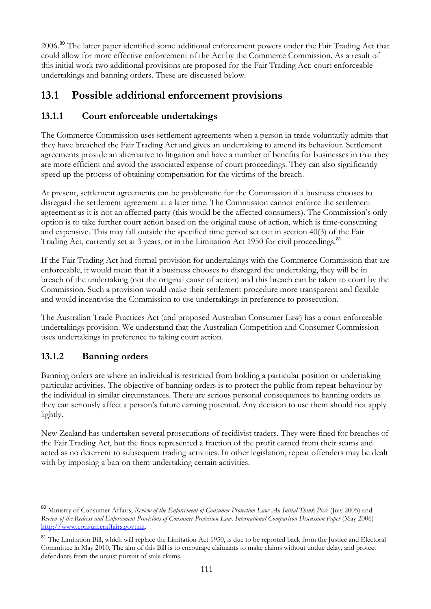<span id="page-111-0"></span>2006.[80](#page-111-0) The latter paper identified some additional enforcement powers under the Fair Trading Act that could allow for more effective enforcement of the Act by the Commerce Commission. As a result of this initial work two additional provisions are proposed for the Fair Trading Act: court enforceable undertakings and banning orders. These are discussed below.

# **13.1 Possible additional enforcement provisions**

# **13.1.1 Court enforceable undertakings**

The Commerce Commission uses settlement agreements when a person in trade voluntarily admits that agreements provide an alternative to litigation and have a number of benefits for businesses in that they they have breached the Fair Trading Act and gives an undertaking to amend its behaviour. Settlement are more efficient and avoid the associated expense of court proceedings. They can also significantly speed up the process of obtaining compensation for the victims of the breach.

At present, settlement agreements can be problematic for the Commission if a business chooses to agreement as it is not an affected party (this would be the affected consumers). The Commission's only disregard the settlement agreement at a later time. The Commission cannot enforce the settlement option is to take further court action based on the original cause of action, which is time-consuming and expensive. This may fall outside the specified time period set out in section 40(3) of the Fair Trading Act, currently set at 3 years, or in the Limitation Act 1950 for civil proceedings.<sup>[81](#page-111-0)</sup>

If the Fair Trading Act had formal provision for undertakings with the Commerce Commission that are breach of the undertaking (not the original cause of action) and this breach can be taken to court by the enforceable, it would mean that if a business chooses to disregard the undertaking, they will be in Commission. Such a provision would make their settlement procedure more transparent and flexible and would incentivise the Commission to use undertakings in preference to prosecution.

The Australian Trade Practices Act (and proposed Australian Consumer Law) has a court enforceable undertakings provision. We understand that the Australian Competition and Consumer Commission uses undertakings in preference to taking court action.

# **13.1.2 Banning orders**

 $\overline{a}$ 

Banning orders are where an individual is restricted from holding a particular position or undertaking particular activities. The objective of banning orders is to protect the public from repeat behaviour by the individual in similar circumstances. There are serious personal consequences to banning orders as they can seriously affect a person's future earning potential. Any decision to use them should not apply lightly.

New Zealand has undertaken several prosecutions of recidivist traders. They were fined for breaches of acted as no deterrent to subsequent trading activities. In other legislation, repeat offenders may be dealt the Fair Trading Act, but the fines represented a fraction of the profit earned from their scams and with by imposing a ban on them undertaking certain activities.

<sup>80</sup> Ministry of Consumer Affairs, *Review of the Enforcement of Consumer Protection Law: An Initial Think Piece* (July 2005) and *Review of the Redress and Enforcement Provisions of Consumer Protection Law: International Comparison Discussion Paper* (May 2006) – [http://www.consumeraffairs.govt.nz](http://www.consumeraffairs.govt.nz/).

<sup>&</sup>lt;sup>81</sup> The Limitation Bill, which will replace the Limitation Act 1950, is due to be reported back from the Justice and Electoral Committee in May 2010. The aim of this Bill is to encourage claimants to make claims without undue delay, and protect defendants from the unjust pursuit of stale claims.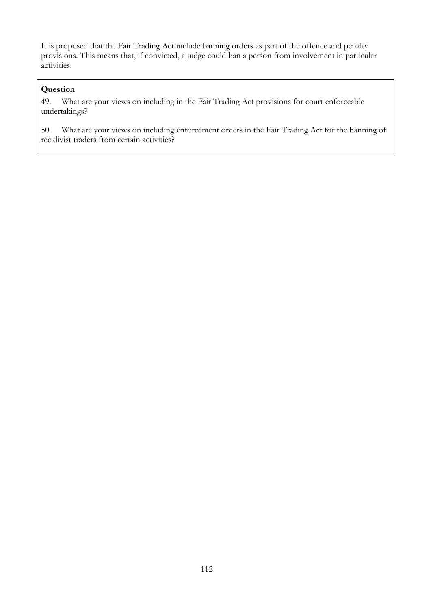It is proposed that the Fair Trading Act include banning orders as part of the offence and penalty provisions. This means that, if convicted, a judge could ban a person from involvement in particular activities.

## **Question**

49. What are your views on including in the Fair Trading Act provisions for court enforceable undertakings?

50. What are your views on including enforcement orders in the Fair Trading Act for the banning of recidivist traders from certain activities?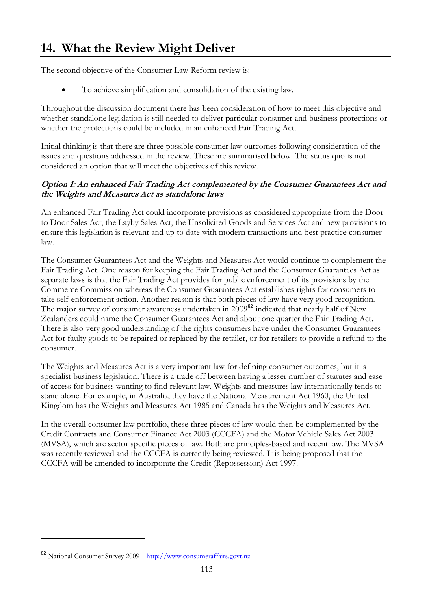# <span id="page-113-0"></span>**14. What the Review Might Deliver**

The second objective of the Consumer Law Reform review is:

• To achieve simplification and consolidation of the existing law.

Throughout the discussion document there has been consideration of how to meet this objective and whether standalone legislation is still needed to deliver particular consumer and business protections or whether the protections could be included in an enhanced Fair Trading Act.

Initial thinking is that there are three possible consumer law outcomes following consideration of the issues and questions addressed in the review. These are summarised below. The status quo is not considered an option that will meet the objectives of this review.

#### **Option 1: An enhanced Fair Trading Act complemented by the Consumer Guarantees Act and the Weights and Measures Act as standalone laws**

An enhanced Fair Trading Act could incorporate provisions as considered appropriate from the Door to Door Sales Act, the Layby Sales Act, the Unsolicited Goods and Services Act and new provisions to ensure this legislation is relevant and up to date with modern transactions and best practice consumer law.

The Consumer Guarantees Act and the Weights and Measures Act would continue to complement the Fair Trading Act. One reason for keeping the Fair Trading Act and the Consumer Guarantees Act as separate laws is that the Fair Trading Act provides for public enforcement of its provisions by the Commerce Commission whereas the Consumer Guarantees Act establishes rights for consumers to take self-enforcement action. Another reason is that both pieces of law have very good recognition. The major survey of consumer awareness undertaken in 2009<sup>[82](#page-113-0)</sup> indicated that nearly half of New Zealanders could name the Consumer Guarantees Act and about one quarter the Fair Trading Act. There is also very good understanding of the rights consumers have under the Consumer Guarantees Act for faulty goods to be repaired or replaced by the retailer, or for retailers to provide a refund to the consumer.

The Weights and Measures Act is a very important law for defining consumer outcomes, but it is specialist business legislation. There is a trade off between having a lesser number of statutes and ease of access for business wanting to find relevant law. Weights and measures law internationally tends to stand alone. For example, in Australia, they have the National Measurement Act 1960, the United Kingdom has the Weights and Measures Act 1985 and Canada has the Weights and Measures Act.

In the overall consumer law portfolio, these three pieces of law would then be complemented by the Credit Contracts and Consumer Finance Act 2003 (CCCFA) and the Motor Vehicle Sales Act 2003 (MVSA), which are sector specific pieces of law. Both are principles-based and recent law. The MVSA was recently reviewed and the CCCFA is currently being reviewed. It is being proposed that the CCCFA will be amended to incorporate the Credit (Repossession) Act 1997.

 $\overline{a}$ 

<sup>82</sup> National Consumer Survey 2009 – [http://www.consumeraffairs.govt.nz.](http://www.consumeraffairs.govt.nz/)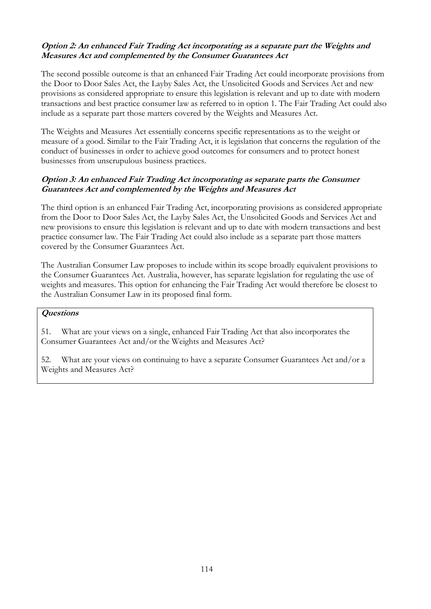#### **Option 2: An enhanced Fair Trading Act incorporating as a separate part the Weights and Measures Act and complemented by the Consumer Guarantees Act**

The second possible outcome is that an enhanced Fair Trading Act could incorporate provisions from the Door to Door Sales Act, the Layby Sales Act, the Unsolicited Goods and Services Act and new provisions as considered appropriate to ensure this legislation is relevant and up to date with modern transactions and best practice consumer law as referred to in option 1. The Fair Trading Act could also include as a separate part those matters covered by the Weights and Measures Act.

The Weights and Measures Act essentially concerns specific representations as to the weight or measure of a good. Similar to the Fair Trading Act, it is legislation that concerns the regulation of the conduct of businesses in order to achieve good outcomes for consumers and to protect honest businesses from unscrupulous business practices.

#### **Option 3: An enhanced Fair Trading Act incorporating as separate parts the Consumer Guarantees Act and complemented by the Weights and Measures Act**

The third option is an enhanced Fair Trading Act, incorporating provisions as considered appropriate from the Door to Door Sales Act, the Layby Sales Act, the Unsolicited Goods and Services Act and new provisions to ensure this legislation is relevant and up to date with modern transactions and best practice consumer law. The Fair Trading Act could also include as a separate part those matters covered by the Consumer Guarantees Act.

The Australian Consumer Law proposes to include within its scope broadly equivalent provisions to the Consumer Guarantees Act. Australia, however, has separate legislation for regulating the use of weights and measures. This option for enhancing the Fair Trading Act would therefore be closest to the Australian Consumer Law in its proposed final form.

#### **Questions**

51. What are your views on a single, enhanced Fair Trading Act that also incorporates the Consumer Guarantees Act and/or the Weights and Measures Act?

52. What are your views on continuing to have a separate Consumer Guarantees Act and/or a Weights and Measures Act?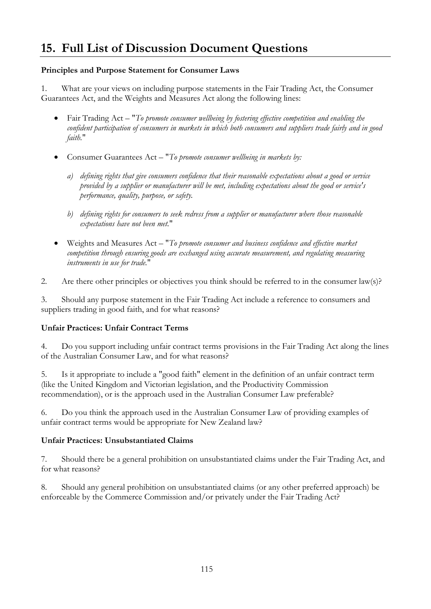# **15. Full List of Discussion Document Questions**

#### **Principles and Purpose Statement for Consumer Laws**

1. What are your views on including purpose statements in the Fair Trading Act, the Consumer Guarantees Act, and the Weights and Measures Act along the following lines:

- Fair Trading Act "*To promote consumer wellbeing by fostering effective competition and enabling the confident participation of consumers in markets in which both consumers and suppliers trade fairly and in good faith.*"
- Consumer Guarantees Act "*To promote consumer wellbeing in markets by:*
	- *a) defining rights that give consumers confidence that their reasonable expectations about a good or service provided by a supplier or manufacturer will be met, including expectations about the good or service's performance, quality, purpose, or safety.*
	- *b) defining rights for consumers to seek redress from a supplier or manufacturer where those reasonable expectations have not been met.*"
- Weights and Measures Act "*To promote consumer and business confidence and effective market competition through ensuring goods are exchanged using accurate measurement, and regulating measuring instruments in use for trade.*"
- 2. Are there other principles or objectives you think should be referred to in the consumer law(s)?

3. Should any purpose statement in the Fair Trading Act include a reference to consumers and suppliers trading in good faith, and for what reasons?

#### **Unfair Practices: Unfair Contract Terms**

4. Do you support including unfair contract terms provisions in the Fair Trading Act along the lines of the Australian Consumer Law, and for what reasons?

5. Is it appropriate to include a "good faith" element in the definition of an unfair contract term (like the United Kingdom and Victorian legislation, and the Productivity Commission recommendation), or is the approach used in the Australian Consumer Law preferable?

6. Do you think the approach used in the Australian Consumer Law of providing examples of unfair contract terms would be appropriate for New Zealand law?

#### **Unfair Practices: Unsubstantiated Claims**

7. Should there be a general prohibition on unsubstantiated claims under the Fair Trading Act, and for what reasons?

8. Should any general prohibition on unsubstantiated claims (or any other preferred approach) be enforceable by the Commerce Commission and/or privately under the Fair Trading Act?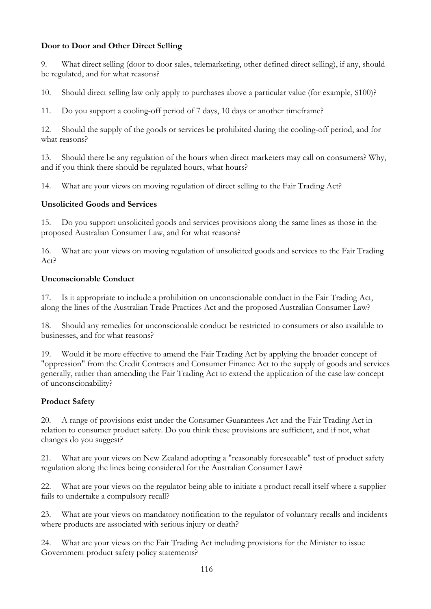### **Door to Door and Other Direct Selling**

9. What direct selling (door to door sales, telemarketing, other defined direct selling), if any, should be regulated, and for what reasons?

10. Should direct selling law only apply to purchases above a particular value (for example, \$100)?

11. Do you support a cooling-off period of 7 days, 10 days or another timeframe?

12. Should the supply of the goods or services be prohibited during the cooling-off period, and for what reasons?

13. Should there be any regulation of the hours when direct marketers may call on consumers? Why, and if you think there should be regulated hours, what hours?

14. What are your views on moving regulation of direct selling to the Fair Trading Act?

#### **Unsolicited Goods and Services**

15. Do you support unsolicited goods and services provisions along the same lines as those in the proposed Australian Consumer Law, and for what reasons?

16. What are your views on moving regulation of unsolicited goods and services to the Fair Trading Act?

#### **Unconscionable Conduct**

17. Is it appropriate to include a prohibition on unconscionable conduct in the Fair Trading Act, along the lines of the Australian Trade Practices Act and the proposed Australian Consumer Law?

18. Should any remedies for unconscionable conduct be restricted to consumers or also available to businesses, and for what reasons?

19. Would it be more effective to amend the Fair Trading Act by applying the broader concept of "oppression" from the Credit Contracts and Consumer Finance Act to the supply of goods and services generally, rather than amending the Fair Trading Act to extend the application of the case law concept of unconscionability?

#### **Product Safety**

20. A range of provisions exist under the Consumer Guarantees Act and the Fair Trading Act in relation to consumer product safety. Do you think these provisions are sufficient, and if not, what changes do you suggest?

21. What are your views on New Zealand adopting a "reasonably foreseeable" test of product safety regulation along the lines being considered for the Australian Consumer Law?

22. What are your views on the regulator being able to initiate a product recall itself where a supplier fails to undertake a compulsory recall?

23. What are your views on mandatory notification to the regulator of voluntary recalls and incidents where products are associated with serious injury or death?

24. What are your views on the Fair Trading Act including provisions for the Minister to issue Government product safety policy statements?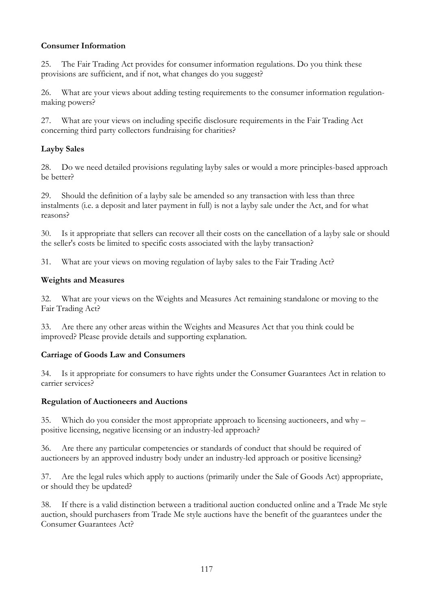### **Consumer Information**

25. The Fair Trading Act provides for consumer information regulations. Do you think these provisions are sufficient, and if not, what changes do you suggest?

26. What are your views about adding testing requirements to the consumer information regulationmaking powers?

27. What are your views on including specific disclosure requirements in the Fair Trading Act concerning third party collectors fundraising for charities?

### **Layby Sales**

28. Do we need detailed provisions regulating layby sales or would a more principles-based approach be better?

29. Should the definition of a layby sale be amended so any transaction with less than three instalments (i.e. a deposit and later payment in full) is not a layby sale under the Act, and for what reasons?

30. Is it appropriate that sellers can recover all their costs on the cancellation of a layby sale or should the seller's costs be limited to specific costs associated with the layby transaction?

31. What are your views on moving regulation of layby sales to the Fair Trading Act?

#### **Weights and Measures**

32. What are your views on the Weights and Measures Act remaining standalone or moving to the Fair Trading Act?

33. Are there any other areas within the Weights and Measures Act that you think could be improved? Please provide details and supporting explanation.

#### **Carriage of Goods Law and Consumers**

34. Is it appropriate for consumers to have rights under the Consumer Guarantees Act in relation to carrier services?

#### **Regulation of Auctioneers and Auctions**

35. Which do you consider the most appropriate approach to licensing auctioneers, and why – positive licensing, negative licensing or an industry-led approach?

36. Are there any particular competencies or standards of conduct that should be required of auctioneers by an approved industry body under an industry-led approach or positive licensing?

37. Are the legal rules which apply to auctions (primarily under the Sale of Goods Act) appropriate, or should they be updated?

38. If there is a valid distinction between a traditional auction conducted online and a Trade Me style auction, should purchasers from Trade Me style auctions have the benefit of the guarantees under the Consumer Guarantees Act?